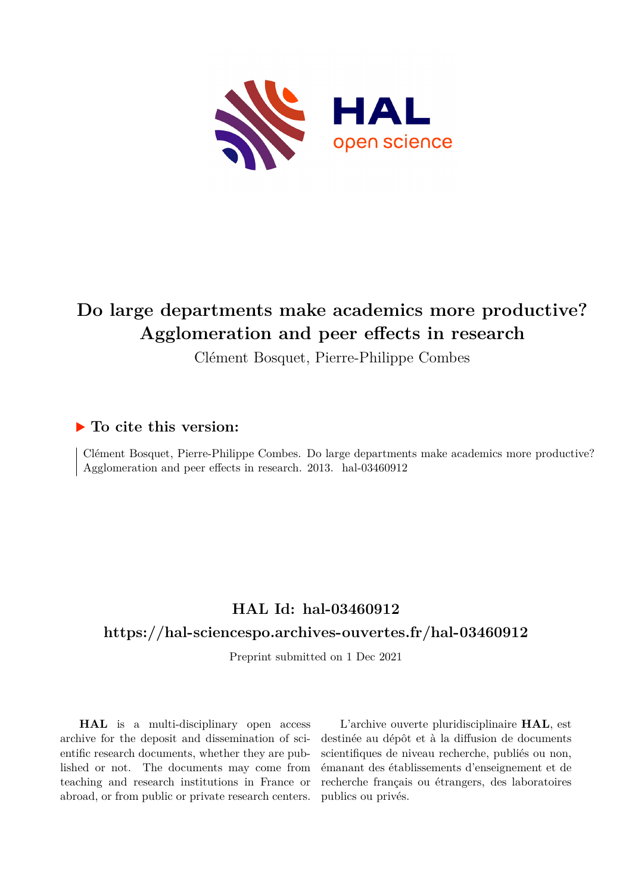

## **Do large departments make academics more productive? Agglomeration and peer effects in research**

Clément Bosquet, Pierre-Philippe Combes

## **To cite this version:**

Clément Bosquet, Pierre-Philippe Combes. Do large departments make academics more productive? Agglomeration and peer effects in research. 2013. hal-03460912

## **HAL Id: hal-03460912**

## **<https://hal-sciencespo.archives-ouvertes.fr/hal-03460912>**

Preprint submitted on 1 Dec 2021

**HAL** is a multi-disciplinary open access archive for the deposit and dissemination of scientific research documents, whether they are published or not. The documents may come from teaching and research institutions in France or abroad, or from public or private research centers.

L'archive ouverte pluridisciplinaire **HAL**, est destinée au dépôt et à la diffusion de documents scientifiques de niveau recherche, publiés ou non, émanant des établissements d'enseignement et de recherche français ou étrangers, des laboratoires publics ou privés.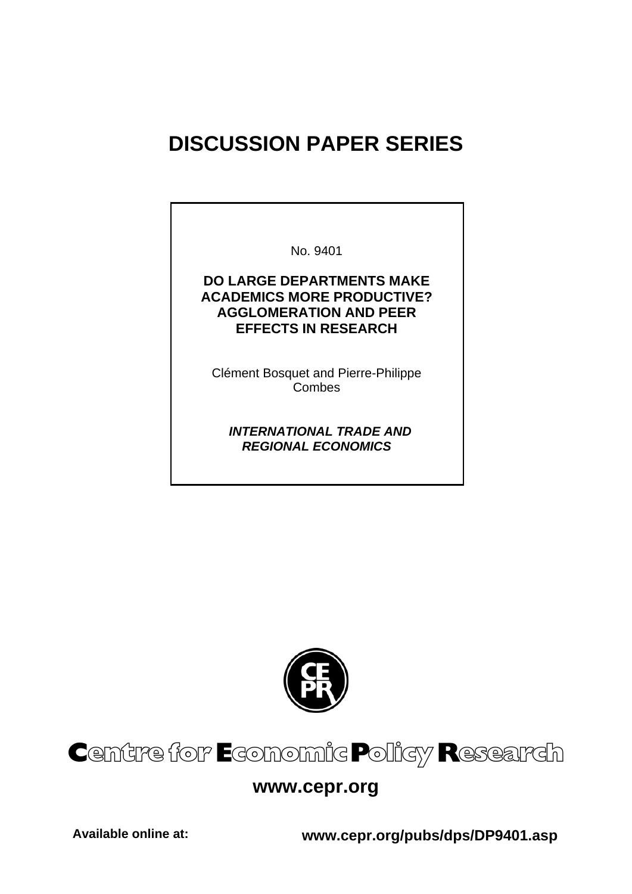# **DISCUSSION PAPER SERIES**

No. 9401 **DO LARGE DEPARTMENTS MAKE ACADEMICS MORE PRODUCTIVE? AGGLOMERATION AND PEER EFFECTS IN RESEARCH** 

Clément Bosquet and Pierre-Philippe Combes

 *INTERNATIONAL TRADE AND REGIONAL ECONOMICS* 



# Centre for Economic Policy Research

## **www.cepr.org**

**Available online at: www.cepr.org/pubs/dps/DP9401.asp**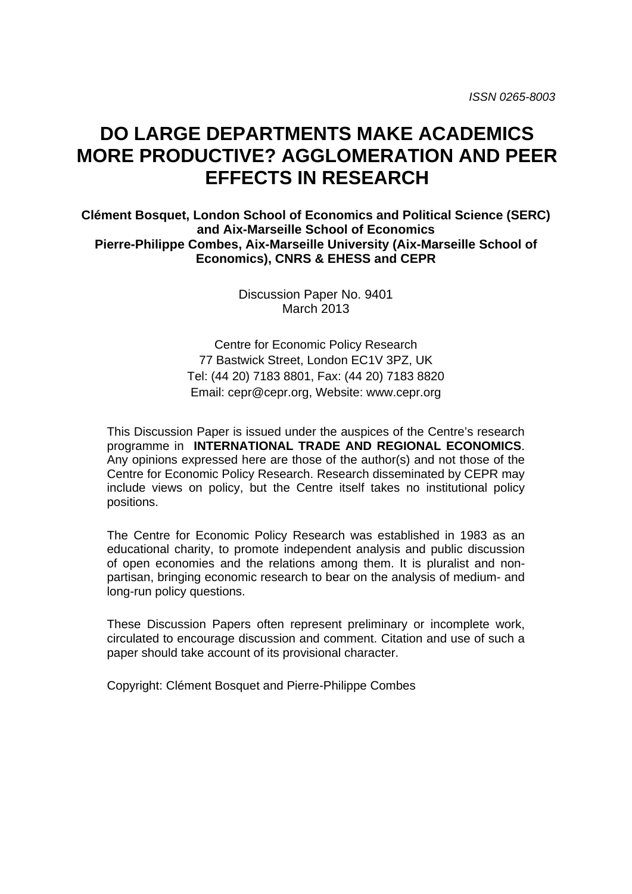## **DO LARGE DEPARTMENTS MAKE ACADEMICS MORE PRODUCTIVE? AGGLOMERATION AND PEER EFFECTS IN RESEARCH**

**Clément Bosquet, London School of Economics and Political Science (SERC) and Aix-Marseille School of Economics Pierre-Philippe Combes, Aix-Marseille University (Aix-Marseille School of Economics), CNRS & EHESS and CEPR** 

> Discussion Paper No. 9401 March 2013

Centre for Economic Policy Research 77 Bastwick Street, London EC1V 3PZ, UK Tel: (44 20) 7183 8801, Fax: (44 20) 7183 8820 Email: cepr@cepr.org, Website: www.cepr.org

This Discussion Paper is issued under the auspices of the Centre's research programme in **INTERNATIONAL TRADE AND REGIONAL ECONOMICS**. Any opinions expressed here are those of the author(s) and not those of the Centre for Economic Policy Research. Research disseminated by CEPR may include views on policy, but the Centre itself takes no institutional policy positions.

The Centre for Economic Policy Research was established in 1983 as an educational charity, to promote independent analysis and public discussion of open economies and the relations among them. It is pluralist and nonpartisan, bringing economic research to bear on the analysis of medium- and long-run policy questions.

These Discussion Papers often represent preliminary or incomplete work, circulated to encourage discussion and comment. Citation and use of such a paper should take account of its provisional character.

Copyright: Clément Bosquet and Pierre-Philippe Combes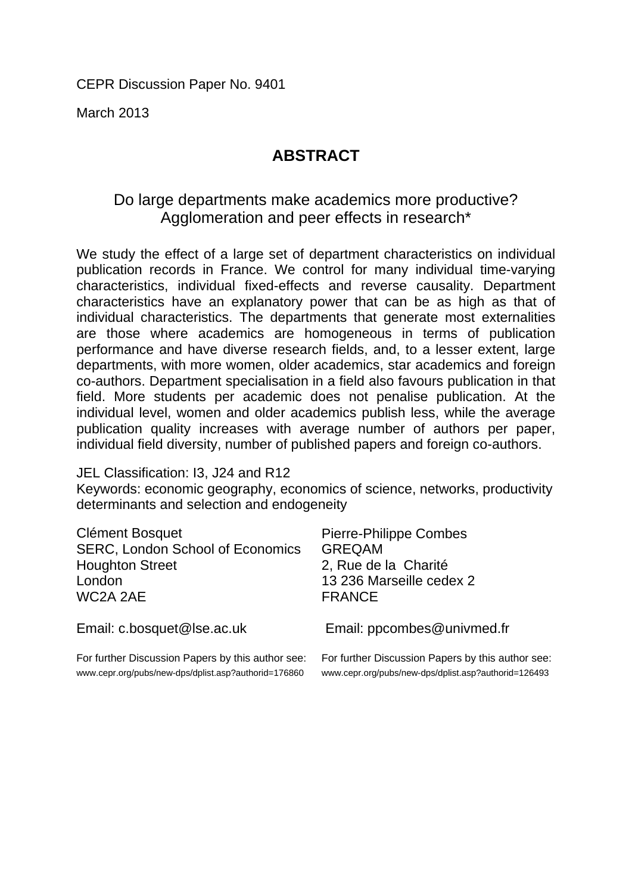CEPR Discussion Paper No. 9401

March 2013

## **ABSTRACT**

## Do large departments make academics more productive? Agglomeration and peer effects in research\*

We study the effect of a large set of department characteristics on individual publication records in France. We control for many individual time-varying characteristics, individual fixed-effects and reverse causality. Department characteristics have an explanatory power that can be as high as that of individual characteristics. The departments that generate most externalities are those where academics are homogeneous in terms of publication performance and have diverse research fields, and, to a lesser extent, large departments, with more women, older academics, star academics and foreign co-authors. Department specialisation in a field also favours publication in that field. More students per academic does not penalise publication. At the individual level, women and older academics publish less, while the average publication quality increases with average number of authors per paper, individual field diversity, number of published papers and foreign co-authors.

JEL Classification: I3, J24 and R12

Keywords: economic geography, economics of science, networks, productivity determinants and selection and endogeneity

| Clément Bosquet<br><b>SERC, London School of Economics</b><br><b>Houghton Street</b><br>London<br>WC2A 2AE             | <b>Pierre-Philippe Combes</b><br><b>GREQAM</b><br>2, Rue de la Charité<br>13 236 Marseille cedex 2<br><b>FRANCE</b> |
|------------------------------------------------------------------------------------------------------------------------|---------------------------------------------------------------------------------------------------------------------|
| Email: c.bosquet@lse.ac.uk                                                                                             | Email: ppcombes@univmed.fr                                                                                          |
| $\mathsf{Ext}$ further Diequesian Depara by this quither see: $\mathsf{Ext}$ further Diequesian Depara by this quither |                                                                                                                     |

For further Discussion Papers by this author see: www.cepr.org/pubs/new-dps/dplist.asp?authorid=176860

For further Discussion Papers by this author see: www.cepr.org/pubs/new-dps/dplist.asp?authorid=126493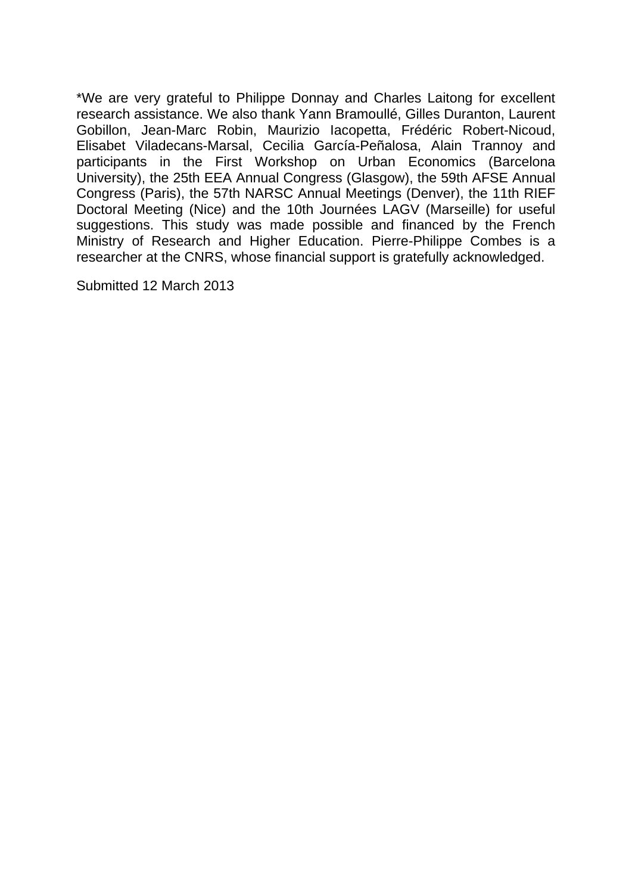\*We are very grateful to Philippe Donnay and Charles Laitong for excellent research assistance. We also thank Yann Bramoullé, Gilles Duranton, Laurent Gobillon, Jean-Marc Robin, Maurizio Iacopetta, Frédéric Robert-Nicoud, Elisabet Viladecans-Marsal, Cecilia García-Peñalosa, Alain Trannoy and participants in the First Workshop on Urban Economics (Barcelona University), the 25th EEA Annual Congress (Glasgow), the 59th AFSE Annual Congress (Paris), the 57th NARSC Annual Meetings (Denver), the 11th RIEF Doctoral Meeting (Nice) and the 10th Journées LAGV (Marseille) for useful suggestions. This study was made possible and financed by the French Ministry of Research and Higher Education. Pierre-Philippe Combes is a researcher at the CNRS, whose financial support is gratefully acknowledged.

Submitted 12 March 2013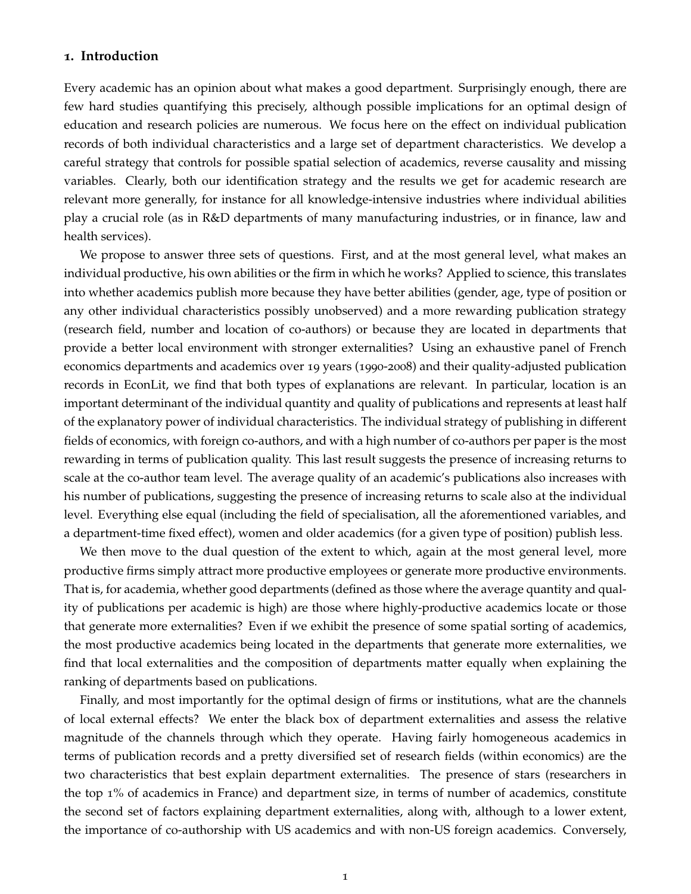#### **1. Introduction**

Every academic has an opinion about what makes a good department. Surprisingly enough, there are few hard studies quantifying this precisely, although possible implications for an optimal design of education and research policies are numerous. We focus here on the effect on individual publication records of both individual characteristics and a large set of department characteristics. We develop a careful strategy that controls for possible spatial selection of academics, reverse causality and missing variables. Clearly, both our identification strategy and the results we get for academic research are relevant more generally, for instance for all knowledge-intensive industries where individual abilities play a crucial role (as in R&D departments of many manufacturing industries, or in finance, law and health services).

We propose to answer three sets of questions. First, and at the most general level, what makes an individual productive, his own abilities or the firm in which he works? Applied to science, this translates into whether academics publish more because they have better abilities (gender, age, type of position or any other individual characteristics possibly unobserved) and a more rewarding publication strategy (research field, number and location of co-authors) or because they are located in departments that provide a better local environment with stronger externalities? Using an exhaustive panel of French economics departments and academics over 19 years (1990-2008) and their quality-adjusted publication records in EconLit, we find that both types of explanations are relevant. In particular, location is an important determinant of the individual quantity and quality of publications and represents at least half of the explanatory power of individual characteristics. The individual strategy of publishing in different fields of economics, with foreign co-authors, and with a high number of co-authors per paper is the most rewarding in terms of publication quality. This last result suggests the presence of increasing returns to scale at the co-author team level. The average quality of an academic's publications also increases with his number of publications, suggesting the presence of increasing returns to scale also at the individual level. Everything else equal (including the field of specialisation, all the aforementioned variables, and a department-time fixed effect), women and older academics (for a given type of position) publish less.

We then move to the dual question of the extent to which, again at the most general level, more productive firms simply attract more productive employees or generate more productive environments. That is, for academia, whether good departments (defined as those where the average quantity and quality of publications per academic is high) are those where highly-productive academics locate or those that generate more externalities? Even if we exhibit the presence of some spatial sorting of academics, the most productive academics being located in the departments that generate more externalities, we find that local externalities and the composition of departments matter equally when explaining the ranking of departments based on publications.

Finally, and most importantly for the optimal design of firms or institutions, what are the channels of local external effects? We enter the black box of department externalities and assess the relative magnitude of the channels through which they operate. Having fairly homogeneous academics in terms of publication records and a pretty diversified set of research fields (within economics) are the two characteristics that best explain department externalities. The presence of stars (researchers in the top 1% of academics in France) and department size, in terms of number of academics, constitute the second set of factors explaining department externalities, along with, although to a lower extent, the importance of co-authorship with US academics and with non-US foreign academics. Conversely,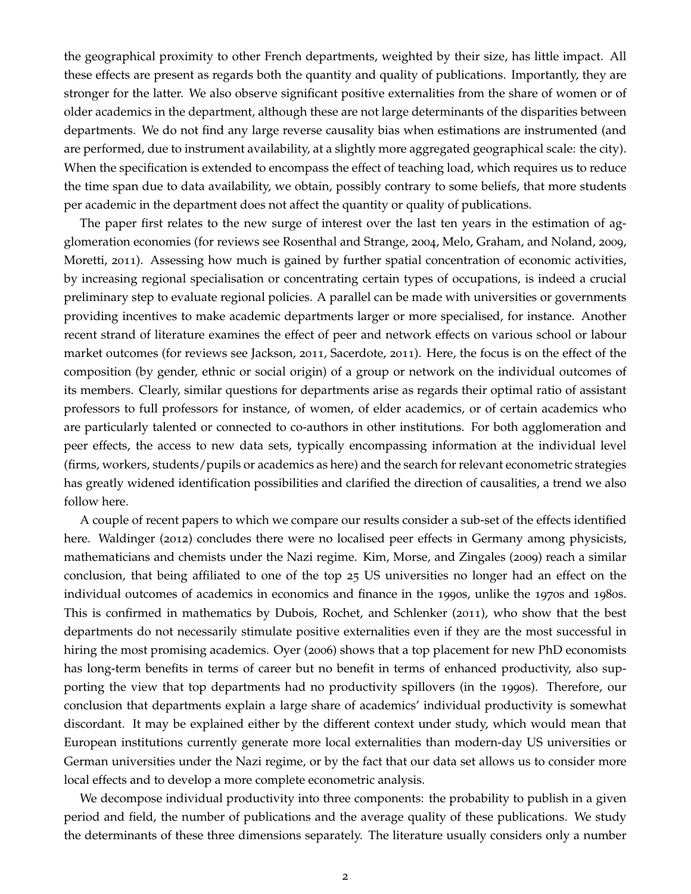the geographical proximity to other French departments, weighted by their size, has little impact. All these effects are present as regards both the quantity and quality of publications. Importantly, they are stronger for the latter. We also observe significant positive externalities from the share of women or of older academics in the department, although these are not large determinants of the disparities between departments. We do not find any large reverse causality bias when estimations are instrumented (and are performed, due to instrument availability, at a slightly more aggregated geographical scale: the city). When the specification is extended to encompass the effect of teaching load, which requires us to reduce the time span due to data availability, we obtain, possibly contrary to some beliefs, that more students per academic in the department does not affect the quantity or quality of publications.

The paper first relates to the new surge of interest over the last ten years in the estimation of agglomeration economies (for reviews see Rosenthal and Strange, 2004, Melo, Graham, and Noland, 2009, Moretti, 2011). Assessing how much is gained by further spatial concentration of economic activities, by increasing regional specialisation or concentrating certain types of occupations, is indeed a crucial preliminary step to evaluate regional policies. A parallel can be made with universities or governments providing incentives to make academic departments larger or more specialised, for instance. Another recent strand of literature examines the effect of peer and network effects on various school or labour market outcomes (for reviews see Jackson, 2011, Sacerdote, 2011). Here, the focus is on the effect of the composition (by gender, ethnic or social origin) of a group or network on the individual outcomes of its members. Clearly, similar questions for departments arise as regards their optimal ratio of assistant professors to full professors for instance, of women, of elder academics, or of certain academics who are particularly talented or connected to co-authors in other institutions. For both agglomeration and peer effects, the access to new data sets, typically encompassing information at the individual level (firms, workers, students/pupils or academics as here) and the search for relevant econometric strategies has greatly widened identification possibilities and clarified the direction of causalities, a trend we also follow here.

A couple of recent papers to which we compare our results consider a sub-set of the effects identified here. Waldinger (2012) concludes there were no localised peer effects in Germany among physicists, mathematicians and chemists under the Nazi regime. Kim, Morse, and Zingales (2009) reach a similar conclusion, that being affiliated to one of the top 25 US universities no longer had an effect on the individual outcomes of academics in economics and finance in the 1990s, unlike the 1970s and 1980s. This is confirmed in mathematics by Dubois, Rochet, and Schlenker (2011), who show that the best departments do not necessarily stimulate positive externalities even if they are the most successful in hiring the most promising academics. Oyer (2006) shows that a top placement for new PhD economists has long-term benefits in terms of career but no benefit in terms of enhanced productivity, also supporting the view that top departments had no productivity spillovers (in the 1990s). Therefore, our conclusion that departments explain a large share of academics' individual productivity is somewhat discordant. It may be explained either by the different context under study, which would mean that European institutions currently generate more local externalities than modern-day US universities or German universities under the Nazi regime, or by the fact that our data set allows us to consider more local effects and to develop a more complete econometric analysis.

We decompose individual productivity into three components: the probability to publish in a given period and field, the number of publications and the average quality of these publications. We study the determinants of these three dimensions separately. The literature usually considers only a number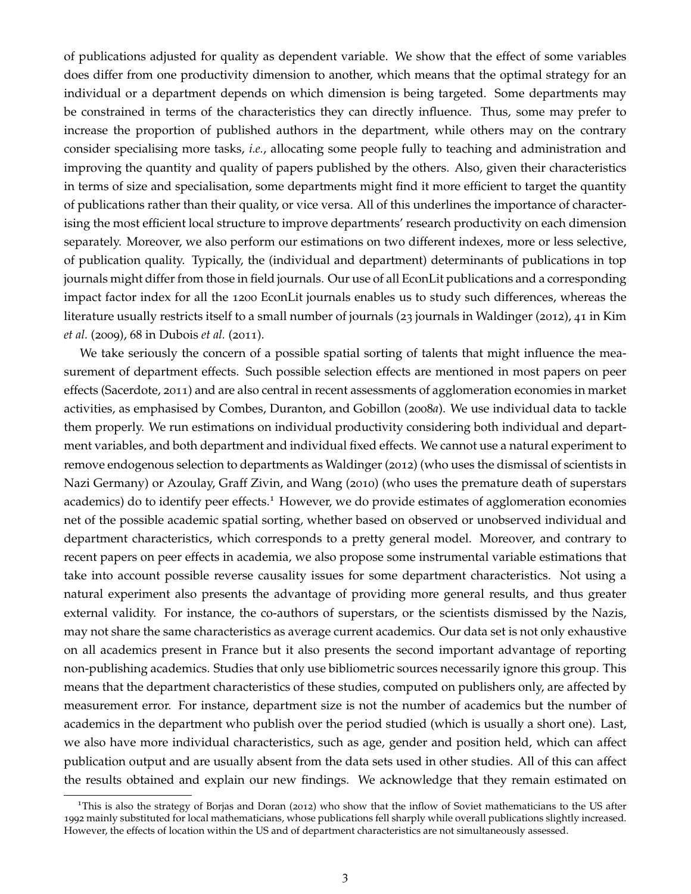of publications adjusted for quality as dependent variable. We show that the effect of some variables does differ from one productivity dimension to another, which means that the optimal strategy for an individual or a department depends on which dimension is being targeted. Some departments may be constrained in terms of the characteristics they can directly influence. Thus, some may prefer to increase the proportion of published authors in the department, while others may on the contrary consider specialising more tasks, *i.e.*, allocating some people fully to teaching and administration and improving the quantity and quality of papers published by the others. Also, given their characteristics in terms of size and specialisation, some departments might find it more efficient to target the quantity of publications rather than their quality, or vice versa. All of this underlines the importance of characterising the most efficient local structure to improve departments' research productivity on each dimension separately. Moreover, we also perform our estimations on two different indexes, more or less selective, of publication quality. Typically, the (individual and department) determinants of publications in top journals might differ from those in field journals. Our use of all EconLit publications and a corresponding impact factor index for all the 1200 EconLit journals enables us to study such differences, whereas the literature usually restricts itself to a small number of journals (23 journals in Waldinger (2012), 41 in Kim *et al.* (2009), 68 in Dubois *et al.* (2011).

We take seriously the concern of a possible spatial sorting of talents that might influence the measurement of department effects. Such possible selection effects are mentioned in most papers on peer effects (Sacerdote, 2011) and are also central in recent assessments of agglomeration economies in market activities, as emphasised by Combes, Duranton, and Gobillon (2008*a*). We use individual data to tackle them properly. We run estimations on individual productivity considering both individual and department variables, and both department and individual fixed effects. We cannot use a natural experiment to remove endogenous selection to departments as Waldinger (2012) (who uses the dismissal of scientists in Nazi Germany) or Azoulay, Graff Zivin, and Wang (2010) (who uses the premature death of superstars academics) do to identify peer effects.<sup>1</sup> However, we do provide estimates of agglomeration economies net of the possible academic spatial sorting, whether based on observed or unobserved individual and department characteristics, which corresponds to a pretty general model. Moreover, and contrary to recent papers on peer effects in academia, we also propose some instrumental variable estimations that take into account possible reverse causality issues for some department characteristics. Not using a natural experiment also presents the advantage of providing more general results, and thus greater external validity. For instance, the co-authors of superstars, or the scientists dismissed by the Nazis, may not share the same characteristics as average current academics. Our data set is not only exhaustive on all academics present in France but it also presents the second important advantage of reporting non-publishing academics. Studies that only use bibliometric sources necessarily ignore this group. This means that the department characteristics of these studies, computed on publishers only, are affected by measurement error. For instance, department size is not the number of academics but the number of academics in the department who publish over the period studied (which is usually a short one). Last, we also have more individual characteristics, such as age, gender and position held, which can affect publication output and are usually absent from the data sets used in other studies. All of this can affect the results obtained and explain our new findings. We acknowledge that they remain estimated on

<sup>1</sup>This is also the strategy of Borjas and Doran (2012) who show that the inflow of Soviet mathematicians to the US after 1992 mainly substituted for local mathematicians, whose publications fell sharply while overall publications slightly increased. However, the effects of location within the US and of department characteristics are not simultaneously assessed.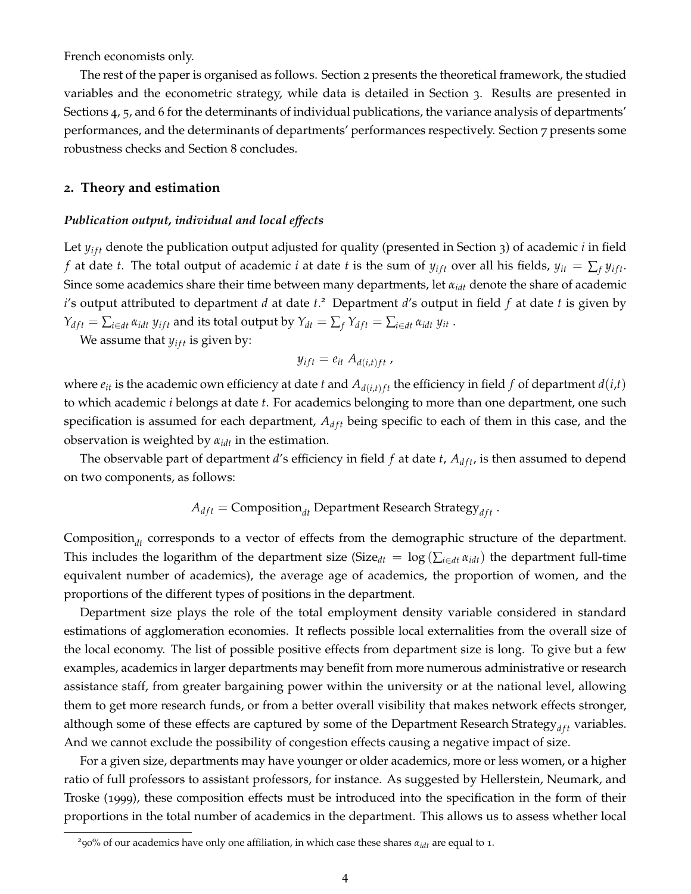French economists only.

The rest of the paper is organised as follows. Section 2 presents the theoretical framework, the studied variables and the econometric strategy, while data is detailed in Section 3. Results are presented in Sections 4, 5, and 6 for the determinants of individual publications, the variance analysis of departments' performances, and the determinants of departments' performances respectively. Section 7 presents some robustness checks and Section 8 concludes.

#### **2. Theory and estimation**

#### *Publication output, individual and local effects*

Let  $y_{if}$  denote the publication output adjusted for quality (presented in Section 3) of academic *i* in field *f* at date *t*. The total output of academic *i* at date *t* is the sum of  $y_{ift}$  over all his fields,  $y_{it} = \sum_f y_{ift}$ . Since some academics share their time between many departments, let  $α_{idt}$  denote the share of academic *i*'s output attributed to department *d* at date *t*. 2 Department *d*'s output in field *f* at date *t* is given by  $Y_{dft} = \sum_{i \in dt} \alpha_{idt} y_{ift}$  and its total output by  $Y_{dt} = \sum_f Y_{dft} = \sum_{i \in dt} \alpha_{idt} y_{it}$ .

We assume that  $y_{ift}$  is given by:

$$
y_{ift} = e_{it} A_{d(i,t)ft}
$$
,

where  $e_{it}$  is the academic own efficiency at date *t* and  $A_{d(i,t)}$  the efficiency in field *f* of department  $d(i,t)$ to which academic *i* belongs at date *t*. For academics belonging to more than one department, one such specification is assumed for each department,  $A_{dft}$  being specific to each of them in this case, and the observation is weighted by *αidt* in the estimation.

The observable part of department  $d'$ s efficiency in field  $f$  at date  $t$ ,  $A_{dft}$ , is then assumed to depend on two components, as follows:

$$
A_{dft} = \text{Composition}_{dt} \text{ Department Research Strategy}_{dft}.
$$

Composition<sub>dt</sub> corresponds to a vector of effects from the demographic structure of the department. This includes the logarithm of the department size (Size<sub>dt</sub> =  $\log(\sum_{i \in dt} \alpha_{idt})$  the department full-time equivalent number of academics), the average age of academics, the proportion of women, and the proportions of the different types of positions in the department.

Department size plays the role of the total employment density variable considered in standard estimations of agglomeration economies. It reflects possible local externalities from the overall size of the local economy. The list of possible positive effects from department size is long. To give but a few examples, academics in larger departments may benefit from more numerous administrative or research assistance staff, from greater bargaining power within the university or at the national level, allowing them to get more research funds, or from a better overall visibility that makes network effects stronger, although some of these effects are captured by some of the Department Research Strategy<sub>dft</sub> variables. And we cannot exclude the possibility of congestion effects causing a negative impact of size.

For a given size, departments may have younger or older academics, more or less women, or a higher ratio of full professors to assistant professors, for instance. As suggested by Hellerstein, Neumark, and Troske (1999), these composition effects must be introduced into the specification in the form of their proportions in the total number of academics in the department. This allows us to assess whether local

<sup>&</sup>lt;sup>2</sup>90% of our academics have only one affiliation, in which case these shares  $α<sub>idt</sub>$  are equal to 1.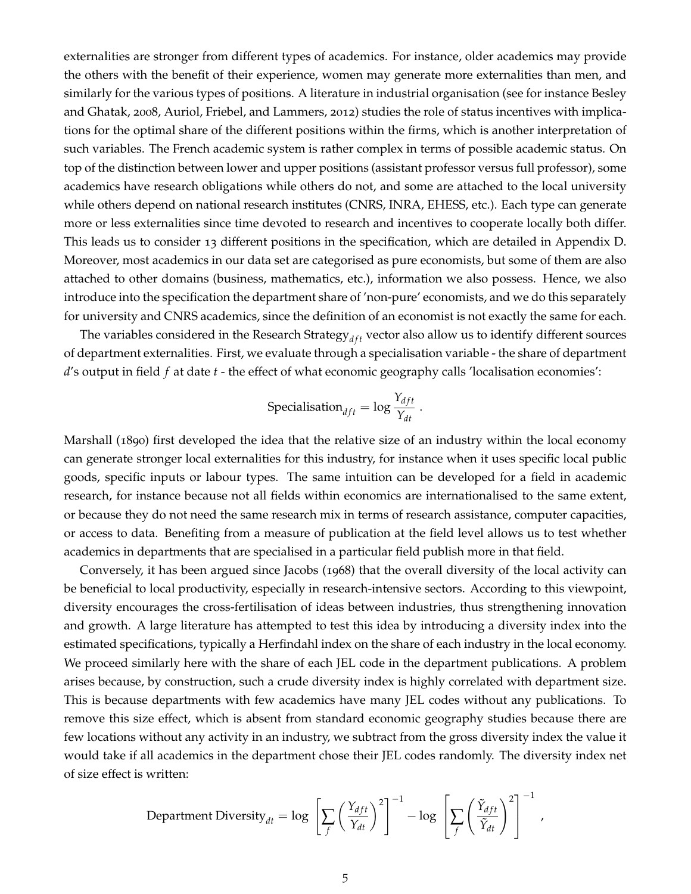externalities are stronger from different types of academics. For instance, older academics may provide the others with the benefit of their experience, women may generate more externalities than men, and similarly for the various types of positions. A literature in industrial organisation (see for instance Besley and Ghatak, 2008, Auriol, Friebel, and Lammers, 2012) studies the role of status incentives with implications for the optimal share of the different positions within the firms, which is another interpretation of such variables. The French academic system is rather complex in terms of possible academic status. On top of the distinction between lower and upper positions (assistant professor versus full professor), some academics have research obligations while others do not, and some are attached to the local university while others depend on national research institutes (CNRS, INRA, EHESS, etc.). Each type can generate more or less externalities since time devoted to research and incentives to cooperate locally both differ. This leads us to consider 13 different positions in the specification, which are detailed in Appendix D. Moreover, most academics in our data set are categorised as pure economists, but some of them are also attached to other domains (business, mathematics, etc.), information we also possess. Hence, we also introduce into the specification the department share of 'non-pure' economists, and we do this separately for university and CNRS academics, since the definition of an economist is not exactly the same for each.

The variables considered in the Research Strategy<sub>dft</sub> vector also allow us to identify different sources of department externalities. First, we evaluate through a specialisation variable - the share of department *d*'s output in field *f* at date *t* - the effect of what economic geography calls 'localisation economies':

Specialisation<sub>dft</sub> = 
$$
\log \frac{Y_{dft}}{Y_{dt}}
$$
.

Marshall (1890) first developed the idea that the relative size of an industry within the local economy can generate stronger local externalities for this industry, for instance when it uses specific local public goods, specific inputs or labour types. The same intuition can be developed for a field in academic research, for instance because not all fields within economics are internationalised to the same extent, or because they do not need the same research mix in terms of research assistance, computer capacities, or access to data. Benefiting from a measure of publication at the field level allows us to test whether academics in departments that are specialised in a particular field publish more in that field.

Conversely, it has been argued since Jacobs (1968) that the overall diversity of the local activity can be beneficial to local productivity, especially in research-intensive sectors. According to this viewpoint, diversity encourages the cross-fertilisation of ideas between industries, thus strengthening innovation and growth. A large literature has attempted to test this idea by introducing a diversity index into the estimated specifications, typically a Herfindahl index on the share of each industry in the local economy. We proceed similarly here with the share of each JEL code in the department publications. A problem arises because, by construction, such a crude diversity index is highly correlated with department size. This is because departments with few academics have many JEL codes without any publications. To remove this size effect, which is absent from standard economic geography studies because there are few locations without any activity in an industry, we subtract from the gross diversity index the value it would take if all academics in the department chose their JEL codes randomly. The diversity index net of size effect is written:

Department Diversity<sub>dt</sub> = log 
$$
\left[\sum_{f}\left(\frac{Y_{dft}}{Y_{dt}}\right)^2\right]^{-1} - \log \left[\sum_{f}\left(\frac{\tilde{Y}_{dft}}{\tilde{Y}_{dt}}\right)^2\right]^{-1}
$$
,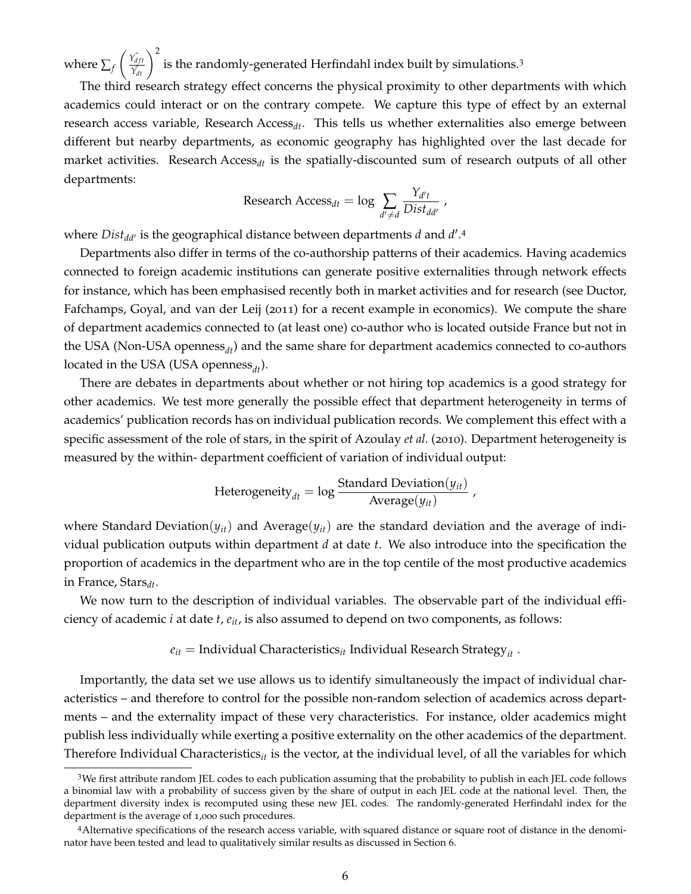where  $\sum_f$  $\left(\frac{\tilde{Y}_{dft}}{\tilde{Y}_{dt}}\right)^2$  is the randomly-generated Herfindahl index built by simulations.<sup>3</sup>

The third research strategy effect concerns the physical proximity to other departments with which academics could interact or on the contrary compete. We capture this type of effect by an external research access variable, Research Access*dt*. This tells us whether externalities also emerge between different but nearby departments, as economic geography has highlighted over the last decade for market activities. Research Access*dt* is the spatially-discounted sum of research outputs of all other departments:

Research Access<sub>dt</sub> = log 
$$
\sum_{d' \neq d} \frac{Y_{d't}}{Dist_{dd'}}
$$
,

where *Dist<sub>dd'</sub>* is the geographical distance between departments *d* and *d'*.<sup>4</sup>

Departments also differ in terms of the co-authorship patterns of their academics. Having academics connected to foreign academic institutions can generate positive externalities through network effects for instance, which has been emphasised recently both in market activities and for research (see Ductor, Fafchamps, Goyal, and van der Leij (2011) for a recent example in economics). We compute the share of department academics connected to (at least one) co-author who is located outside France but not in the USA (Non-USA openness<sub>dt</sub>) and the same share for department academics connected to co-authors located in the USA (USA openness<sub>dt</sub>).

There are debates in departments about whether or not hiring top academics is a good strategy for other academics. We test more generally the possible effect that department heterogeneity in terms of academics' publication records has on individual publication records. We complement this effect with a specific assessment of the role of stars, in the spirit of Azoulay *et al.* (2010). Department heterogeneity is measured by the within- department coefficient of variation of individual output:

Heterogeneity<sub>dt</sub> = log 
$$
\frac{\text{Standard Deviation}(y_{it})}{\text{Average}(y_{it})}
$$

,

where Standard Deviation( $y_{it}$ ) and Average( $y_{it}$ ) are the standard deviation and the average of individual publication outputs within department *d* at date *t*. We also introduce into the specification the proportion of academics in the department who are in the top centile of the most productive academics in France, Stars*dt*.

We now turn to the description of individual variables. The observable part of the individual efficiency of academic *i* at date *t*, *eit*, is also assumed to depend on two components, as follows:

$$
e_{it}
$$
 = Individual Characteristics<sub>it</sub> Individual Research Strategy<sub>it</sub>.

Importantly, the data set we use allows us to identify simultaneously the impact of individual characteristics – and therefore to control for the possible non-random selection of academics across departments – and the externality impact of these very characteristics. For instance, older academics might publish less individually while exerting a positive externality on the other academics of the department. Therefore Individual Characteristics*it* is the vector, at the individual level, of all the variables for which

<sup>3</sup>We first attribute random JEL codes to each publication assuming that the probability to publish in each JEL code follows a binomial law with a probability of success given by the share of output in each JEL code at the national level. Then, the department diversity index is recomputed using these new JEL codes. The randomly-generated Herfindahl index for the department is the average of 1,000 such procedures.

<sup>4</sup>Alternative specifications of the research access variable, with squared distance or square root of distance in the denominator have been tested and lead to qualitatively similar results as discussed in Section 6.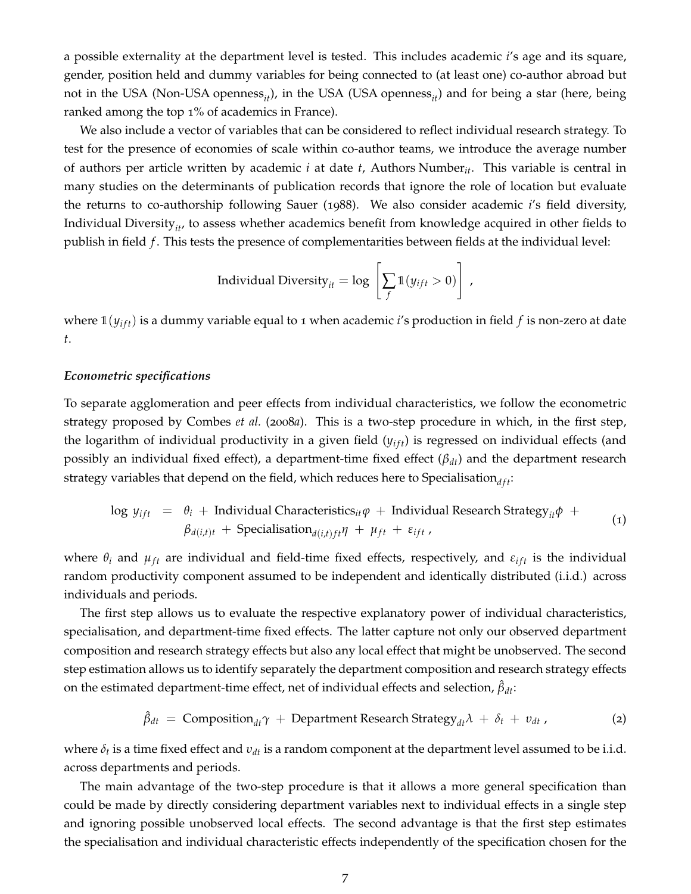a possible externality at the department level is tested. This includes academic *i*'s age and its square, gender, position held and dummy variables for being connected to (at least one) co-author abroad but not in the USA (Non-USA openness<sub>*it</sub>*), in the USA (USA openness<sub>*it*</sub>) and for being a star (here, being</sub> ranked among the top 1% of academics in France).

We also include a vector of variables that can be considered to reflect individual research strategy. To test for the presence of economies of scale within co-author teams, we introduce the average number of authors per article written by academic *i* at date *t*, Authors Number*it*. This variable is central in many studies on the determinants of publication records that ignore the role of location but evaluate the returns to co-authorship following Sauer (1988). We also consider academic *i*'s field diversity, Individual Diversity<sub>*it*</sub>, to assess whether academics benefit from knowledge acquired in other fields to publish in field *f* . This tests the presence of complementarities between fields at the individual level:

$$
Individual \ Diversity_{it} = log \left[ \sum_{f} 1(y_{ift} > 0) \right],
$$

where  $\mathbb{1}(y_{if}$  is a dummy variable equal to 1 when academic *i*'s production in field *f* is non-zero at date *t*.

#### *Econometric specifications*

To separate agglomeration and peer effects from individual characteristics, we follow the econometric strategy proposed by Combes *et al.* (2008*a*). This is a two-step procedure in which, in the first step, the logarithm of individual productivity in a given field ( $y<sub>if</sub>$ ) is regressed on individual effects (and possibly an individual fixed effect), a department-time fixed effect (*βdt*) and the department research strategy variables that depend on the field, which reduces here to Specialisation $_{dft}$ :

$$
\log y_{ift} = \theta_i + \text{Individual Characteristics}_{it}\varphi + \text{Individual Research Strategy}_{it}\varphi + \beta_{d(i,t)t} + \text{Specialisation}_{d(i,t)ft}\eta + \mu_{ft} + \varepsilon_{ift} \tag{1}
$$

where  $\theta_i$  and  $\mu_{ft}$  are individual and field-time fixed effects, respectively, and  $\varepsilon_{ift}$  is the individual random productivity component assumed to be independent and identically distributed (i.i.d.) across individuals and periods.

The first step allows us to evaluate the respective explanatory power of individual characteristics, specialisation, and department-time fixed effects. The latter capture not only our observed department composition and research strategy effects but also any local effect that might be unobserved. The second step estimation allows us to identify separately the department composition and research strategy effects on the estimated department-time effect, net of individual effects and selection,  $\hat{\beta}_{dt}$ :

$$
\hat{\beta}_{dt} = \text{Composition}_{dt}\gamma + \text{Department Research Strategy}_{dt}\lambda + \delta_t + v_{dt}, \qquad (2)
$$

where  $\delta_t$  is a time fixed effect and  $v_{dt}$  is a random component at the department level assumed to be i.i.d. across departments and periods.

The main advantage of the two-step procedure is that it allows a more general specification than could be made by directly considering department variables next to individual effects in a single step and ignoring possible unobserved local effects. The second advantage is that the first step estimates the specialisation and individual characteristic effects independently of the specification chosen for the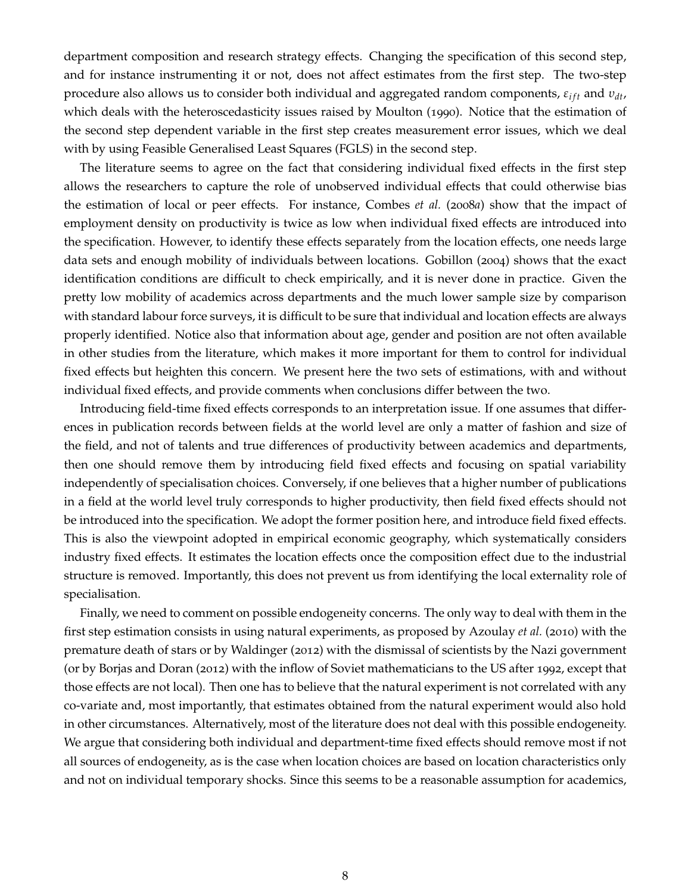department composition and research strategy effects. Changing the specification of this second step, and for instance instrumenting it or not, does not affect estimates from the first step. The two-step procedure also allows us to consider both individual and aggregated random components,  $ε<sub>if</sub>t$  and  $v<sub>dt</sub>$ , which deals with the heteroscedasticity issues raised by Moulton (1990). Notice that the estimation of the second step dependent variable in the first step creates measurement error issues, which we deal with by using Feasible Generalised Least Squares (FGLS) in the second step.

The literature seems to agree on the fact that considering individual fixed effects in the first step allows the researchers to capture the role of unobserved individual effects that could otherwise bias the estimation of local or peer effects. For instance, Combes *et al.* (2008*a*) show that the impact of employment density on productivity is twice as low when individual fixed effects are introduced into the specification. However, to identify these effects separately from the location effects, one needs large data sets and enough mobility of individuals between locations. Gobillon (2004) shows that the exact identification conditions are difficult to check empirically, and it is never done in practice. Given the pretty low mobility of academics across departments and the much lower sample size by comparison with standard labour force surveys, it is difficult to be sure that individual and location effects are always properly identified. Notice also that information about age, gender and position are not often available in other studies from the literature, which makes it more important for them to control for individual fixed effects but heighten this concern. We present here the two sets of estimations, with and without individual fixed effects, and provide comments when conclusions differ between the two.

Introducing field-time fixed effects corresponds to an interpretation issue. If one assumes that differences in publication records between fields at the world level are only a matter of fashion and size of the field, and not of talents and true differences of productivity between academics and departments, then one should remove them by introducing field fixed effects and focusing on spatial variability independently of specialisation choices. Conversely, if one believes that a higher number of publications in a field at the world level truly corresponds to higher productivity, then field fixed effects should not be introduced into the specification. We adopt the former position here, and introduce field fixed effects. This is also the viewpoint adopted in empirical economic geography, which systematically considers industry fixed effects. It estimates the location effects once the composition effect due to the industrial structure is removed. Importantly, this does not prevent us from identifying the local externality role of specialisation.

Finally, we need to comment on possible endogeneity concerns. The only way to deal with them in the first step estimation consists in using natural experiments, as proposed by Azoulay *et al.* (2010) with the premature death of stars or by Waldinger (2012) with the dismissal of scientists by the Nazi government (or by Borjas and Doran (2012) with the inflow of Soviet mathematicians to the US after 1992, except that those effects are not local). Then one has to believe that the natural experiment is not correlated with any co-variate and, most importantly, that estimates obtained from the natural experiment would also hold in other circumstances. Alternatively, most of the literature does not deal with this possible endogeneity. We argue that considering both individual and department-time fixed effects should remove most if not all sources of endogeneity, as is the case when location choices are based on location characteristics only and not on individual temporary shocks. Since this seems to be a reasonable assumption for academics,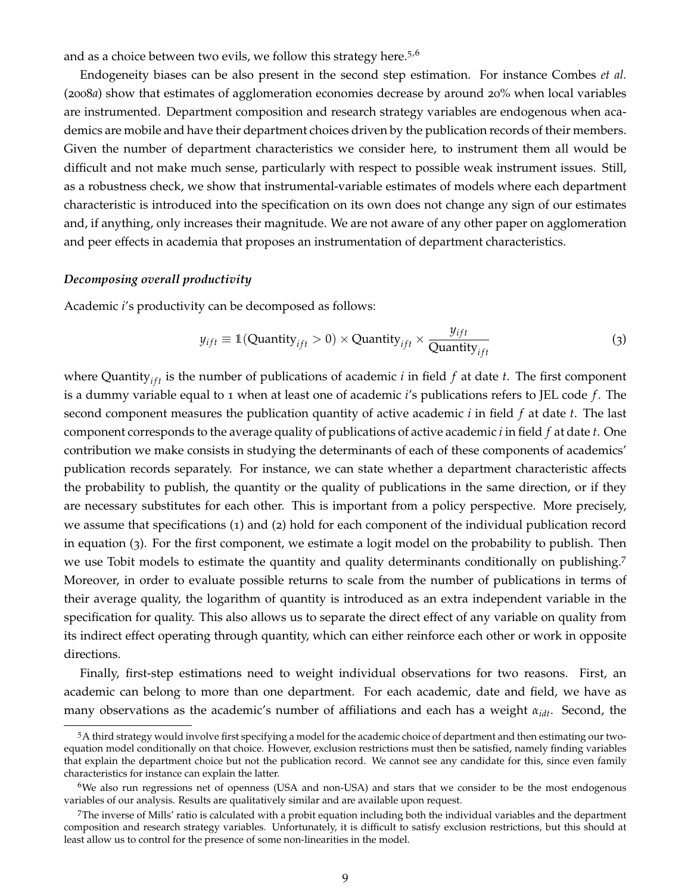and as a choice between two evils, we follow this strategy here.<sup>5,6</sup>

Endogeneity biases can be also present in the second step estimation. For instance Combes *et al.* (2008*a*) show that estimates of agglomeration economies decrease by around 20% when local variables are instrumented. Department composition and research strategy variables are endogenous when academics are mobile and have their department choices driven by the publication records of their members. Given the number of department characteristics we consider here, to instrument them all would be difficult and not make much sense, particularly with respect to possible weak instrument issues. Still, as a robustness check, we show that instrumental-variable estimates of models where each department characteristic is introduced into the specification on its own does not change any sign of our estimates and, if anything, only increases their magnitude. We are not aware of any other paper on agglomeration and peer effects in academia that proposes an instrumentation of department characteristics.

#### *Decomposing overall productivity*

Academic *i*'s productivity can be decomposed as follows:

$$
y_{ift} \equiv 1(Quantity_{ift} > 0) \times Quantity_{ift} \times \frac{y_{ift}}{Quantity_{ift}} \tag{3}
$$

where Quantity<sub>*ift*</sub> is the number of publications of academic *i* in field  $f$  at date  $t$ . The first component is a dummy variable equal to 1 when at least one of academic *i*'s publications refers to JEL code *f* . The second component measures the publication quantity of active academic *i* in field *f* at date *t*. The last component corresponds to the average quality of publications of active academic *i* in field *f* at date *t*. One contribution we make consists in studying the determinants of each of these components of academics' publication records separately. For instance, we can state whether a department characteristic affects the probability to publish, the quantity or the quality of publications in the same direction, or if they are necessary substitutes for each other. This is important from a policy perspective. More precisely, we assume that specifications (1) and (2) hold for each component of the individual publication record in equation (3). For the first component, we estimate a logit model on the probability to publish. Then we use Tobit models to estimate the quantity and quality determinants conditionally on publishing.<sup>7</sup> Moreover, in order to evaluate possible returns to scale from the number of publications in terms of their average quality, the logarithm of quantity is introduced as an extra independent variable in the specification for quality. This also allows us to separate the direct effect of any variable on quality from its indirect effect operating through quantity, which can either reinforce each other or work in opposite directions.

Finally, first-step estimations need to weight individual observations for two reasons. First, an academic can belong to more than one department. For each academic, date and field, we have as many observations as the academic's number of affiliations and each has a weight *αidt*. Second, the

<sup>5</sup>A third strategy would involve first specifying a model for the academic choice of department and then estimating our twoequation model conditionally on that choice. However, exclusion restrictions must then be satisfied, namely finding variables that explain the department choice but not the publication record. We cannot see any candidate for this, since even family characteristics for instance can explain the latter.

<sup>&</sup>lt;sup>6</sup>We also run regressions net of openness (USA and non-USA) and stars that we consider to be the most endogenous variables of our analysis. Results are qualitatively similar and are available upon request.

<sup>7</sup>The inverse of Mills' ratio is calculated with a probit equation including both the individual variables and the department composition and research strategy variables. Unfortunately, it is difficult to satisfy exclusion restrictions, but this should at least allow us to control for the presence of some non-linearities in the model.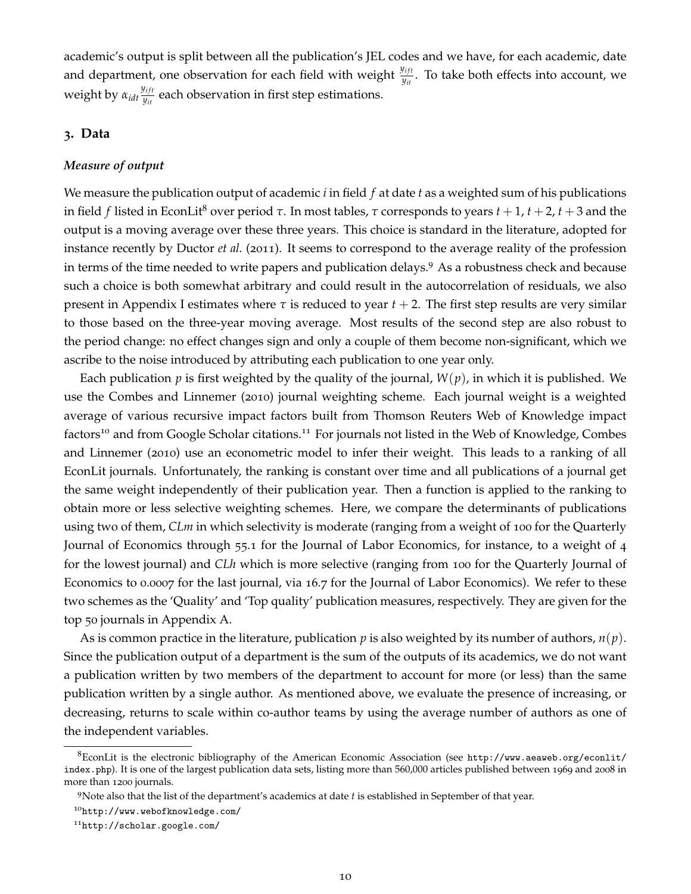academic's output is split between all the publication's JEL codes and we have, for each academic, date and department, one observation for each field with weight  $y_{it}^{ij}$ . To take both effects into account, we weight by  $α_{idt} \frac{y_{ift}}{y_{it}}$  $\frac{y_{ijt}}{y_{it}}$  each observation in first step estimations.

#### **3. Data**

#### *Measure of output*

We measure the publication output of academic *i* in field *f* at date *t* as a weighted sum of his publications in field *f* listed in EconLit<sup>8</sup> over period *τ*. In most tables, *τ* corresponds to years *t* + 1, *t* + 2, *t* + 3 and the output is a moving average over these three years. This choice is standard in the literature, adopted for instance recently by Ductor *et al.* (2011). It seems to correspond to the average reality of the profession in terms of the time needed to write papers and publication delays.9 As a robustness check and because such a choice is both somewhat arbitrary and could result in the autocorrelation of residuals, we also present in Appendix I estimates where  $\tau$  is reduced to year  $t + 2$ . The first step results are very similar to those based on the three-year moving average. Most results of the second step are also robust to the period change: no effect changes sign and only a couple of them become non-significant, which we ascribe to the noise introduced by attributing each publication to one year only.

Each publication  $p$  is first weighted by the quality of the journal,  $W(p)$ , in which it is published. We use the Combes and Linnemer (2010) journal weighting scheme. Each journal weight is a weighted average of various recursive impact factors built from Thomson Reuters Web of Knowledge impact factors<sup>10</sup> and from Google Scholar citations.<sup>11</sup> For journals not listed in the Web of Knowledge, Combes and Linnemer (2010) use an econometric model to infer their weight. This leads to a ranking of all EconLit journals. Unfortunately, the ranking is constant over time and all publications of a journal get the same weight independently of their publication year. Then a function is applied to the ranking to obtain more or less selective weighting schemes. Here, we compare the determinants of publications using two of them, *CLm* in which selectivity is moderate (ranging from a weight of 100 for the Quarterly Journal of Economics through 55.1 for the Journal of Labor Economics, for instance, to a weight of 4 for the lowest journal) and *CLh* which is more selective (ranging from 100 for the Quarterly Journal of Economics to 0.0007 for the last journal, via 16.7 for the Journal of Labor Economics). We refer to these two schemes as the 'Quality' and 'Top quality' publication measures, respectively. They are given for the top 50 journals in Appendix A.

As is common practice in the literature, publication *p* is also weighted by its number of authors, *n*(*p*). Since the publication output of a department is the sum of the outputs of its academics, we do not want a publication written by two members of the department to account for more (or less) than the same publication written by a single author. As mentioned above, we evaluate the presence of increasing, or decreasing, returns to scale within co-author teams by using the average number of authors as one of the independent variables.

 ${}^{8}$ EconLit is the electronic bibliography of the American Economic Association (see [http://www.aeaweb.org/econlit/](http://www.aeaweb.org/econlit/index.php) [index.php](http://www.aeaweb.org/econlit/index.php)). It is one of the largest publication data sets, listing more than 560,000 articles published between 1969 and 2008 in more than 1200 journals.

<sup>9</sup>Note also that the list of the department's academics at date *t* is established in September of that year.

<sup>10</sup><http://www.webofknowledge.com/>

<sup>11</sup><http://scholar.google.com/>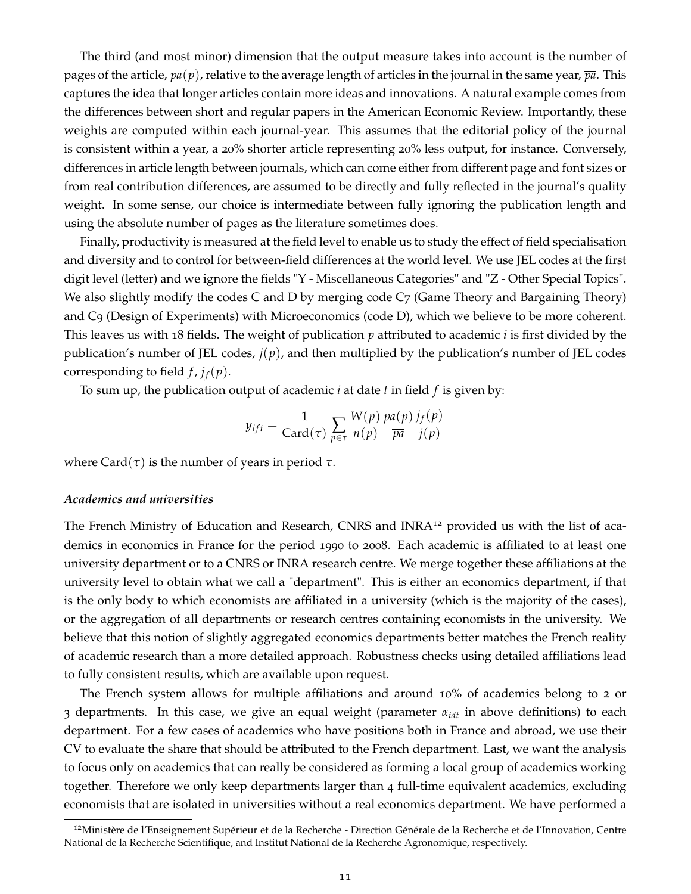The third (and most minor) dimension that the output measure takes into account is the number of pages of the article,  $pa(p)$ , relative to the average length of articles in the journal in the same year,  $\overline{pa}$ . This captures the idea that longer articles contain more ideas and innovations. A natural example comes from the differences between short and regular papers in the American Economic Review. Importantly, these weights are computed within each journal-year. This assumes that the editorial policy of the journal is consistent within a year, a 20% shorter article representing 20% less output, for instance. Conversely, differences in article length between journals, which can come either from different page and font sizes or from real contribution differences, are assumed to be directly and fully reflected in the journal's quality weight. In some sense, our choice is intermediate between fully ignoring the publication length and using the absolute number of pages as the literature sometimes does.

Finally, productivity is measured at the field level to enable us to study the effect of field specialisation and diversity and to control for between-field differences at the world level. We use JEL codes at the first digit level (letter) and we ignore the fields "Y - Miscellaneous Categories" and "Z - Other Special Topics". We also slightly modify the codes C and D by merging code C7 (Game Theory and Bargaining Theory) and C9 (Design of Experiments) with Microeconomics (code D), which we believe to be more coherent. This leaves us with 18 fields. The weight of publication *p* attributed to academic *i* is first divided by the publication's number of JEL codes, *j*(*p*), and then multiplied by the publication's number of JEL codes corresponding to field  $f$ ,  $j_f(p)$ .

To sum up, the publication output of academic *i* at date *t* in field *f* is given by:

$$
y_{ift} = \frac{1}{\text{Card}(\tau)} \sum_{p \in \tau} \frac{W(p)}{n(p)} \frac{pa(p)}{\overline{pa}} \frac{j_f(p)}{j(p)}
$$

where Card( $\tau$ ) is the number of years in period  $\tau$ .

#### *Academics and universities*

The French Ministry of Education and Research, CNRS and INRA<sup>12</sup> provided us with the list of academics in economics in France for the period 1990 to 2008. Each academic is affiliated to at least one university department or to a CNRS or INRA research centre. We merge together these affiliations at the university level to obtain what we call a "department". This is either an economics department, if that is the only body to which economists are affiliated in a university (which is the majority of the cases), or the aggregation of all departments or research centres containing economists in the university. We believe that this notion of slightly aggregated economics departments better matches the French reality of academic research than a more detailed approach. Robustness checks using detailed affiliations lead to fully consistent results, which are available upon request.

The French system allows for multiple affiliations and around 10% of academics belong to 2 or 3 departments. In this case, we give an equal weight (parameter *αidt* in above definitions) to each department. For a few cases of academics who have positions both in France and abroad, we use their CV to evaluate the share that should be attributed to the French department. Last, we want the analysis to focus only on academics that can really be considered as forming a local group of academics working together. Therefore we only keep departments larger than 4 full-time equivalent academics, excluding economists that are isolated in universities without a real economics department. We have performed a

<sup>&</sup>lt;sup>12</sup>Ministère de l'Enseignement Supérieur et de la Recherche - Direction Générale de la Recherche et de l'Innovation, Centre National de la Recherche Scientifique, and Institut National de la Recherche Agronomique, respectively.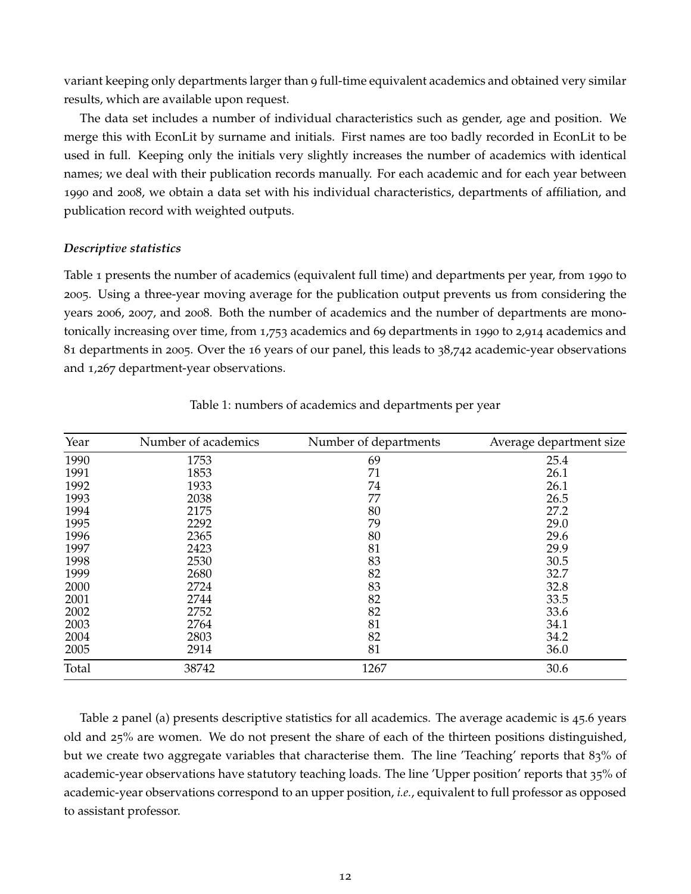variant keeping only departments larger than 9 full-time equivalent academics and obtained very similar results, which are available upon request.

The data set includes a number of individual characteristics such as gender, age and position. We merge this with EconLit by surname and initials. First names are too badly recorded in EconLit to be used in full. Keeping only the initials very slightly increases the number of academics with identical names; we deal with their publication records manually. For each academic and for each year between 1990 and 2008, we obtain a data set with his individual characteristics, departments of affiliation, and publication record with weighted outputs.

#### *Descriptive statistics*

Table 1 presents the number of academics (equivalent full time) and departments per year, from 1990 to 2005. Using a three-year moving average for the publication output prevents us from considering the years 2006, 2007, and 2008. Both the number of academics and the number of departments are monotonically increasing over time, from 1,753 academics and 69 departments in 1990 to 2,914 academics and 81 departments in 2005. Over the 16 years of our panel, this leads to 38,742 academic-year observations and 1,267 department-year observations.

| Year  | Number of academics | Number of departments | Average department size |
|-------|---------------------|-----------------------|-------------------------|
| 1990  | 1753                | 69                    | 25.4                    |
| 1991  | 1853                | 71                    | 26.1                    |
| 1992  | 1933                | 74                    | 26.1                    |
| 1993  | 2038                | 77                    | 26.5                    |
| 1994  | 2175                | 80                    | 27.2                    |
| 1995  | 2292                | 79                    | 29.0                    |
| 1996  | 2365                | 80                    | 29.6                    |
| 1997  | 2423                | 81                    | 29.9                    |
| 1998  | 2530                | 83                    | 30.5                    |
| 1999  | 2680                | 82                    | 32.7                    |
| 2000  | 2724                | 83                    | 32.8                    |
| 2001  | 2744                | 82                    | 33.5                    |
| 2002  | 2752                | 82                    | 33.6                    |
| 2003  | 2764                | 81                    | 34.1                    |
| 2004  | 2803                | 82                    | 34.2                    |
| 2005  | 2914                | 81                    | 36.0                    |
| Total | 38742               | 1267                  | 30.6                    |

Table 1: numbers of academics and departments per year

Table 2 panel (a) presents descriptive statistics for all academics. The average academic is 45.6 years old and 25% are women. We do not present the share of each of the thirteen positions distinguished, but we create two aggregate variables that characterise them. The line 'Teaching' reports that 83% of academic-year observations have statutory teaching loads. The line 'Upper position' reports that 35% of academic-year observations correspond to an upper position, *i.e.*, equivalent to full professor as opposed to assistant professor.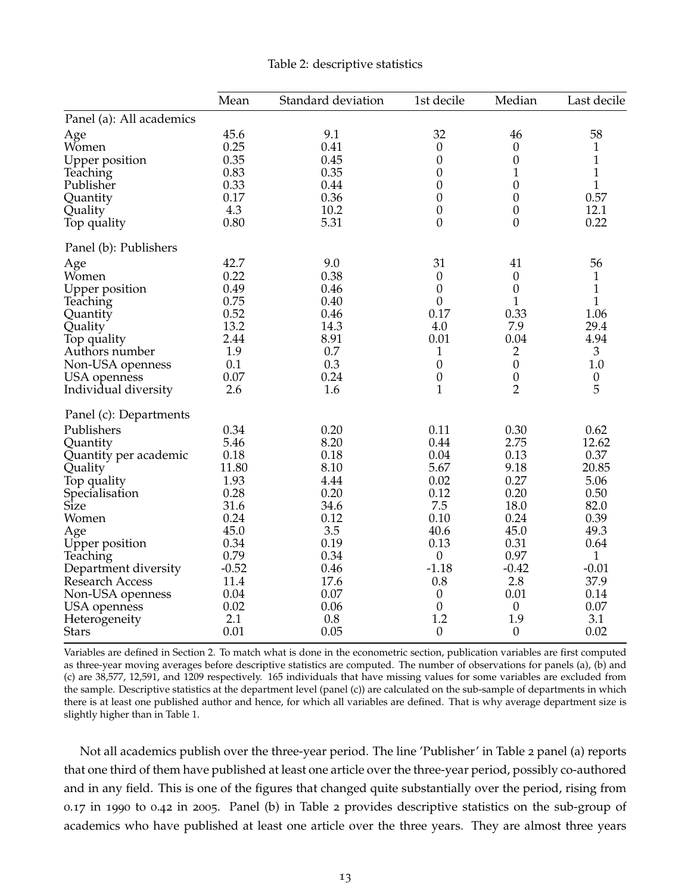|                                                                                                                                                                                                                                                                   | Mean                                                                                                                                    | Standard deviation                                                                                                                 | 1st decile                                                                                                                                                                   | Median                                                                                                                                                        | Last decile                                                                                                                                          |
|-------------------------------------------------------------------------------------------------------------------------------------------------------------------------------------------------------------------------------------------------------------------|-----------------------------------------------------------------------------------------------------------------------------------------|------------------------------------------------------------------------------------------------------------------------------------|------------------------------------------------------------------------------------------------------------------------------------------------------------------------------|---------------------------------------------------------------------------------------------------------------------------------------------------------------|------------------------------------------------------------------------------------------------------------------------------------------------------|
| Panel (a): All academics                                                                                                                                                                                                                                          |                                                                                                                                         |                                                                                                                                    |                                                                                                                                                                              |                                                                                                                                                               |                                                                                                                                                      |
| Age<br>Women<br><b>Upper position</b><br>Teaching<br>Publisher<br>Quantity<br>Quality<br>Top quality                                                                                                                                                              | 45.6<br>0.25<br>0.35<br>0.83<br>0.33<br>0.17<br>4.3<br>0.80                                                                             | 9.1<br>0.41<br>0.45<br>0.35<br>0.44<br>0.36<br>10.2<br>5.31                                                                        | 32<br>$\boldsymbol{0}$<br>$\boldsymbol{0}$<br>$\boldsymbol{0}$<br>$\boldsymbol{0}$<br>$\boldsymbol{0}$<br>$\overline{0}$<br>$\boldsymbol{0}$                                 | 46<br>$\boldsymbol{0}$<br>$\boldsymbol{0}$<br>$\mathbf 1$<br>$\boldsymbol{0}$<br>$\boldsymbol{0}$<br>$\boldsymbol{0}$<br>0                                    | 58<br>$\mathbf{1}$<br>$\mathbf{1}$<br>$\mathbf{1}$<br>$\mathbf{1}$<br>0.57<br>12.1<br>0.22                                                           |
| Panel (b): Publishers                                                                                                                                                                                                                                             |                                                                                                                                         |                                                                                                                                    |                                                                                                                                                                              |                                                                                                                                                               |                                                                                                                                                      |
| Age<br>Women<br><b>Upper position</b><br>Teaching<br>Quantity<br>Quality<br>Top quality<br>Authors number<br>Non-USA openness<br>USA openness<br>Individual diversity                                                                                             | 42.7<br>0.22<br>0.49<br>0.75<br>0.52<br>13.2<br>2.44<br>1.9<br>0.1<br>0.07<br>2.6                                                       | 9.0<br>0.38<br>0.46<br>0.40<br>0.46<br>14.3<br>8.91<br>0.7<br>0.3<br>0.24<br>1.6                                                   | 31<br>$\boldsymbol{0}$<br>$\boldsymbol{0}$<br>$\boldsymbol{0}$<br>0.17<br>4.0<br>0.01<br>$\mathbf{1}$<br>$\boldsymbol{0}$<br>$\boldsymbol{0}$<br>$\mathbf{1}$                | 41<br>$\boldsymbol{0}$<br>$\boldsymbol{0}$<br>1<br>0.33<br>7.9<br>0.04<br>$\overline{2}$<br>$\boldsymbol{0}$<br>$\boldsymbol{0}$<br>$\overline{2}$            | 56<br>$\mathbf{1}$<br>$\mathbf{1}$<br>$\mathbf 1$<br>1.06<br>29.4<br>4.94<br>$\mathfrak{Z}$<br>1.0<br>$\boldsymbol{0}$<br>5                          |
| Panel (c): Departments                                                                                                                                                                                                                                            |                                                                                                                                         |                                                                                                                                    |                                                                                                                                                                              |                                                                                                                                                               |                                                                                                                                                      |
| Publishers<br>Quantity<br>Quantity per academic<br>Quality<br>Top quality<br>Specialisation<br>Size<br>Women<br>Age<br>Upper position<br>Teaching<br>Department diversity<br>Research Access<br>Non-USA openness<br>USA openness<br>Heterogeneity<br><b>Stars</b> | 0.34<br>5.46<br>0.18<br>11.80<br>1.93<br>0.28<br>31.6<br>0.24<br>45.0<br>0.34<br>0.79<br>$-0.52$<br>11.4<br>0.04<br>0.02<br>2.1<br>0.01 | 0.20<br>8.20<br>0.18<br>8.10<br>4.44<br>0.20<br>34.6<br>0.12<br>3.5<br>0.19<br>0.34<br>0.46<br>17.6<br>0.07<br>0.06<br>0.8<br>0.05 | 0.11<br>0.44<br>0.04<br>5.67<br>0.02<br>0.12<br>7.5<br>0.10<br>40.6<br>0.13<br>$\theta$<br>$-1.18$<br>0.8<br>$\boldsymbol{0}$<br>$\boldsymbol{0}$<br>1.2<br>$\boldsymbol{0}$ | 0.30<br>2.75<br>0.13<br>9.18<br>0.27<br>0.20<br>18.0<br>0.24<br>45.0<br>0.31<br>0.97<br>$-0.42$<br>2.8<br>0.01<br>$\boldsymbol{0}$<br>1.9<br>$\boldsymbol{0}$ | 0.62<br>12.62<br>0.37<br>20.85<br>5.06<br>0.50<br>82.0<br>0.39<br>49.3<br>$0.64\,$<br>$\mathbf{1}$<br>$-0.01$<br>37.9<br>0.14<br>0.07<br>3.1<br>0.02 |

#### Table 2: descriptive statistics

Variables are defined in Section 2. To match what is done in the econometric section, publication variables are first computed as three-year moving averages before descriptive statistics are computed. The number of observations for panels (a), (b) and (c) are 38,577, 12,591, and 1209 respectively. 165 individuals that have missing values for some variables are excluded from the sample. Descriptive statistics at the department level (panel (c)) are calculated on the sub-sample of departments in which there is at least one published author and hence, for which all variables are defined. That is why average department size is slightly higher than in Table 1.

Not all academics publish over the three-year period. The line 'Publisher' in Table 2 panel (a) reports that one third of them have published at least one article over the three-year period, possibly co-authored and in any field. This is one of the figures that changed quite substantially over the period, rising from 0.17 in 1990 to 0.42 in 2005. Panel (b) in Table 2 provides descriptive statistics on the sub-group of academics who have published at least one article over the three years. They are almost three years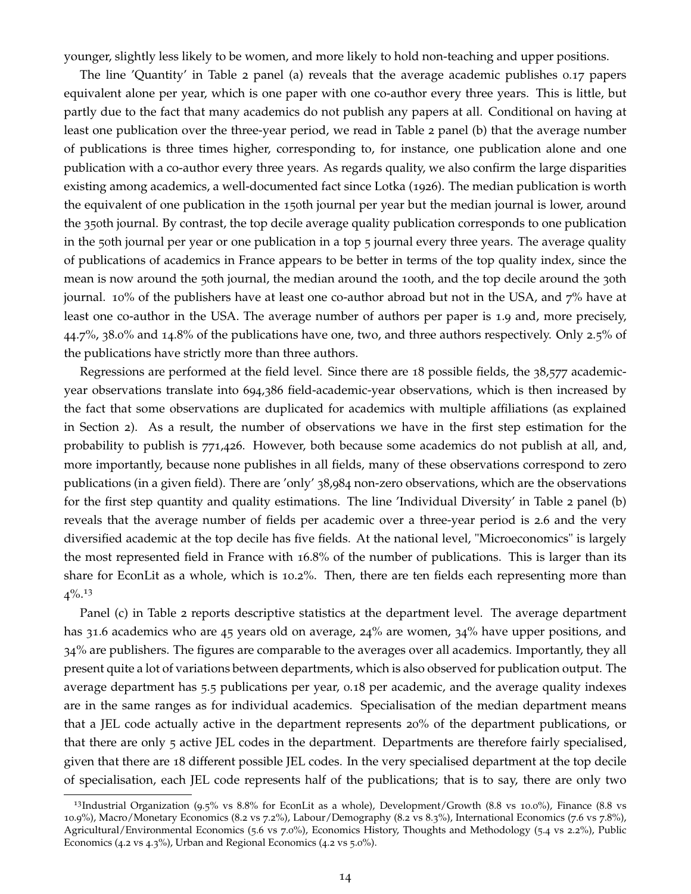younger, slightly less likely to be women, and more likely to hold non-teaching and upper positions.

The line 'Quantity' in Table 2 panel (a) reveals that the average academic publishes 0.17 papers equivalent alone per year, which is one paper with one co-author every three years. This is little, but partly due to the fact that many academics do not publish any papers at all. Conditional on having at least one publication over the three-year period, we read in Table 2 panel (b) that the average number of publications is three times higher, corresponding to, for instance, one publication alone and one publication with a co-author every three years. As regards quality, we also confirm the large disparities existing among academics, a well-documented fact since Lotka (1926). The median publication is worth the equivalent of one publication in the 150th journal per year but the median journal is lower, around the 350th journal. By contrast, the top decile average quality publication corresponds to one publication in the 50th journal per year or one publication in a top 5 journal every three years. The average quality of publications of academics in France appears to be better in terms of the top quality index, since the mean is now around the 50th journal, the median around the 100th, and the top decile around the 30th journal. 10% of the publishers have at least one co-author abroad but not in the USA, and  $7%$  have at least one co-author in the USA. The average number of authors per paper is 1.9 and, more precisely, 44.7%, 38.0% and 14.8% of the publications have one, two, and three authors respectively. Only 2.5% of the publications have strictly more than three authors.

Regressions are performed at the field level. Since there are 18 possible fields, the 38,577 academicyear observations translate into 694,386 field-academic-year observations, which is then increased by the fact that some observations are duplicated for academics with multiple affiliations (as explained in Section 2). As a result, the number of observations we have in the first step estimation for the probability to publish is 771,426. However, both because some academics do not publish at all, and, more importantly, because none publishes in all fields, many of these observations correspond to zero publications (in a given field). There are 'only' 38,984 non-zero observations, which are the observations for the first step quantity and quality estimations. The line 'Individual Diversity' in Table 2 panel (b) reveals that the average number of fields per academic over a three-year period is 2.6 and the very diversified academic at the top decile has five fields. At the national level, "Microeconomics" is largely the most represented field in France with 16.8% of the number of publications. This is larger than its share for EconLit as a whole, which is 10.2%. Then, there are ten fields each representing more than  $4\%$ <sup>13</sup>

Panel (c) in Table 2 reports descriptive statistics at the department level. The average department has 31.6 academics who are 45 years old on average, 24% are women, 34% have upper positions, and 34% are publishers. The figures are comparable to the averages over all academics. Importantly, they all present quite a lot of variations between departments, which is also observed for publication output. The average department has 5.5 publications per year, 0.18 per academic, and the average quality indexes are in the same ranges as for individual academics. Specialisation of the median department means that a JEL code actually active in the department represents 20% of the department publications, or that there are only 5 active JEL codes in the department. Departments are therefore fairly specialised, given that there are 18 different possible JEL codes. In the very specialised department at the top decile of specialisation, each JEL code represents half of the publications; that is to say, there are only two

<sup>&</sup>lt;sup>13</sup>Industrial Organization (9.5% vs  $8.8\%$  for EconLit as a whole), Development/Growth  $(8.8 \text{ vs } 10.0\%)$ , Finance  $(8.8 \text{ vs } 10.6\%)$ 10.9%), Macro/Monetary Economics (8.2 vs 7.2%), Labour/Demography (8.2 vs 8.3%), International Economics (7.6 vs 7.8%), Agricultural/Environmental Economics (5.6 vs 7.0%), Economics History, Thoughts and Methodology (5.4 vs 2.2%), Public Economics (4.2 vs 4.3%), Urban and Regional Economics (4.2 vs 5.0%).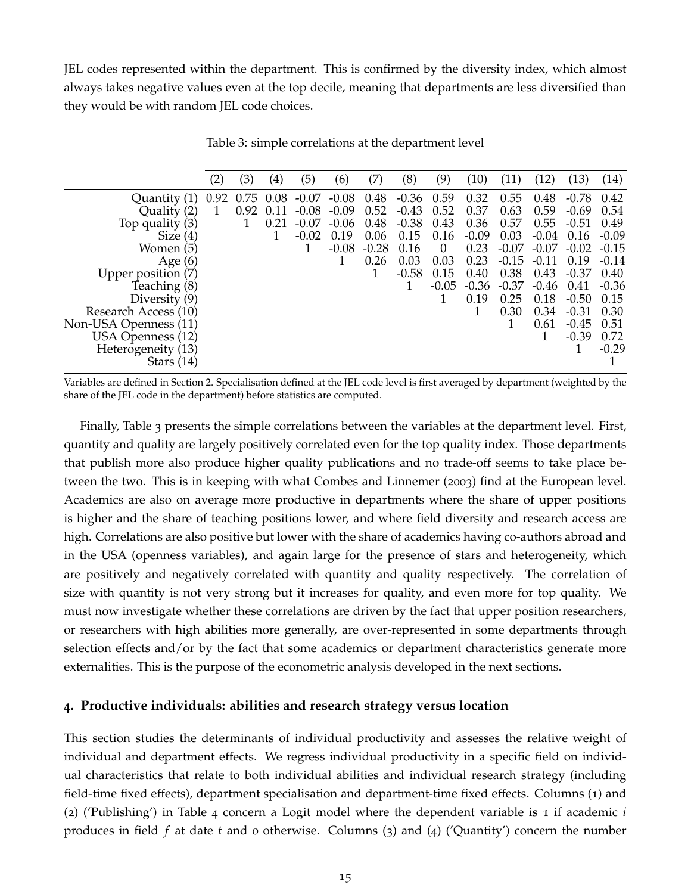JEL codes represented within the department. This is confirmed by the diversity index, which almost always takes negative values even at the top decile, meaning that departments are less diversified than they would be with random JEL code choices.

|                       | (2)  | (3)  | $\left( 4\right)$ | (5)     | (6)     | (7)     | (8)     | (9)      | (10)    |         | (12)    | (13)    | (14)    |
|-----------------------|------|------|-------------------|---------|---------|---------|---------|----------|---------|---------|---------|---------|---------|
| Quantity (1)          | 0.92 | 0.75 | 0.08              | $-0.07$ | $-0.08$ | 0.48    | $-0.36$ | 0.59     | 0.32    | 0.55    | 0.48    | $-0.78$ | 0.42    |
| Quality (2)           |      | 0.92 | 0.11              | $-0.08$ | $-0.09$ | 0.52    | $-0.43$ | 0.52     | 0.37    | 0.63    | 0.59    | -0.69   | 0.54    |
| Top quality (3)       |      |      | 0.21              | $-0.07$ | $-0.06$ | 0.48    | $-0.38$ | 0.43     | 0.36    | 0.57    | 0.55    | $-0.51$ | 0.49    |
| Size $(4)$            |      |      |                   | $-0.02$ | 0.19    | 0.06    | 0.15    | 0.16     | $-0.09$ | 0.03    | $-0.04$ | 0.16    | $-0.09$ |
| Women (5)             |      |      |                   |         | $-0.08$ | $-0.28$ | 0.16    | $\Omega$ | 0.23    | $-0.07$ | $-0.07$ | $-0.02$ | $-0.15$ |
| Age $(6)$             |      |      |                   |         |         | 0.26    | 0.03    | 0.03     | 0.23    | $-0.15$ | $-0.11$ | 0.19    | $-0.14$ |
| Upper position (7)    |      |      |                   |         |         |         | $-0.58$ | 0.15     | 0.40    | 0.38    | 0.43    | $-0.37$ | 0.40    |
| Teaching (8)          |      |      |                   |         |         |         |         | $-0.05$  | $-0.36$ | $-0.37$ | $-0.46$ | 0.41    | $-0.36$ |
| Diversity $(9)$       |      |      |                   |         |         |         |         |          | 0.19    | 0.25    | 0.18    | $-0.50$ | 0.15    |
| Research Access (10)  |      |      |                   |         |         |         |         |          |         | 0.30    | 0.34    | $-0.31$ | 0.30    |
| Non-USA Openness (11) |      |      |                   |         |         |         |         |          |         |         | 0.61    | $-0.45$ | 0.51    |
| USA Openness (12)     |      |      |                   |         |         |         |         |          |         |         |         | $-0.39$ | 0.72    |
| Heterogeneity (13)    |      |      |                   |         |         |         |         |          |         |         |         |         | $-0.29$ |
| Stars $(14)$          |      |      |                   |         |         |         |         |          |         |         |         |         |         |

Table 3: simple correlations at the department level

Variables are defined in Section 2. Specialisation defined at the JEL code level is first averaged by department (weighted by the share of the JEL code in the department) before statistics are computed.

Finally, Table 3 presents the simple correlations between the variables at the department level. First, quantity and quality are largely positively correlated even for the top quality index. Those departments that publish more also produce higher quality publications and no trade-off seems to take place between the two. This is in keeping with what Combes and Linnemer (2003) find at the European level. Academics are also on average more productive in departments where the share of upper positions is higher and the share of teaching positions lower, and where field diversity and research access are high. Correlations are also positive but lower with the share of academics having co-authors abroad and in the USA (openness variables), and again large for the presence of stars and heterogeneity, which are positively and negatively correlated with quantity and quality respectively. The correlation of size with quantity is not very strong but it increases for quality, and even more for top quality. We must now investigate whether these correlations are driven by the fact that upper position researchers, or researchers with high abilities more generally, are over-represented in some departments through selection effects and/or by the fact that some academics or department characteristics generate more externalities. This is the purpose of the econometric analysis developed in the next sections.

#### **4. Productive individuals: abilities and research strategy versus location**

This section studies the determinants of individual productivity and assesses the relative weight of individual and department effects. We regress individual productivity in a specific field on individual characteristics that relate to both individual abilities and individual research strategy (including field-time fixed effects), department specialisation and department-time fixed effects. Columns (1) and (2) ('Publishing') in Table 4 concern a Logit model where the dependent variable is 1 if academic *i* produces in field *f* at date *t* and 0 otherwise. Columns (3) and (4) ('Quantity') concern the number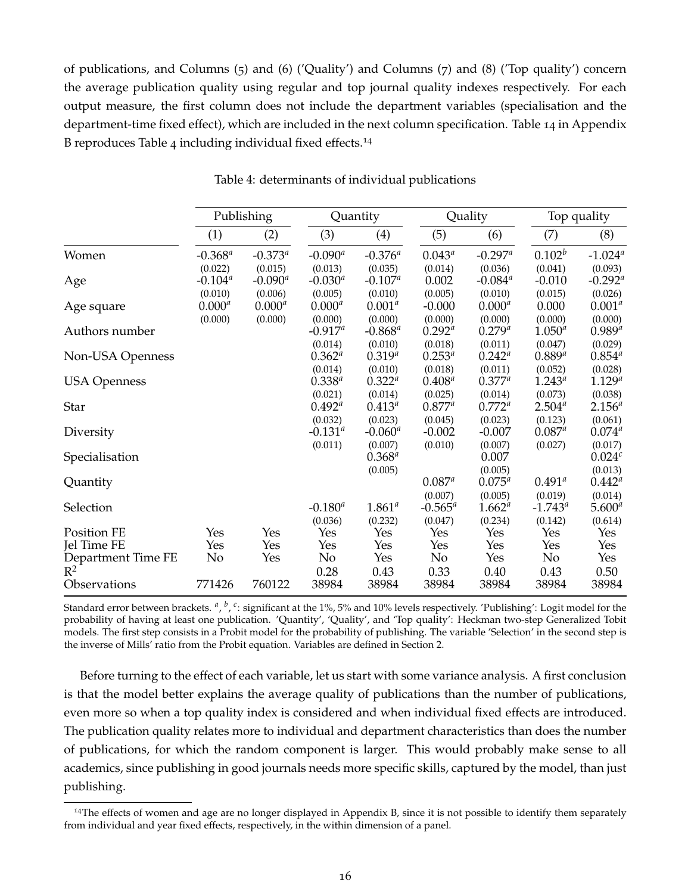of publications, and Columns (5) and (6) ('Quality') and Columns (7) and (8) ('Top quality') concern the average publication quality using regular and top journal quality indexes respectively. For each output measure, the first column does not include the department variables (specialisation and the department-time fixed effect), which are included in the next column specification. Table 14 in Appendix B reproduces Table 4 including individual fixed effects.<sup>14</sup>

|                                   |                                  | Publishing                       |                                  | Quantity                         |                             | Quality                                     | Top quality                    |                                  |
|-----------------------------------|----------------------------------|----------------------------------|----------------------------------|----------------------------------|-----------------------------|---------------------------------------------|--------------------------------|----------------------------------|
|                                   | (1)                              | (2)                              | (3)                              | (4)                              | (5)                         | (6)                                         | (7)                            | (8)                              |
| Women                             | $-0.368^a$                       | $-0.373^a$                       | $-0.090^a$                       | $-0.376^{a}$                     | $0.043^{a}$                 | $-0.297^a$                                  | $0.102^b$                      | $-1.024^a$                       |
| Age                               | (0.022)<br>$-0.104^a$<br>(0.010) | (0.015)<br>$-0.090^a$<br>(0.006) | (0.013)<br>$-0.030^a$<br>(0.005) | (0.035)<br>$-0.107^a$<br>(0.010) | (0.014)<br>0.002<br>(0.005) | (0.036)<br>$-0.084$ <sup>a</sup><br>(0.010) | (0.041)<br>$-0.010$<br>(0.015) | (0.093)<br>$-0.292^a$<br>(0.026) |
| Age square                        | $0.000^{a}$<br>(0.000)           | $0.000^{a}$<br>(0.000)           | $0.000^{a}$<br>(0.000)           | $0.001^{a}$<br>(0.000)           | $-0.000$<br>(0.000)         | $0.000^{a}$<br>(0.000)                      | 0.000<br>(0.000)               | $0.001^{a}$<br>(0.000)           |
| Authors number                    |                                  |                                  | $-0.917^a$                       | $-0.868^a$                       | $0.292^{a}$                 | $0.279^{a}$                                 | $1.050^{a}$                    | $0.989^{a}$                      |
| Non-USA Openness                  |                                  |                                  | (0.014)<br>$0.362^{a}$           | (0.010)<br>$0.319^{a}$           | (0.018)<br>$0.253^{a}$      | (0.011)<br>$0.242^a$                        | (0.047)<br>$0.889^{a}$         | (0.029)<br>$0.854^{a}$           |
| <b>USA Openness</b>               |                                  |                                  | (0.014)<br>$0.338^{a}$           | (0.010)<br>$0.322^{a}$           | (0.018)<br>$0.408^{a}$      | (0.011)<br>$0.377^a$                        | (0.052)<br>$1.243^{a}$         | (0.028)<br>$1.129^{a}$           |
| <b>Star</b>                       |                                  |                                  | (0.021)<br>$0.492^{\textit{a}}$  | (0.014)<br>$0.413^{a}$           | (0.025)<br>$0.877^a$        | (0.014)<br>$0.772^{a}$                      | (0.073)<br>$2.504^{a}$         | (0.038)<br>$2.156^{a}$           |
| Diversity                         |                                  |                                  | (0.032)<br>$-0.131^{\circ}$      | (0.023)<br>$-0.060^a$            | (0.045)<br>$-0.002$         | (0.023)<br>$-0.007$                         | (0.123)<br>$0.087^{a}$         | (0.061)<br>$0.074^{a}$           |
| Specialisation                    |                                  |                                  | (0.011)                          | (0.007)<br>$0.368^{a}$           | (0.010)                     | (0.007)<br>0.007                            | (0.027)                        | (0.017)<br>0.024c                |
| Quantity                          |                                  |                                  |                                  | (0.005)                          | $0.087^{a}$                 | (0.005)<br>$0.075^{a}$                      | $0.491^{\circ}$                | (0.013)<br>$0.442^{\circ}$       |
| Selection                         |                                  |                                  | $-0.180^{a}$                     | $1.861^{a}$                      | (0.007)<br>$-0.565^a$       | (0.005)<br>$1.662^{a}$                      | (0.019)<br>$-1.743^{\circ}$    | (0.014)<br>$5.600^{a}$           |
| Position FE                       | Yes                              | Yes                              | (0.036)<br>Yes                   | (0.232)<br>Yes                   | (0.047)<br>Yes              | (0.234)<br>Yes                              | (0.142)<br>Yes                 | (0.614)<br>Yes                   |
| Jel Time FE<br>Department Time FE | Yes<br>No                        | Yes<br>Yes                       | Yes<br>No                        | Yes<br>Yes                       | Yes<br>No                   | Yes<br>Yes                                  | Yes<br>No                      | Yes<br>Yes                       |
| $R^2$<br>Observations             | 771426                           | 760122                           | 0.28<br>38984                    | 0.43<br>38984                    | 0.33<br>38984               | 0.40<br>38984                               | 0.43<br>38984                  | 0.50<br>38984                    |

Table 4: determinants of individual publications

Standard error between brackets. <sup>a</sup>, <sup>b</sup>, <sup>c</sup>: significant at the 1%, 5% and 10% levels respectively. 'Publishing': Logit model for the probability of having at least one publication. 'Quantity', 'Quality', and 'Top quality': Heckman two-step Generalized Tobit models. The first step consists in a Probit model for the probability of publishing. The variable 'Selection' in the second step is the inverse of Mills' ratio from the Probit equation. Variables are defined in Section 2.

Before turning to the effect of each variable, let us start with some variance analysis. A first conclusion is that the model better explains the average quality of publications than the number of publications, even more so when a top quality index is considered and when individual fixed effects are introduced. The publication quality relates more to individual and department characteristics than does the number of publications, for which the random component is larger. This would probably make sense to all academics, since publishing in good journals needs more specific skills, captured by the model, than just publishing.

 $14$ The effects of women and age are no longer displayed in Appendix B, since it is not possible to identify them separately from individual and year fixed effects, respectively, in the within dimension of a panel.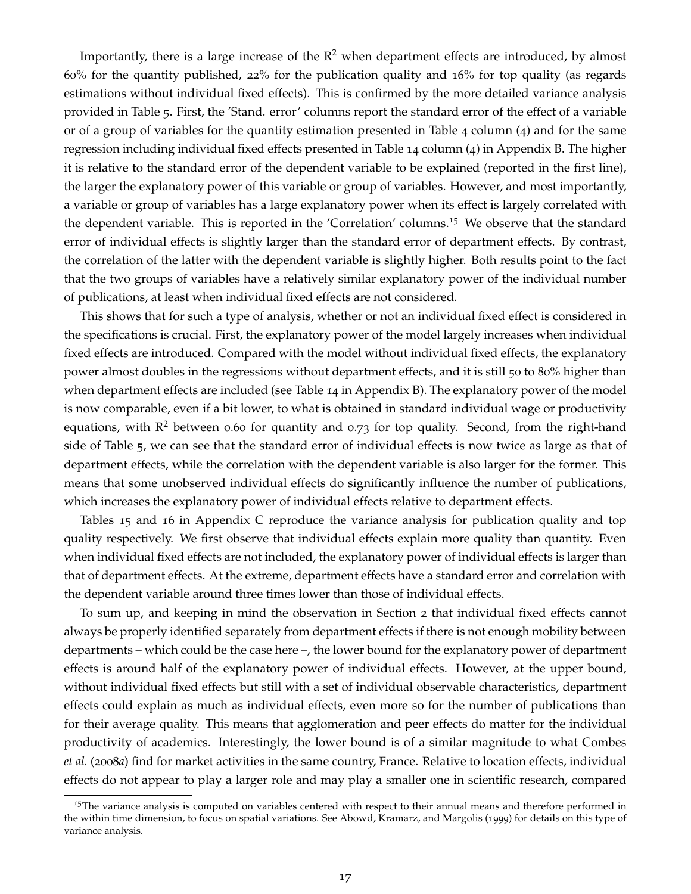Importantly, there is a large increase of the  $\mathbb{R}^2$  when department effects are introduced, by almost 60% for the quantity published, 22% for the publication quality and 16% for top quality (as regards estimations without individual fixed effects). This is confirmed by the more detailed variance analysis provided in Table 5. First, the 'Stand. error' columns report the standard error of the effect of a variable or of a group of variables for the quantity estimation presented in Table 4 column (4) and for the same regression including individual fixed effects presented in Table 14 column (4) in Appendix B. The higher it is relative to the standard error of the dependent variable to be explained (reported in the first line), the larger the explanatory power of this variable or group of variables. However, and most importantly, a variable or group of variables has a large explanatory power when its effect is largely correlated with the dependent variable. This is reported in the 'Correlation' columns.<sup>15</sup> We observe that the standard error of individual effects is slightly larger than the standard error of department effects. By contrast, the correlation of the latter with the dependent variable is slightly higher. Both results point to the fact that the two groups of variables have a relatively similar explanatory power of the individual number of publications, at least when individual fixed effects are not considered.

This shows that for such a type of analysis, whether or not an individual fixed effect is considered in the specifications is crucial. First, the explanatory power of the model largely increases when individual fixed effects are introduced. Compared with the model without individual fixed effects, the explanatory power almost doubles in the regressions without department effects, and it is still 50 to 80% higher than when department effects are included (see Table 14 in Appendix B). The explanatory power of the model is now comparable, even if a bit lower, to what is obtained in standard individual wage or productivity equations, with  $\mathbb{R}^2$  between 0.60 for quantity and 0.73 for top quality. Second, from the right-hand side of Table 5, we can see that the standard error of individual effects is now twice as large as that of department effects, while the correlation with the dependent variable is also larger for the former. This means that some unobserved individual effects do significantly influence the number of publications, which increases the explanatory power of individual effects relative to department effects.

Tables 15 and 16 in Appendix C reproduce the variance analysis for publication quality and top quality respectively. We first observe that individual effects explain more quality than quantity. Even when individual fixed effects are not included, the explanatory power of individual effects is larger than that of department effects. At the extreme, department effects have a standard error and correlation with the dependent variable around three times lower than those of individual effects.

To sum up, and keeping in mind the observation in Section 2 that individual fixed effects cannot always be properly identified separately from department effects if there is not enough mobility between departments – which could be the case here –, the lower bound for the explanatory power of department effects is around half of the explanatory power of individual effects. However, at the upper bound, without individual fixed effects but still with a set of individual observable characteristics, department effects could explain as much as individual effects, even more so for the number of publications than for their average quality. This means that agglomeration and peer effects do matter for the individual productivity of academics. Interestingly, the lower bound is of a similar magnitude to what Combes *et al.* (2008*a*) find for market activities in the same country, France. Relative to location effects, individual effects do not appear to play a larger role and may play a smaller one in scientific research, compared

<sup>&</sup>lt;sup>15</sup>The variance analysis is computed on variables centered with respect to their annual means and therefore performed in the within time dimension, to focus on spatial variations. See Abowd, Kramarz, and Margolis (1999) for details on this type of variance analysis.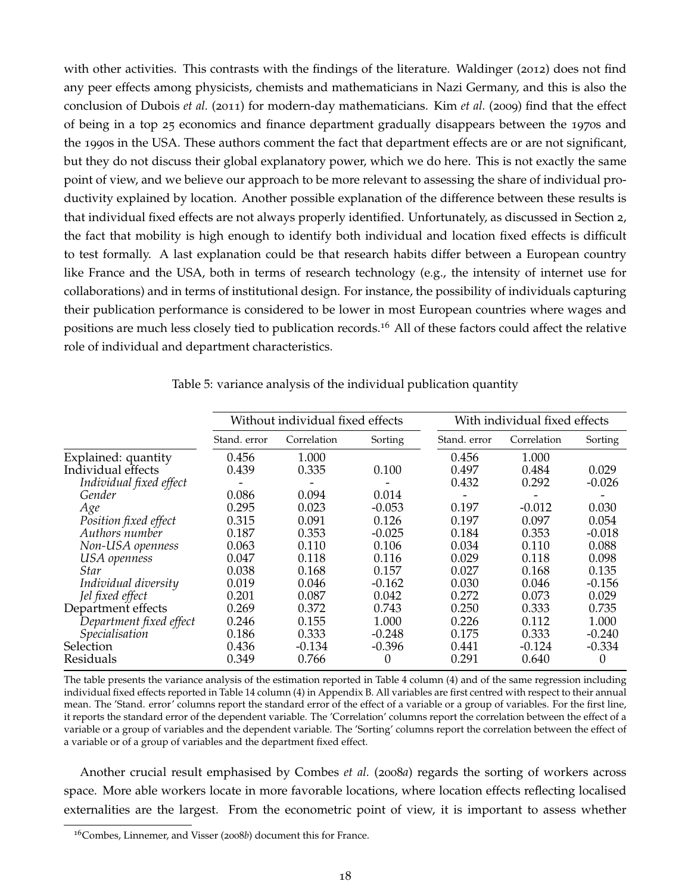with other activities. This contrasts with the findings of the literature. Waldinger (2012) does not find any peer effects among physicists, chemists and mathematicians in Nazi Germany, and this is also the conclusion of Dubois *et al.* (2011) for modern-day mathematicians. Kim *et al.* (2009) find that the effect of being in a top 25 economics and finance department gradually disappears between the 1970s and the 1990s in the USA. These authors comment the fact that department effects are or are not significant, but they do not discuss their global explanatory power, which we do here. This is not exactly the same point of view, and we believe our approach to be more relevant to assessing the share of individual productivity explained by location. Another possible explanation of the difference between these results is that individual fixed effects are not always properly identified. Unfortunately, as discussed in Section 2, the fact that mobility is high enough to identify both individual and location fixed effects is difficult to test formally. A last explanation could be that research habits differ between a European country like France and the USA, both in terms of research technology (e.g., the intensity of internet use for collaborations) and in terms of institutional design. For instance, the possibility of individuals capturing their publication performance is considered to be lower in most European countries where wages and positions are much less closely tied to publication records.<sup>16</sup> All of these factors could affect the relative role of individual and department characteristics.

|                         |              | Without individual fixed effects |          | With individual fixed effects |             |          |  |  |
|-------------------------|--------------|----------------------------------|----------|-------------------------------|-------------|----------|--|--|
|                         | Stand. error | Correlation                      | Sorting  | Stand, error                  | Correlation | Sorting  |  |  |
| Explained: quantity     | 0.456        | 1.000                            |          | 0.456                         | 1.000       |          |  |  |
| Individual effects      | 0.439        | 0.335                            | 0.100    | 0.497                         | 0.484       | 0.029    |  |  |
| Individual fixed effect |              |                                  |          | 0.432                         | 0.292       | $-0.026$ |  |  |
| Gender                  | 0.086        | 0.094                            | 0.014    |                               |             |          |  |  |
| Age                     | 0.295        | 0.023                            | $-0.053$ | 0.197                         | $-0.012$    | 0.030    |  |  |
| Position fixed effect   | 0.315        | 0.091                            | 0.126    | 0.197                         | 0.097       | 0.054    |  |  |
| Authors number          | 0.187        | 0.353                            | $-0.025$ | 0.184                         | 0.353       | $-0.018$ |  |  |
| Non-USA openness        | 0.063        | 0.110                            | 0.106    | 0.034                         | 0.110       | 0.088    |  |  |
| USA openness            | 0.047        | 0.118                            | 0.116    | 0.029                         | 0.118       | 0.098    |  |  |
| Star                    | 0.038        | 0.168                            | 0.157    | 0.027                         | 0.168       | 0.135    |  |  |
| Individual diversity    | 0.019        | 0.046                            | $-0.162$ | 0.030                         | 0.046       | $-0.156$ |  |  |
| Jel fixed effect        | 0.201        | 0.087                            | 0.042    | 0.272                         | 0.073       | 0.029    |  |  |
| Department effects      | 0.269        | 0.372                            | 0.743    | 0.250                         | 0.333       | 0.735    |  |  |
| Department fixed effect | 0.246        | 0.155                            | 1.000    | 0.226                         | 0.112       | 1.000    |  |  |
| Specialisation          | 0.186        | 0.333                            | $-0.248$ | 0.175                         | 0.333       | $-0.240$ |  |  |
| Selection               | 0.436        | $-0.134$                         | $-0.396$ | 0.441                         | $-0.124$    | $-0.334$ |  |  |
| Residuals               | 0.349        | 0.766                            | 0        | 0.291                         | 0.640       | 0        |  |  |

Table 5: variance analysis of the individual publication quantity

The table presents the variance analysis of the estimation reported in Table 4 column (4) and of the same regression including individual fixed effects reported in Table 14 column (4) in Appendix B. All variables are first centred with respect to their annual mean. The 'Stand. error' columns report the standard error of the effect of a variable or a group of variables. For the first line, it reports the standard error of the dependent variable. The 'Correlation' columns report the correlation between the effect of a variable or a group of variables and the dependent variable. The 'Sorting' columns report the correlation between the effect of a variable or of a group of variables and the department fixed effect.

Another crucial result emphasised by Combes *et al.* (2008*a*) regards the sorting of workers across space. More able workers locate in more favorable locations, where location effects reflecting localised externalities are the largest. From the econometric point of view, it is important to assess whether

<sup>16</sup>Combes, Linnemer, and Visser (2008*b*) document this for France.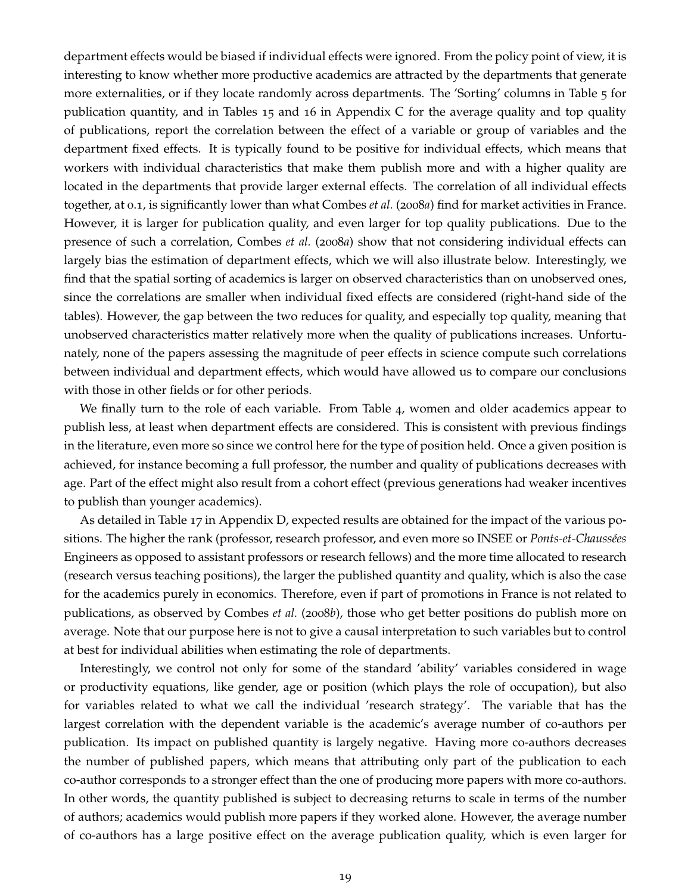department effects would be biased if individual effects were ignored. From the policy point of view, it is interesting to know whether more productive academics are attracted by the departments that generate more externalities, or if they locate randomly across departments. The 'Sorting' columns in Table 5 for publication quantity, and in Tables 15 and 16 in Appendix C for the average quality and top quality of publications, report the correlation between the effect of a variable or group of variables and the department fixed effects. It is typically found to be positive for individual effects, which means that workers with individual characteristics that make them publish more and with a higher quality are located in the departments that provide larger external effects. The correlation of all individual effects together, at 0.1, is significantly lower than what Combes *et al.* (2008*a*) find for market activities in France. However, it is larger for publication quality, and even larger for top quality publications. Due to the presence of such a correlation, Combes *et al.* (2008*a*) show that not considering individual effects can largely bias the estimation of department effects, which we will also illustrate below. Interestingly, we find that the spatial sorting of academics is larger on observed characteristics than on unobserved ones, since the correlations are smaller when individual fixed effects are considered (right-hand side of the tables). However, the gap between the two reduces for quality, and especially top quality, meaning that unobserved characteristics matter relatively more when the quality of publications increases. Unfortunately, none of the papers assessing the magnitude of peer effects in science compute such correlations between individual and department effects, which would have allowed us to compare our conclusions with those in other fields or for other periods.

We finally turn to the role of each variable. From Table 4, women and older academics appear to publish less, at least when department effects are considered. This is consistent with previous findings in the literature, even more so since we control here for the type of position held. Once a given position is achieved, for instance becoming a full professor, the number and quality of publications decreases with age. Part of the effect might also result from a cohort effect (previous generations had weaker incentives to publish than younger academics).

As detailed in Table 17 in Appendix D, expected results are obtained for the impact of the various positions. The higher the rank (professor, research professor, and even more so INSEE or *Ponts-et-Chaussées* Engineers as opposed to assistant professors or research fellows) and the more time allocated to research (research versus teaching positions), the larger the published quantity and quality, which is also the case for the academics purely in economics. Therefore, even if part of promotions in France is not related to publications, as observed by Combes *et al.* (2008*b*), those who get better positions do publish more on average. Note that our purpose here is not to give a causal interpretation to such variables but to control at best for individual abilities when estimating the role of departments.

Interestingly, we control not only for some of the standard 'ability' variables considered in wage or productivity equations, like gender, age or position (which plays the role of occupation), but also for variables related to what we call the individual 'research strategy'. The variable that has the largest correlation with the dependent variable is the academic's average number of co-authors per publication. Its impact on published quantity is largely negative. Having more co-authors decreases the number of published papers, which means that attributing only part of the publication to each co-author corresponds to a stronger effect than the one of producing more papers with more co-authors. In other words, the quantity published is subject to decreasing returns to scale in terms of the number of authors; academics would publish more papers if they worked alone. However, the average number of co-authors has a large positive effect on the average publication quality, which is even larger for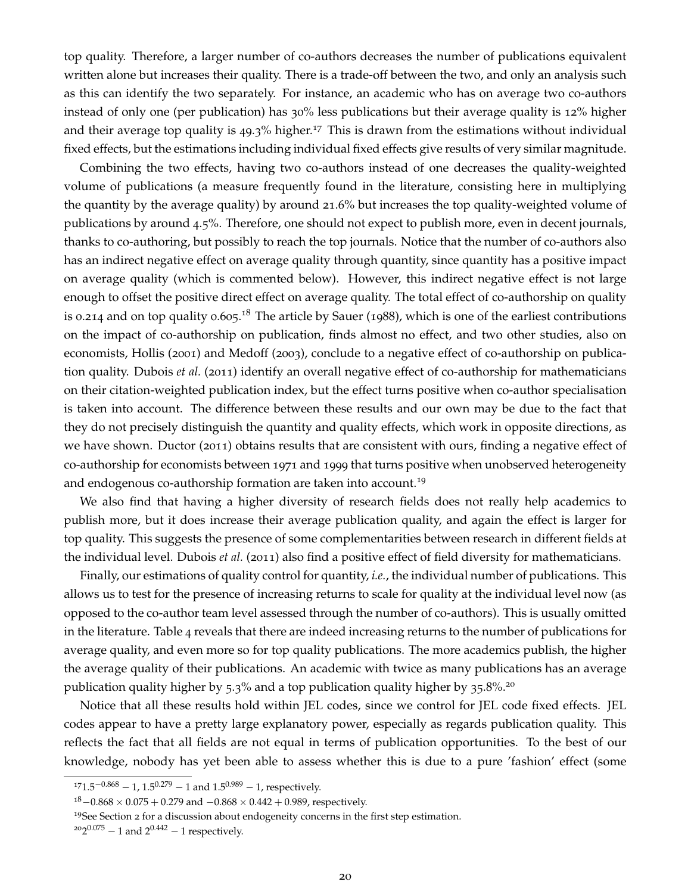top quality. Therefore, a larger number of co-authors decreases the number of publications equivalent written alone but increases their quality. There is a trade-off between the two, and only an analysis such as this can identify the two separately. For instance, an academic who has on average two co-authors instead of only one (per publication) has 30% less publications but their average quality is 12% higher and their average top quality is  $49.3\%$  higher.<sup>17</sup> This is drawn from the estimations without individual fixed effects, but the estimations including individual fixed effects give results of very similar magnitude.

Combining the two effects, having two co-authors instead of one decreases the quality-weighted volume of publications (a measure frequently found in the literature, consisting here in multiplying the quantity by the average quality) by around 21.6% but increases the top quality-weighted volume of publications by around 4.5%. Therefore, one should not expect to publish more, even in decent journals, thanks to co-authoring, but possibly to reach the top journals. Notice that the number of co-authors also has an indirect negative effect on average quality through quantity, since quantity has a positive impact on average quality (which is commented below). However, this indirect negative effect is not large enough to offset the positive direct effect on average quality. The total effect of co-authorship on quality is 0.214 and on top quality 0.605.<sup>18</sup> The article by Sauer (1988), which is one of the earliest contributions on the impact of co-authorship on publication, finds almost no effect, and two other studies, also on economists, Hollis (2001) and Medoff (2003), conclude to a negative effect of co-authorship on publication quality. Dubois *et al.* (2011) identify an overall negative effect of co-authorship for mathematicians on their citation-weighted publication index, but the effect turns positive when co-author specialisation is taken into account. The difference between these results and our own may be due to the fact that they do not precisely distinguish the quantity and quality effects, which work in opposite directions, as we have shown. Ductor (2011) obtains results that are consistent with ours, finding a negative effect of co-authorship for economists between 1971 and 1999 that turns positive when unobserved heterogeneity and endogenous co-authorship formation are taken into account.<sup>19</sup>

We also find that having a higher diversity of research fields does not really help academics to publish more, but it does increase their average publication quality, and again the effect is larger for top quality. This suggests the presence of some complementarities between research in different fields at the individual level. Dubois *et al.* (2011) also find a positive effect of field diversity for mathematicians.

Finally, our estimations of quality control for quantity, *i.e.*, the individual number of publications. This allows us to test for the presence of increasing returns to scale for quality at the individual level now (as opposed to the co-author team level assessed through the number of co-authors). This is usually omitted in the literature. Table 4 reveals that there are indeed increasing returns to the number of publications for average quality, and even more so for top quality publications. The more academics publish, the higher the average quality of their publications. An academic with twice as many publications has an average publication quality higher by 5.3% and a top publication quality higher by  $35.8\%$ <sup>20</sup>

Notice that all these results hold within JEL codes, since we control for JEL code fixed effects. JEL codes appear to have a pretty large explanatory power, especially as regards publication quality. This reflects the fact that all fields are not equal in terms of publication opportunities. To the best of our knowledge, nobody has yet been able to assess whether this is due to a pure 'fashion' effect (some

 $171.5^{-0.868} - 1$ ,  $1.5^{0.279} - 1$  and  $1.5^{0.989} - 1$ , respectively.

 $18-0.868 \times 0.075 + 0.279$  and  $-0.868 \times 0.442 + 0.989$ , respectively.

<sup>&</sup>lt;sup>19</sup>See Section 2 for a discussion about endogeneity concerns in the first step estimation.

 $2^{20}2^{0.075} - 1$  and  $2^{0.442} - 1$  respectively.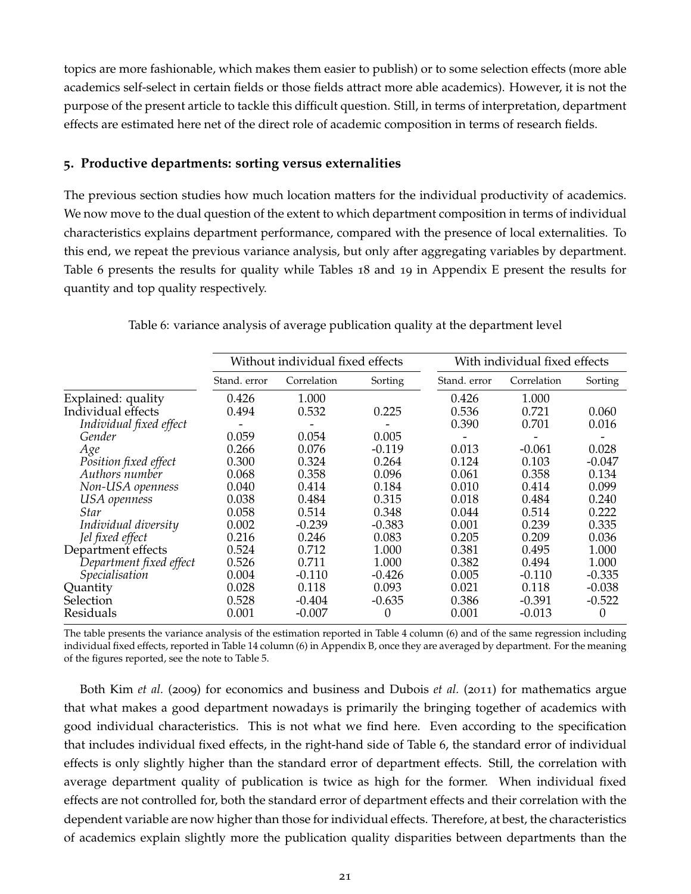topics are more fashionable, which makes them easier to publish) or to some selection effects (more able academics self-select in certain fields or those fields attract more able academics). However, it is not the purpose of the present article to tackle this difficult question. Still, in terms of interpretation, department effects are estimated here net of the direct role of academic composition in terms of research fields.

#### **5. Productive departments: sorting versus externalities**

The previous section studies how much location matters for the individual productivity of academics. We now move to the dual question of the extent to which department composition in terms of individual characteristics explains department performance, compared with the presence of local externalities. To this end, we repeat the previous variance analysis, but only after aggregating variables by department. Table 6 presents the results for quality while Tables 18 and 19 in Appendix E present the results for quantity and top quality respectively.

|                         |              | Without individual fixed effects |          |              | With individual fixed effects |          |
|-------------------------|--------------|----------------------------------|----------|--------------|-------------------------------|----------|
|                         | Stand, error | Correlation                      | Sorting  | Stand, error | Correlation                   | Sorting  |
| Explained: quality      | 0.426        | 1.000                            |          | 0.426        | 1.000                         |          |
| Individual effects      | 0.494        | 0.532                            | 0.225    | 0.536        | 0.721                         | 0.060    |
| Individual fixed effect |              |                                  |          | 0.390        | 0.701                         | 0.016    |
| Gender                  | 0.059        | 0.054                            | 0.005    |              |                               |          |
| Age                     | 0.266        | 0.076                            | $-0.119$ | 0.013        | $-0.061$                      | 0.028    |
| Position fixed effect   | 0.300        | 0.324                            | 0.264    | 0.124        | 0.103                         | $-0.047$ |
| Authors number          | 0.068        | 0.358                            | 0.096    | 0.061        | 0.358                         | 0.134    |
| Non-USA openness        | 0.040        | 0.414                            | 0.184    | 0.010        | 0.414                         | 0.099    |
| USA openness            | 0.038        | 0.484                            | 0.315    | 0.018        | 0.484                         | 0.240    |
| Star                    | 0.058        | 0.514                            | 0.348    | 0.044        | 0.514                         | 0.222    |
| Individual diversity    | 0.002        | $-0.239$                         | $-0.383$ | 0.001        | 0.239                         | 0.335    |
| Jel fixed effect        | 0.216        | 0.246                            | 0.083    | 0.205        | 0.209                         | 0.036    |
| Department effects      | 0.524        | 0.712                            | 1.000    | 0.381        | 0.495                         | 1.000    |
| Department fixed effect | 0.526        | 0.711                            | 1.000    | 0.382        | 0.494                         | 1.000    |
| Specialisation          | 0.004        | $-0.110$                         | $-0.426$ | 0.005        | $-0.110$                      | $-0.335$ |
| Quantity                | 0.028        | 0.118                            | 0.093    | 0.021        | 0.118                         | $-0.038$ |
| Selection               | 0.528        | $-0.404$                         | $-0.635$ | 0.386        | $-0.391$                      | $-0.522$ |
| Residuals               | 0.001        | $-0.007$                         | $\theta$ | 0.001        | $-0.013$                      | $^{(1)}$ |

Table 6: variance analysis of average publication quality at the department level

The table presents the variance analysis of the estimation reported in Table 4 column (6) and of the same regression including individual fixed effects, reported in Table 14 column (6) in Appendix B, once they are averaged by department. For the meaning of the figures reported, see the note to Table 5.

Both Kim *et al.* (2009) for economics and business and Dubois *et al.* (2011) for mathematics argue that what makes a good department nowadays is primarily the bringing together of academics with good individual characteristics. This is not what we find here. Even according to the specification that includes individual fixed effects, in the right-hand side of Table 6, the standard error of individual effects is only slightly higher than the standard error of department effects. Still, the correlation with average department quality of publication is twice as high for the former. When individual fixed effects are not controlled for, both the standard error of department effects and their correlation with the dependent variable are now higher than those for individual effects. Therefore, at best, the characteristics of academics explain slightly more the publication quality disparities between departments than the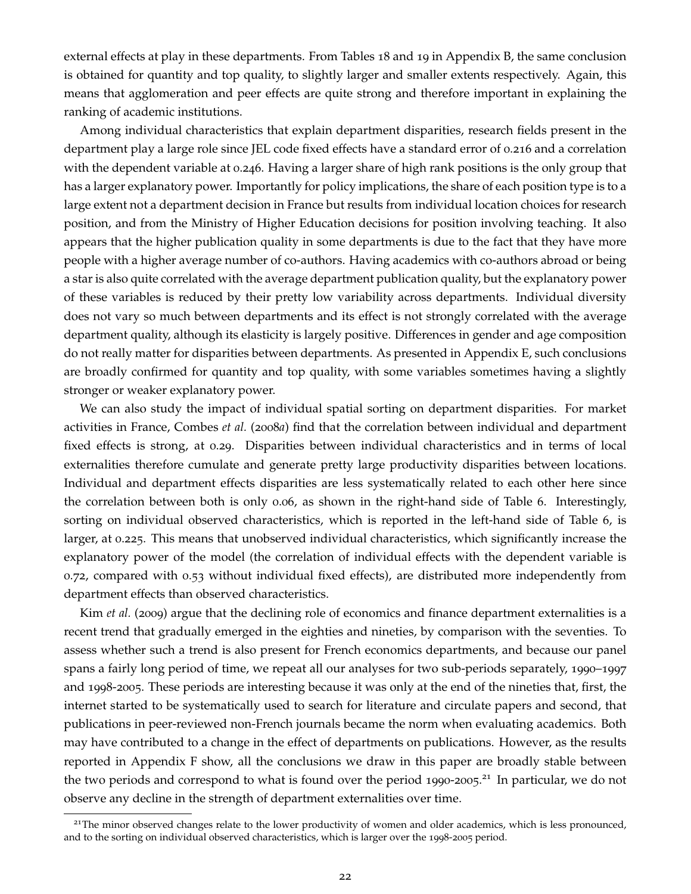external effects at play in these departments. From Tables 18 and 19 in Appendix B, the same conclusion is obtained for quantity and top quality, to slightly larger and smaller extents respectively. Again, this means that agglomeration and peer effects are quite strong and therefore important in explaining the ranking of academic institutions.

Among individual characteristics that explain department disparities, research fields present in the department play a large role since JEL code fixed effects have a standard error of 0.216 and a correlation with the dependent variable at 0.246. Having a larger share of high rank positions is the only group that has a larger explanatory power. Importantly for policy implications, the share of each position type is to a large extent not a department decision in France but results from individual location choices for research position, and from the Ministry of Higher Education decisions for position involving teaching. It also appears that the higher publication quality in some departments is due to the fact that they have more people with a higher average number of co-authors. Having academics with co-authors abroad or being a star is also quite correlated with the average department publication quality, but the explanatory power of these variables is reduced by their pretty low variability across departments. Individual diversity does not vary so much between departments and its effect is not strongly correlated with the average department quality, although its elasticity is largely positive. Differences in gender and age composition do not really matter for disparities between departments. As presented in Appendix E, such conclusions are broadly confirmed for quantity and top quality, with some variables sometimes having a slightly stronger or weaker explanatory power.

We can also study the impact of individual spatial sorting on department disparities. For market activities in France, Combes *et al.* (2008*a*) find that the correlation between individual and department fixed effects is strong, at 0.29. Disparities between individual characteristics and in terms of local externalities therefore cumulate and generate pretty large productivity disparities between locations. Individual and department effects disparities are less systematically related to each other here since the correlation between both is only 0.06, as shown in the right-hand side of Table 6. Interestingly, sorting on individual observed characteristics, which is reported in the left-hand side of Table 6, is larger, at 0.225. This means that unobserved individual characteristics, which significantly increase the explanatory power of the model (the correlation of individual effects with the dependent variable is 0.72, compared with 0.53 without individual fixed effects), are distributed more independently from department effects than observed characteristics.

Kim *et al.* (2009) argue that the declining role of economics and finance department externalities is a recent trend that gradually emerged in the eighties and nineties, by comparison with the seventies. To assess whether such a trend is also present for French economics departments, and because our panel spans a fairly long period of time, we repeat all our analyses for two sub-periods separately, 1990–1997 and 1998-2005. These periods are interesting because it was only at the end of the nineties that, first, the internet started to be systematically used to search for literature and circulate papers and second, that publications in peer-reviewed non-French journals became the norm when evaluating academics. Both may have contributed to a change in the effect of departments on publications. However, as the results reported in Appendix F show, all the conclusions we draw in this paper are broadly stable between the two periods and correspond to what is found over the period 1990-2005.<sup>21</sup> In particular, we do not observe any decline in the strength of department externalities over time.

<sup>&</sup>lt;sup>21</sup>The minor observed changes relate to the lower productivity of women and older academics, which is less pronounced, and to the sorting on individual observed characteristics, which is larger over the 1998-2005 period.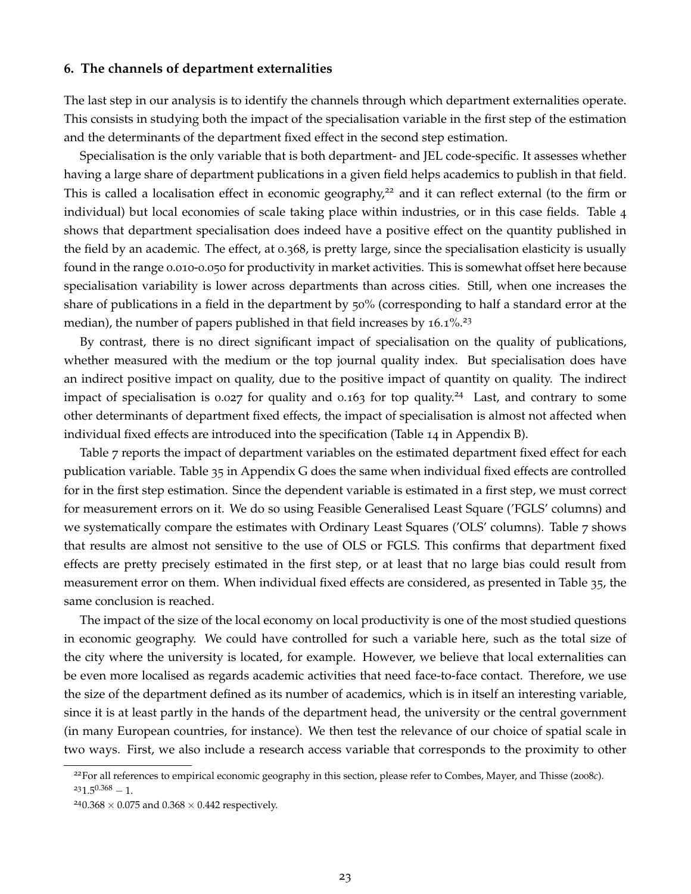#### **6. The channels of department externalities**

The last step in our analysis is to identify the channels through which department externalities operate. This consists in studying both the impact of the specialisation variable in the first step of the estimation and the determinants of the department fixed effect in the second step estimation.

Specialisation is the only variable that is both department- and JEL code-specific. It assesses whether having a large share of department publications in a given field helps academics to publish in that field. This is called a localisation effect in economic geography,<sup>22</sup> and it can reflect external (to the firm or individual) but local economies of scale taking place within industries, or in this case fields. Table 4 shows that department specialisation does indeed have a positive effect on the quantity published in the field by an academic. The effect, at 0.368, is pretty large, since the specialisation elasticity is usually found in the range 0.010-0.050 for productivity in market activities. This is somewhat offset here because specialisation variability is lower across departments than across cities. Still, when one increases the share of publications in a field in the department by 50% (corresponding to half a standard error at the median), the number of papers published in that field increases by  $16.1\%$ <sup>23</sup>

By contrast, there is no direct significant impact of specialisation on the quality of publications, whether measured with the medium or the top journal quality index. But specialisation does have an indirect positive impact on quality, due to the positive impact of quantity on quality. The indirect impact of specialisation is 0.027 for quality and 0.163 for top quality.<sup>24</sup> Last, and contrary to some other determinants of department fixed effects, the impact of specialisation is almost not affected when individual fixed effects are introduced into the specification (Table 14 in Appendix B).

Table 7 reports the impact of department variables on the estimated department fixed effect for each publication variable. Table 35 in Appendix G does the same when individual fixed effects are controlled for in the first step estimation. Since the dependent variable is estimated in a first step, we must correct for measurement errors on it. We do so using Feasible Generalised Least Square ('FGLS' columns) and we systematically compare the estimates with Ordinary Least Squares ('OLS' columns). Table 7 shows that results are almost not sensitive to the use of OLS or FGLS. This confirms that department fixed effects are pretty precisely estimated in the first step, or at least that no large bias could result from measurement error on them. When individual fixed effects are considered, as presented in Table 35, the same conclusion is reached.

The impact of the size of the local economy on local productivity is one of the most studied questions in economic geography. We could have controlled for such a variable here, such as the total size of the city where the university is located, for example. However, we believe that local externalities can be even more localised as regards academic activities that need face-to-face contact. Therefore, we use the size of the department defined as its number of academics, which is in itself an interesting variable, since it is at least partly in the hands of the department head, the university or the central government (in many European countries, for instance). We then test the relevance of our choice of spatial scale in two ways. First, we also include a research access variable that corresponds to the proximity to other

<sup>22</sup>For all references to empirical economic geography in this section, please refer to Combes, Mayer, and Thisse (2008*c*).  $231.5^{0.368} - 1.$ 

 $^{24}0.368 \times 0.075$  and  $0.368 \times 0.442$  respectively.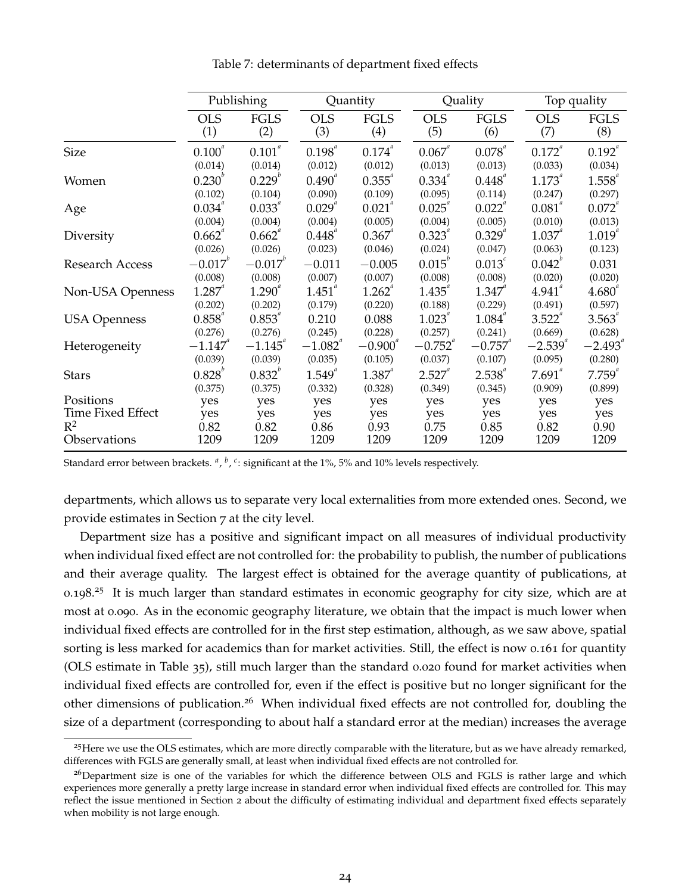|                     |                   | Publishing         |                    | Quantity           |                   | Quality            |                   | Top quality        |  |
|---------------------|-------------------|--------------------|--------------------|--------------------|-------------------|--------------------|-------------------|--------------------|--|
|                     | <b>OLS</b><br>(1) | <b>FGLS</b><br>(2) | <b>OLS</b><br>(3)  | <b>FGLS</b><br>(4) | <b>OLS</b><br>(5) | <b>FGLS</b><br>(6) | <b>OLS</b><br>(7) | <b>FGLS</b><br>(8) |  |
| <b>Size</b>         | $0.100^{a}$       | $0.101^{a}$        | $0.198^{^{a}}$     | $0.174^{^{a}}$     | $0.067^{a}$       | $0.078^{a}$        | $0.172^{a}$       | $0.192^{\degree}$  |  |
|                     | (0.014)           | (0.014)            | (0.012)            | (0.012)            | (0.013)           | (0.013)            | (0.033)           | (0.034)            |  |
| Women               | $0.230^{v}$       | $0.229^{b}$        | $0.490^{^{a}}$     | $0.355^{4}$        | $0.334^{a}$       | $0.448^{^{a}}$     | $1.173^{^{a}}$    | $1.558^{^{a}}$     |  |
|                     | (0.102)           | (0.104)            | (0.090)            | (0.109)            | (0.095)           | (0.114)            | (0.247)           | (0.297)            |  |
| Age                 | $0.034^{^{a}}$    | 0.033              | $0.029^{^{a}}$     | $0.021^{a}$        | $0.025^{^{a}}$    | $0.022^{\degree}$  | $0.081^{^{a}}$    | $0.072^{^{a}}$     |  |
|                     | (0.004)           | (0.004)            | (0.004)            | (0.005)            | (0.004)           | (0.005)            | (0.010)           | (0.013)            |  |
| Diversity           | $0.662^{n}$       | $0.662^{n}$        | $0.448^{^{a}}$     | $0.367^{4}$        | $0.323^{^{a}}$    | $0.329^{4}$        | $1.037$ "         | $1.019^{^{a}}$     |  |
|                     | (0.026)           | (0.026)            | (0.023)            | (0.046)            | (0.024)           | (0.047)            | (0.063)           | (0.123)            |  |
| Research Access     | $-0.017^{\circ}$  | $-0.017^{\circ}$   | $-0.011$           | $-0.005$           | $0.015^{\circ}$   | $0.013^{c}$        | $0.042^b$         | 0.031              |  |
|                     | (0.008)           | (0.008)            | (0.007)            | (0.007)            | (0.008)           | (0.008)            | (0.020)           | (0.020)            |  |
| Non-USA Openness    | $1.287^{4}$       | $1.290^{^{a}}$     | $1.451^{^{\circ}}$ | $1.262^{^{a}}$     | $1.435^{^{a}}$    | $1.347^{4}$        | $4.941^{^a}$      | $4.680^{^{a}}$     |  |
|                     | (0.202)           | (0.202)            | (0.179)            | (0.220)            | (0.188)           | (0.229)            | (0.491)           | (0.597)            |  |
| <b>USA Openness</b> | $0.858^{^{a}}$    | $0.853^{4}$        | 0.210              | 0.088              | $1.023^{^{a}}$    | $1.084^{^{a}}$     | $3.522^{a}$       | $3.563^{4}$        |  |
|                     | (0.276)           | (0.276)            | (0.245)            | (0.228)            | (0.257)           | (0.241)            | (0.669)           | (0.628)            |  |
| Heterogeneity       | $-1.147$          | $-1.145$           | $-1.082^{a}$       | $-0.900$           | $-0.752^{a}$      | $-0.757$           | $-2.539^{a}$      | $-2.493$           |  |
|                     | (0.039)           | (0.039)            | (0.035)            | (0.105)            | (0.037)           | (0.107)            | (0.095)           | (0.280)            |  |
| <b>Stars</b>        | $0.828^{b}$       | $0.832^{^{\circ}}$ | $1.549^{^{a}}$     | $1.387^{4}$        | $2.527^{4}$       | $2.538^{4}$        | $7.691^{4}$       | $7.759^{a}$        |  |
|                     | (0.375)           | (0.375)            | (0.332)            | (0.328)            | (0.349)           | (0.345)            | (0.909)           | (0.899)            |  |
| Positions           | yes               | yes                | yes                | yes                | yes               | yes                | yes               | yes                |  |
| Time Fixed Effect   | yes               | yes                | yes                | yes                | yes               | yes                | yes               | yes                |  |
| $R^2$               | 0.82              | 0.82               | 0.86               | 0.93               | 0.75              | 0.85               | 0.82              | 0.90               |  |
| Observations        | 1209              | 1209               | 1209               | 1209               | 1209              | 1209               | 1209              | 1209               |  |

Table 7: determinants of department fixed effects

Standard error between brackets. <sup>a</sup>, <sup>b</sup>, <sup>c</sup>: significant at the 1%, 5% and 10% levels respectively.

departments, which allows us to separate very local externalities from more extended ones. Second, we provide estimates in Section 7 at the city level.

Department size has a positive and significant impact on all measures of individual productivity when individual fixed effect are not controlled for: the probability to publish, the number of publications and their average quality. The largest effect is obtained for the average quantity of publications, at 0.198.<sup>25</sup> It is much larger than standard estimates in economic geography for city size, which are at most at 0.090. As in the economic geography literature, we obtain that the impact is much lower when individual fixed effects are controlled for in the first step estimation, although, as we saw above, spatial sorting is less marked for academics than for market activities. Still, the effect is now 0.161 for quantity (OLS estimate in Table 35), still much larger than the standard 0.020 found for market activities when individual fixed effects are controlled for, even if the effect is positive but no longer significant for the other dimensions of publication.<sup>26</sup> When individual fixed effects are not controlled for, doubling the size of a department (corresponding to about half a standard error at the median) increases the average

 $^{25}$ Here we use the OLS estimates, which are more directly comparable with the literature, but as we have already remarked, differences with FGLS are generally small, at least when individual fixed effects are not controlled for.

<sup>&</sup>lt;sup>26</sup>Department size is one of the variables for which the difference between OLS and FGLS is rather large and which experiences more generally a pretty large increase in standard error when individual fixed effects are controlled for. This may reflect the issue mentioned in Section 2 about the difficulty of estimating individual and department fixed effects separately when mobility is not large enough.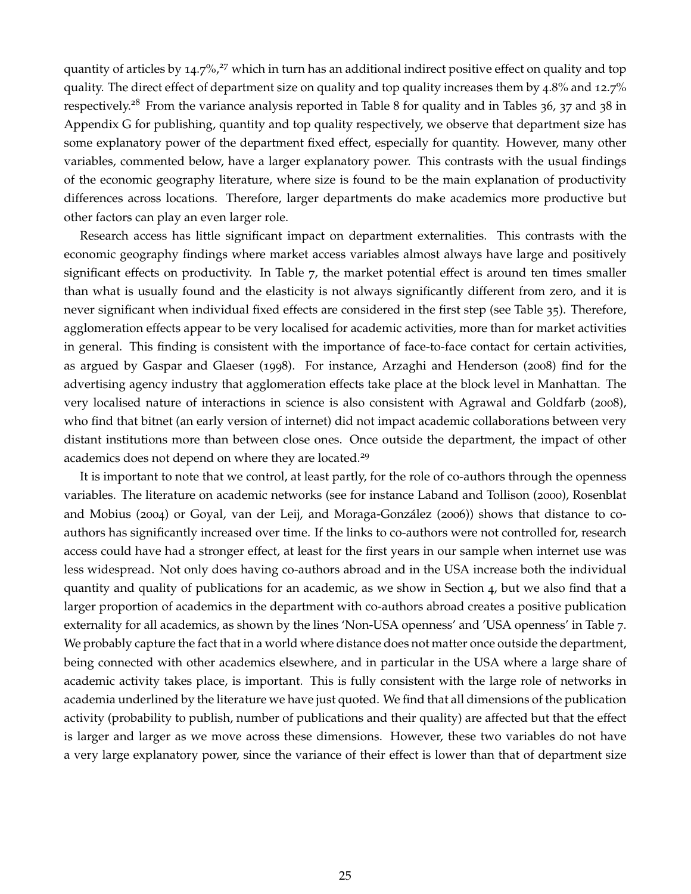quantity of articles by  $14.7\frac{6}{7}$  which in turn has an additional indirect positive effect on quality and top quality. The direct effect of department size on quality and top quality increases them by 4.8% and 12.7% respectively.<sup>28</sup> From the variance analysis reported in Table 8 for quality and in Tables 36, 37 and 38 in Appendix G for publishing, quantity and top quality respectively, we observe that department size has some explanatory power of the department fixed effect, especially for quantity. However, many other variables, commented below, have a larger explanatory power. This contrasts with the usual findings of the economic geography literature, where size is found to be the main explanation of productivity differences across locations. Therefore, larger departments do make academics more productive but other factors can play an even larger role.

Research access has little significant impact on department externalities. This contrasts with the economic geography findings where market access variables almost always have large and positively significant effects on productivity. In Table 7, the market potential effect is around ten times smaller than what is usually found and the elasticity is not always significantly different from zero, and it is never significant when individual fixed effects are considered in the first step (see Table 35). Therefore, agglomeration effects appear to be very localised for academic activities, more than for market activities in general. This finding is consistent with the importance of face-to-face contact for certain activities, as argued by Gaspar and Glaeser (1998). For instance, Arzaghi and Henderson (2008) find for the advertising agency industry that agglomeration effects take place at the block level in Manhattan. The very localised nature of interactions in science is also consistent with Agrawal and Goldfarb (2008), who find that bitnet (an early version of internet) did not impact academic collaborations between very distant institutions more than between close ones. Once outside the department, the impact of other academics does not depend on where they are located.<sup>29</sup>

It is important to note that we control, at least partly, for the role of co-authors through the openness variables. The literature on academic networks (see for instance Laband and Tollison (2000), Rosenblat and Mobius (2004) or Goyal, van der Leij, and Moraga-González (2006)) shows that distance to coauthors has significantly increased over time. If the links to co-authors were not controlled for, research access could have had a stronger effect, at least for the first years in our sample when internet use was less widespread. Not only does having co-authors abroad and in the USA increase both the individual quantity and quality of publications for an academic, as we show in Section 4, but we also find that a larger proportion of academics in the department with co-authors abroad creates a positive publication externality for all academics, as shown by the lines 'Non-USA openness' and 'USA openness' in Table 7. We probably capture the fact that in a world where distance does not matter once outside the department, being connected with other academics elsewhere, and in particular in the USA where a large share of academic activity takes place, is important. This is fully consistent with the large role of networks in academia underlined by the literature we have just quoted. We find that all dimensions of the publication activity (probability to publish, number of publications and their quality) are affected but that the effect is larger and larger as we move across these dimensions. However, these two variables do not have a very large explanatory power, since the variance of their effect is lower than that of department size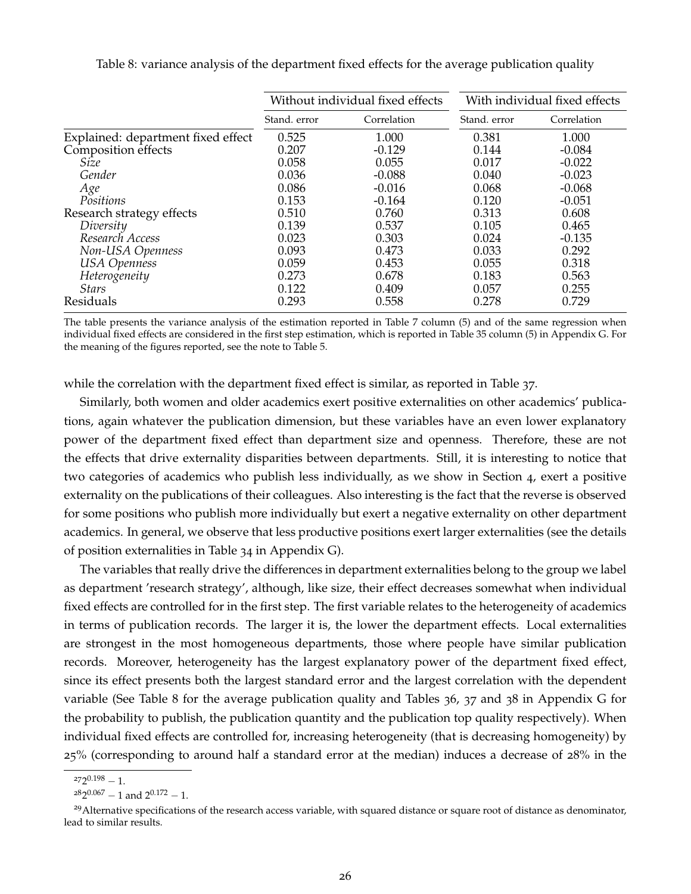|                                    |              | Without individual fixed effects |              | With individual fixed effects |
|------------------------------------|--------------|----------------------------------|--------------|-------------------------------|
|                                    | Stand, error | Correlation                      | Stand, error | Correlation                   |
| Explained: department fixed effect | 0.525        | 1.000                            | 0.381        | 1.000                         |
| Composition effects                | 0.207        | $-0.129$                         | 0.144        | $-0.084$                      |
| Size                               | 0.058        | 0.055                            | 0.017        | $-0.022$                      |
| Gender                             | 0.036        | $-0.088$                         | 0.040        | $-0.023$                      |
| Age                                | 0.086        | $-0.016$                         | 0.068        | $-0.068$                      |
| Positions                          | 0.153        | $-0.164$                         | 0.120        | $-0.051$                      |
| Research strategy effects          | 0.510        | 0.760                            | 0.313        | 0.608                         |
| Diversity                          | 0.139        | 0.537                            | 0.105        | 0.465                         |
| Research Access                    | 0.023        | 0.303                            | 0.024        | $-0.135$                      |
| Non-USA Openness                   | 0.093        | 0.473                            | 0.033        | 0.292                         |
| <b>USA</b> Openness                | 0.059        | 0.453                            | 0.055        | 0.318                         |
| Heterogeneity                      | 0.273        | 0.678                            | 0.183        | 0.563                         |
| <b>Stars</b>                       | 0.122        | 0.409                            | 0.057        | 0.255                         |
| Residuals                          | 0.293        | 0.558                            | 0.278        | 0.729                         |

Table 8: variance analysis of the department fixed effects for the average publication quality

The table presents the variance analysis of the estimation reported in Table 7 column (5) and of the same regression when individual fixed effects are considered in the first step estimation, which is reported in Table 35 column (5) in Appendix G. For the meaning of the figures reported, see the note to Table 5.

while the correlation with the department fixed effect is similar, as reported in Table 37.

Similarly, both women and older academics exert positive externalities on other academics' publications, again whatever the publication dimension, but these variables have an even lower explanatory power of the department fixed effect than department size and openness. Therefore, these are not the effects that drive externality disparities between departments. Still, it is interesting to notice that two categories of academics who publish less individually, as we show in Section 4, exert a positive externality on the publications of their colleagues. Also interesting is the fact that the reverse is observed for some positions who publish more individually but exert a negative externality on other department academics. In general, we observe that less productive positions exert larger externalities (see the details of position externalities in Table 34 in Appendix G).

The variables that really drive the differences in department externalities belong to the group we label as department 'research strategy', although, like size, their effect decreases somewhat when individual fixed effects are controlled for in the first step. The first variable relates to the heterogeneity of academics in terms of publication records. The larger it is, the lower the department effects. Local externalities are strongest in the most homogeneous departments, those where people have similar publication records. Moreover, heterogeneity has the largest explanatory power of the department fixed effect, since its effect presents both the largest standard error and the largest correlation with the dependent variable (See Table 8 for the average publication quality and Tables 36, 37 and 38 in Appendix G for the probability to publish, the publication quantity and the publication top quality respectively). When individual fixed effects are controlled for, increasing heterogeneity (that is decreasing homogeneity) by 25% (corresponding to around half a standard error at the median) induces a decrease of 28% in the

 $272^{0.198} - 1.$ 

 $282^{0.067} - 1$  and  $2^{0.172} - 1$ .

<sup>&</sup>lt;sup>29</sup>Alternative specifications of the research access variable, with squared distance or square root of distance as denominator, lead to similar results.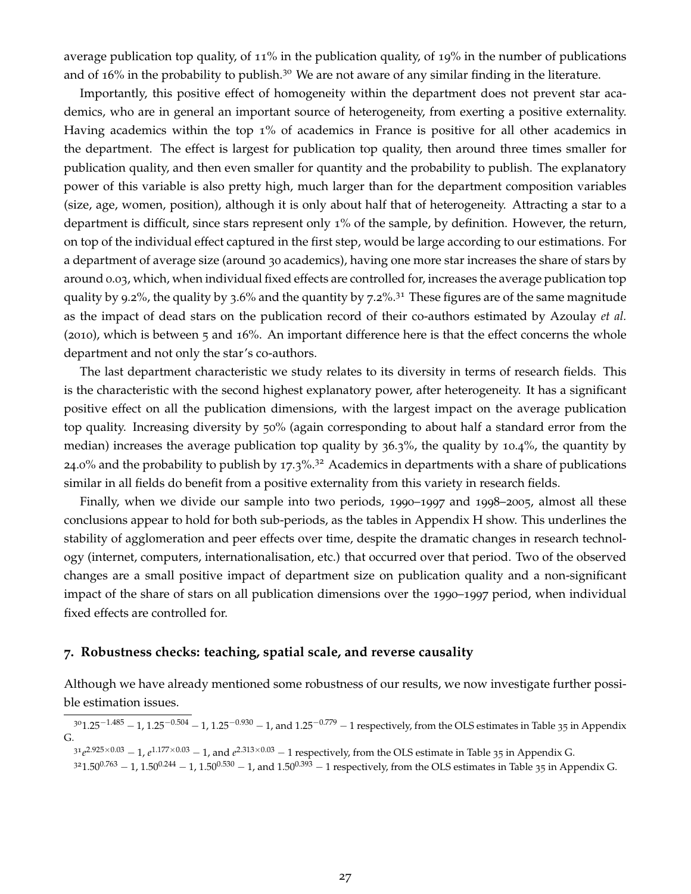average publication top quality, of 11% in the publication quality, of 19% in the number of publications and of  $16\%$  in the probability to publish.<sup>30</sup> We are not aware of any similar finding in the literature.

Importantly, this positive effect of homogeneity within the department does not prevent star academics, who are in general an important source of heterogeneity, from exerting a positive externality. Having academics within the top 1% of academics in France is positive for all other academics in the department. The effect is largest for publication top quality, then around three times smaller for publication quality, and then even smaller for quantity and the probability to publish. The explanatory power of this variable is also pretty high, much larger than for the department composition variables (size, age, women, position), although it is only about half that of heterogeneity. Attracting a star to a department is difficult, since stars represent only 1% of the sample, by definition. However, the return, on top of the individual effect captured in the first step, would be large according to our estimations. For a department of average size (around 30 academics), having one more star increases the share of stars by around 0.03, which, when individual fixed effects are controlled for, increases the average publication top quality by 9.2%, the quality by 3.6% and the quantity by 7.2%.<sup>31</sup> These figures are of the same magnitude as the impact of dead stars on the publication record of their co-authors estimated by Azoulay *et al.* (2010), which is between 5 and 16%. An important difference here is that the effect concerns the whole department and not only the star's co-authors.

The last department characteristic we study relates to its diversity in terms of research fields. This is the characteristic with the second highest explanatory power, after heterogeneity. It has a significant positive effect on all the publication dimensions, with the largest impact on the average publication top quality. Increasing diversity by 50% (again corresponding to about half a standard error from the median) increases the average publication top quality by 36.3%, the quality by 10.4%, the quantity by 24.0% and the probability to publish by 17.3%.32 Academics in departments with a share of publications similar in all fields do benefit from a positive externality from this variety in research fields.

Finally, when we divide our sample into two periods, 1990–1997 and 1998–2005, almost all these conclusions appear to hold for both sub-periods, as the tables in Appendix H show. This underlines the stability of agglomeration and peer effects over time, despite the dramatic changes in research technology (internet, computers, internationalisation, etc.) that occurred over that period. Two of the observed changes are a small positive impact of department size on publication quality and a non-significant impact of the share of stars on all publication dimensions over the 1990–1997 period, when individual fixed effects are controlled for.

#### **7. Robustness checks: teaching, spatial scale, and reverse causality**

Although we have already mentioned some robustness of our results, we now investigate further possible estimation issues.

 $301.25^{-1.485} - 1$ ,  $1.25^{-0.504} - 1$ ,  $1.25^{-0.930} - 1$ , and  $1.25^{-0.779} - 1$  respectively, from the OLS estimates in Table 35 in Appendix G.

 $31e^{2.925\times0.03} - 1$ ,  $e^{1.177\times0.03} - 1$ , and  $e^{2.313\times0.03} - 1$  respectively, from the OLS estimate in Table 35 in Appendix G.  $3^21.50^{0.763} - 1$ ,  $1.50^{0.244} - 1$ ,  $1.50^{0.530} - 1$ , and  $1.50^{0.393} - 1$  respectively, from the OLS estimates in Table 35 in Appendix G.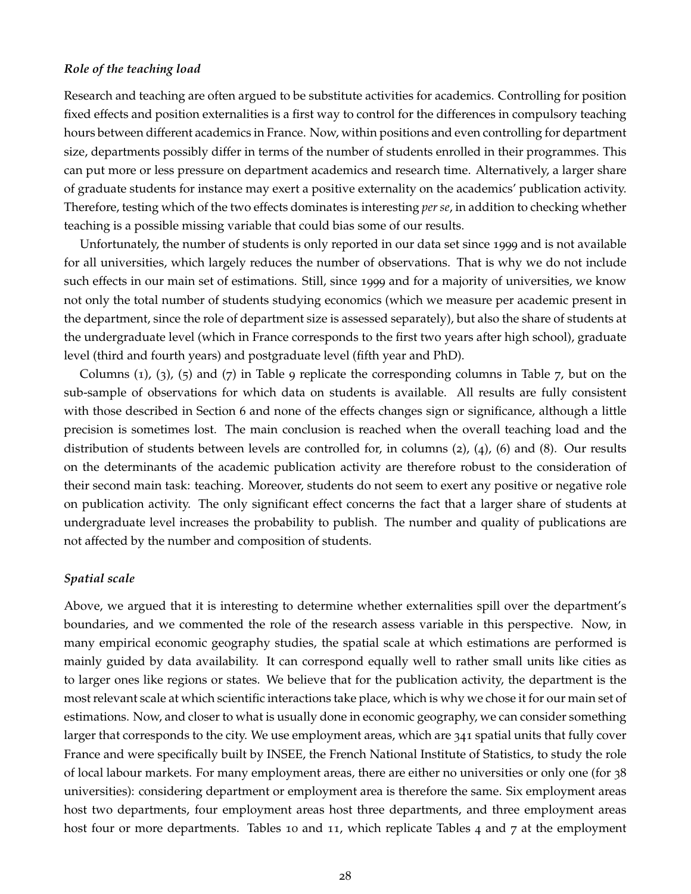#### *Role of the teaching load*

Research and teaching are often argued to be substitute activities for academics. Controlling for position fixed effects and position externalities is a first way to control for the differences in compulsory teaching hours between different academics in France. Now, within positions and even controlling for department size, departments possibly differ in terms of the number of students enrolled in their programmes. This can put more or less pressure on department academics and research time. Alternatively, a larger share of graduate students for instance may exert a positive externality on the academics' publication activity. Therefore, testing which of the two effects dominates is interesting *per se*, in addition to checking whether teaching is a possible missing variable that could bias some of our results.

Unfortunately, the number of students is only reported in our data set since 1999 and is not available for all universities, which largely reduces the number of observations. That is why we do not include such effects in our main set of estimations. Still, since 1999 and for a majority of universities, we know not only the total number of students studying economics (which we measure per academic present in the department, since the role of department size is assessed separately), but also the share of students at the undergraduate level (which in France corresponds to the first two years after high school), graduate level (third and fourth years) and postgraduate level (fifth year and PhD).

Columns  $(1)$ ,  $(3)$ ,  $(5)$  and  $(7)$  in Table 9 replicate the corresponding columns in Table 7, but on the sub-sample of observations for which data on students is available. All results are fully consistent with those described in Section 6 and none of the effects changes sign or significance, although a little precision is sometimes lost. The main conclusion is reached when the overall teaching load and the distribution of students between levels are controlled for, in columns (2), (4), (6) and (8). Our results on the determinants of the academic publication activity are therefore robust to the consideration of their second main task: teaching. Moreover, students do not seem to exert any positive or negative role on publication activity. The only significant effect concerns the fact that a larger share of students at undergraduate level increases the probability to publish. The number and quality of publications are not affected by the number and composition of students.

#### *Spatial scale*

Above, we argued that it is interesting to determine whether externalities spill over the department's boundaries, and we commented the role of the research assess variable in this perspective. Now, in many empirical economic geography studies, the spatial scale at which estimations are performed is mainly guided by data availability. It can correspond equally well to rather small units like cities as to larger ones like regions or states. We believe that for the publication activity, the department is the most relevant scale at which scientific interactions take place, which is why we chose it for our main set of estimations. Now, and closer to what is usually done in economic geography, we can consider something larger that corresponds to the city. We use employment areas, which are 341 spatial units that fully cover France and were specifically built by INSEE, the French National Institute of Statistics, to study the role of local labour markets. For many employment areas, there are either no universities or only one (for 38 universities): considering department or employment area is therefore the same. Six employment areas host two departments, four employment areas host three departments, and three employment areas host four or more departments. Tables 10 and 11, which replicate Tables 4 and 7 at the employment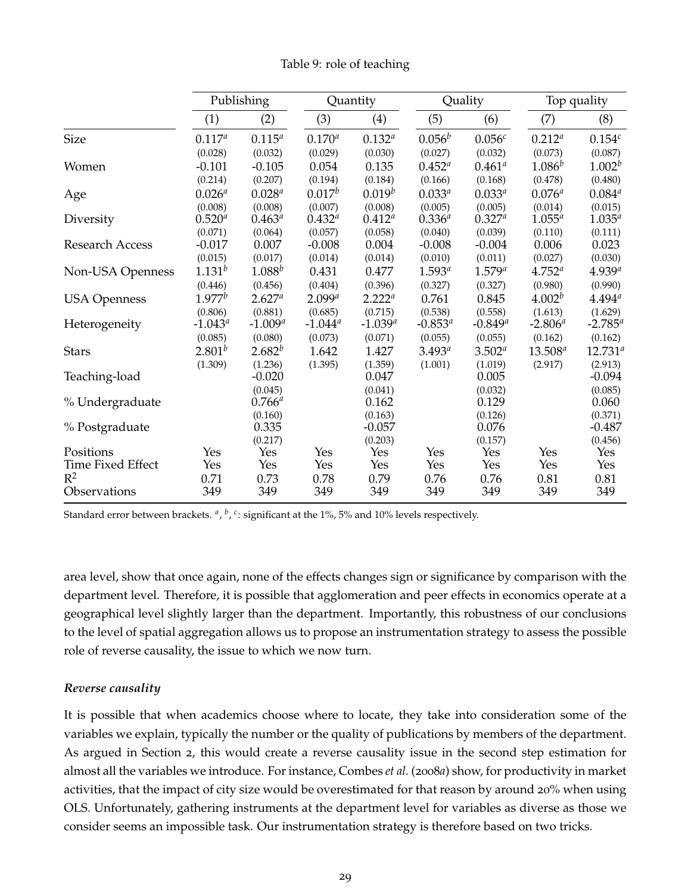|                        |             | Publishing           |                    | Quantity            |                  | Quality            |                    | Top quality         |
|------------------------|-------------|----------------------|--------------------|---------------------|------------------|--------------------|--------------------|---------------------|
|                        | (1)         | (2)                  | (3)                | (4)                 | (5)              | (6)                | (7)                | (8)                 |
| <b>Size</b>            | $0.117^{a}$ | $0.115^{a}$          | $0.170^{a}$        | $0.132^{a}$         | $0.056^b$        | 0.056 <sup>c</sup> | $0.212^{a}$        | $0.154^{c}$         |
|                        | (0.028)     | (0.032)              | (0.029)            | (0.030)             | (0.027)          | (0.032)            | (0.073)            | (0.087)             |
| Women                  | $-0.101$    | $-0.105$             | 0.054              | 0.135               | $0.452^{\circ}$  | $0.461^a$          | $1.086^{b}$        | $1.002^b$           |
|                        | (0.214)     | (0.207)              | (0.194)            | (0.184)             | (0.166)          | (0.168)            | (0.478)            | (0.480)             |
| Age                    | $0.026^{a}$ | $0.028^{a}$          | $0.017^b$          | $0.019^b$           | $0.033^{a}$      | $0.033^{a}$        | $0.076^{a}$        | $0.084^{a}$         |
|                        | (0.008)     | (0.008)              | (0.007)            | (0.008)             | (0.005)          | (0.005)            | (0.014)            | (0.015)             |
| Diversity              | $0.520^{a}$ | $0.463^{\circ}$      | $0.432^{a}$        | $0.412^{a}$         | $0.336^{a}$      | $0.327^{a}$        | $1.055^a$          | $1.035^{a}$         |
|                        | (0.071)     | (0.064)              | (0.057)            | (0.058)             | (0.040)          | (0.039)            | (0.110)            | (0.111)             |
| <b>Research Access</b> | $-0.017$    | 0.007                | $-0.008$           | 0.004               | $-0.008$         | $-0.004$           | 0.006              | 0.023               |
|                        | (0.015)     | (0.017)              | (0.014)            | (0.014)             | (0.010)          | (0.011)            | (0.027)            | (0.030)             |
| Non-USA Openness       | $1.131^{b}$ | $1.088^{b}$          | 0.431              | 0.477               | $1.593^{a}$      | $1.579^{a}$        | $4.752^{a}$        | $4.939^{a}$         |
|                        | (0.446)     | (0.456)              | (0.404)            | (0.396)             | (0.327)          | (0.327)            | (0.980)            | (0.990)             |
| <b>USA Openness</b>    | $1.977^b$   | $2.627^{a}$          | 2.099 <sup>a</sup> | 2.222 <sup>a</sup>  | 0.761            | 0.845              | 4.002 <sup>b</sup> | $4.494^{a}$         |
|                        | (0.806)     | (0.881)              | (0.685)            | (0.715)             | (0.538)          | (0.558)            | (1.613)            | (1.629)             |
| Heterogeneity          | $-1.043^a$  | $-1.009^{a}$         | $-1.044^a$         | $-1.039^{a}$        | $-0.853^{\circ}$ | $-0.849^a$         | $-2.806^a$         | $-2.785^a$          |
|                        | (0.085)     | (0.080)              | (0.073)            | (0.071)             | (0.055)          | (0.055)            | (0.162)            | (0.162)             |
| <b>Stars</b>           | $2.801^{b}$ | $2.682^{b}$          | 1.642              | 1.427               | $3.493^{a}$      | $3.502^{a}$        | $13.508^{a}$       | $12.731^{a}$        |
|                        | (1.309)     | (1.236)              | (1.395)            | (1.359)             | (1.001)          | (1.019)            | (2.917)            | (2.913)             |
| Teaching-load          |             | $-0.020$<br>(0.045)  |                    | 0.047<br>(0.041)    |                  | 0.005<br>(0.032)   |                    | $-0.094$<br>(0.085) |
| % Undergraduate        |             | $0.766^a$<br>(0.160) |                    | 0.162<br>(0.163)    |                  | 0.129<br>(0.126)   |                    | 0.060<br>(0.371)    |
| % Postgraduate         |             | 0.335<br>(0.217)     |                    | $-0.057$<br>(0.203) |                  | 0.076<br>(0.157)   |                    | $-0.487$<br>(0.456) |
| Positions              | Yes         | Yes                  | Yes                | Yes                 | Yes              | Yes                | Yes                | Yes                 |
| Time Fixed Effect      | Yes         | Yes                  | Yes                | Yes                 | Yes              | Yes                | Yes                | Yes                 |
| $R^2$                  | 0.71        | 0.73                 | 0.78               | 0.79                | 0.76             | 0.76               | 0.81               | 0.81                |
| Observations           | 349         | 349                  | 349                | 349                 | 349              | 349                | 349                | 349                 |

Table 9: role of teaching

Standard error between brackets. <sup>a</sup>, <sup>b</sup>, <sup>c</sup>: significant at the 1%, 5% and 10% levels respectively.

area level, show that once again, none of the effects changes sign or significance by comparison with the department level. Therefore, it is possible that agglomeration and peer effects in economics operate at a geographical level slightly larger than the department. Importantly, this robustness of our conclusions to the level of spatial aggregation allows us to propose an instrumentation strategy to assess the possible role of reverse causality, the issue to which we now turn.

#### *Reverse causality*

It is possible that when academics choose where to locate, they take into consideration some of the variables we explain, typically the number or the quality of publications by members of the department. As argued in Section 2, this would create a reverse causality issue in the second step estimation for almost all the variables we introduce. For instance, Combes *et al.* (2008*a*) show, for productivity in market activities, that the impact of city size would be overestimated for that reason by around 20% when using OLS. Unfortunately, gathering instruments at the department level for variables as diverse as those we consider seems an impossible task. Our instrumentation strategy is therefore based on two tricks.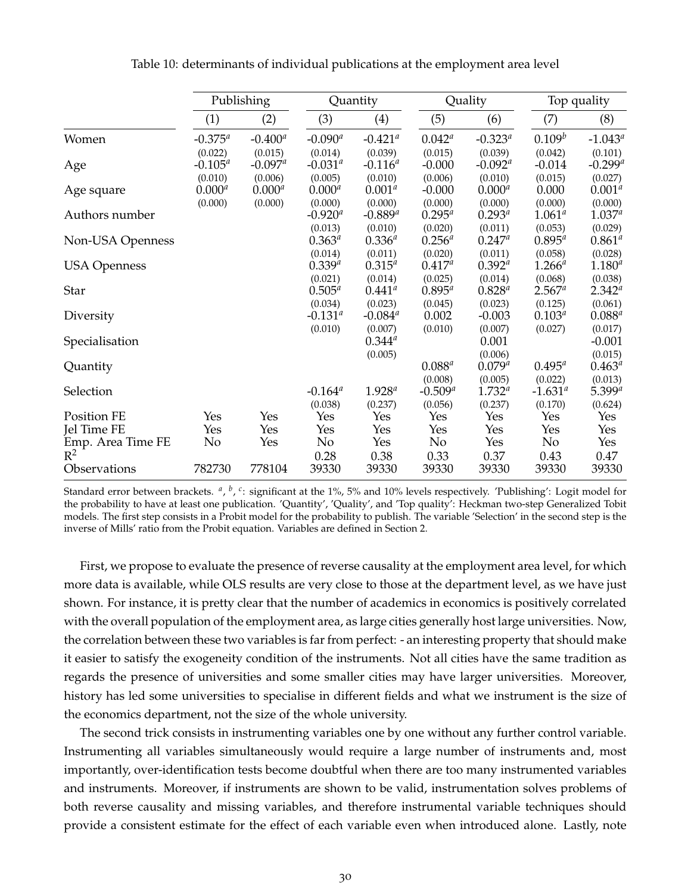|                                            |                                   | Publishing                        |                                   | Quantity                          |                                | Quality                           |                             | Top quality                      |
|--------------------------------------------|-----------------------------------|-----------------------------------|-----------------------------------|-----------------------------------|--------------------------------|-----------------------------------|-----------------------------|----------------------------------|
|                                            | (1)                               | (2)                               | (3)                               | (4)                               | (5)                            | (6)                               | (7)                         | (8)                              |
| Women                                      | $-0.375^a$                        | $-0.400^a$                        | $-0.090^a$                        | $-0.421$ <sup>a</sup>             | $0.042^a$                      | $-0.323^a$                        | $0.109^b$                   | $-1.043^a$                       |
| Age                                        | (0.022)<br>$-0.105^a$             | (0.015)<br>$-0.097^a$             | (0.014)<br>$-0.031^a$             | (0.039)<br>$-0.116^a$             | (0.015)<br>$-0.000$            | (0.039)<br>$-0.092^a$             | (0.042)<br>$-0.014$         | (0.101)<br>$-0.299$ <sup>a</sup> |
| Age square                                 | (0.010)<br>$0.000^{a}$<br>(0.000) | (0.006)<br>$0.000^{a}$<br>(0.000) | (0.005)<br>$0.000^{a}$<br>(0.000) | (0.010)<br>$0.001^{a}$<br>(0.000) | (0.006)<br>$-0.000$<br>(0.000) | (0.010)<br>$0.000^{a}$<br>(0.000) | (0.015)<br>0.000<br>(0.000) | (0.027)<br>$0.001^a$<br>(0.000)  |
| Authors number                             |                                   |                                   | $-0.920^a$                        | $-0.889^{a}$                      | $0.295^{a}$                    | $0.293^{a}$                       | $1.061^a$                   | $1.037^{a}$                      |
| Non-USA Openness                           |                                   |                                   | (0.013)<br>$0.363^{a}$            | (0.010)<br>$0.336^{a}$            | (0.020)<br>$0.256^{a}$         | (0.011)<br>$0.247^a$              | (0.053)<br>$0.895^{a}$      | (0.029)<br>$0.861^{a}$           |
| <b>USA Openness</b>                        |                                   |                                   | (0.014)<br>$0.339^{a}$            | (0.011)<br>$0.315^{a}$            | (0.020)<br>$0.417^{a}$         | (0.011)<br>$0.392^{a}$            | (0.058)<br>$1.266^a$        | (0.028)<br>$1.180^{a}$           |
| Star                                       |                                   |                                   | (0.021)<br>$0.505^{a}$            | (0.014)<br>$0.441^a$              | (0.025)<br>$0.895^{a}$         | (0.014)<br>$0.828^{a}$            | (0.068)<br>$2.567^a$        | (0.038)<br>$2.342^{a}$           |
| Diversity                                  |                                   |                                   | (0.034)<br>$-0.131^{\circ}$       | (0.023)<br>$-0.084$ <sup>a</sup>  | (0.045)<br>0.002               | (0.023)<br>$-0.003$               | (0.125)<br>$0.103^{a}$      | (0.061)<br>$0.088^{a}$           |
| Specialisation                             |                                   |                                   | (0.010)                           | (0.007)<br>$0.344^{a}$            | (0.010)                        | (0.007)<br>0.001                  | (0.027)                     | (0.017)<br>$-0.001$              |
| Quantity                                   |                                   |                                   |                                   | (0.005)                           | $0.088^{a}$                    | (0.006)<br>$0.079^{a}$            | $0.495^{\circ}$             | (0.015)<br>$0.463^{\circ}$       |
| Selection                                  |                                   |                                   | $-0.164^a$                        | $1.928^{a}$                       | (0.008)<br>$-0.509^{a}$        | (0.005)<br>$1.732^{a}$            | (0.022)<br>$-1.631^a$       | (0.013)<br>$5.399^{a}$           |
| Position FE<br>Jel Time FE                 | Yes<br>Yes                        | Yes<br>Yes                        | (0.038)<br>Yes<br>Yes             | (0.237)<br>Yes<br>Yes             | (0.056)<br>Yes<br>Yes          | (0.237)<br>Yes<br>Yes             | (0.170)<br>Yes<br>Yes       | (0.624)<br>Yes<br>Yes            |
| Emp. Area Time FE<br>$R^2$<br>Observations | No<br>782730                      | Yes<br>778104                     | No<br>0.28<br>39330               | Yes<br>0.38<br>39330              | No<br>0.33<br>39330            | Yes<br>0.37<br>39330              | No<br>0.43<br>39330         | Yes<br>0.47<br>39330             |
|                                            |                                   |                                   |                                   |                                   |                                |                                   |                             |                                  |

Table 10: determinants of individual publications at the employment area level

Standard error between brackets. <sup>a</sup>, <sup>b</sup>, <sup>c</sup>: significant at the 1%, 5% and 10% levels respectively. 'Publishing': Logit model for the probability to have at least one publication. 'Quantity', 'Quality', and 'Top quality': Heckman two-step Generalized Tobit models. The first step consists in a Probit model for the probability to publish. The variable 'Selection' in the second step is the inverse of Mills' ratio from the Probit equation. Variables are defined in Section 2.

First, we propose to evaluate the presence of reverse causality at the employment area level, for which more data is available, while OLS results are very close to those at the department level, as we have just shown. For instance, it is pretty clear that the number of academics in economics is positively correlated with the overall population of the employment area, as large cities generally host large universities. Now, the correlation between these two variables is far from perfect: - an interesting property that should make it easier to satisfy the exogeneity condition of the instruments. Not all cities have the same tradition as regards the presence of universities and some smaller cities may have larger universities. Moreover, history has led some universities to specialise in different fields and what we instrument is the size of the economics department, not the size of the whole university.

The second trick consists in instrumenting variables one by one without any further control variable. Instrumenting all variables simultaneously would require a large number of instruments and, most importantly, over-identification tests become doubtful when there are too many instrumented variables and instruments. Moreover, if instruments are shown to be valid, instrumentation solves problems of both reverse causality and missing variables, and therefore instrumental variable techniques should provide a consistent estimate for the effect of each variable even when introduced alone. Lastly, note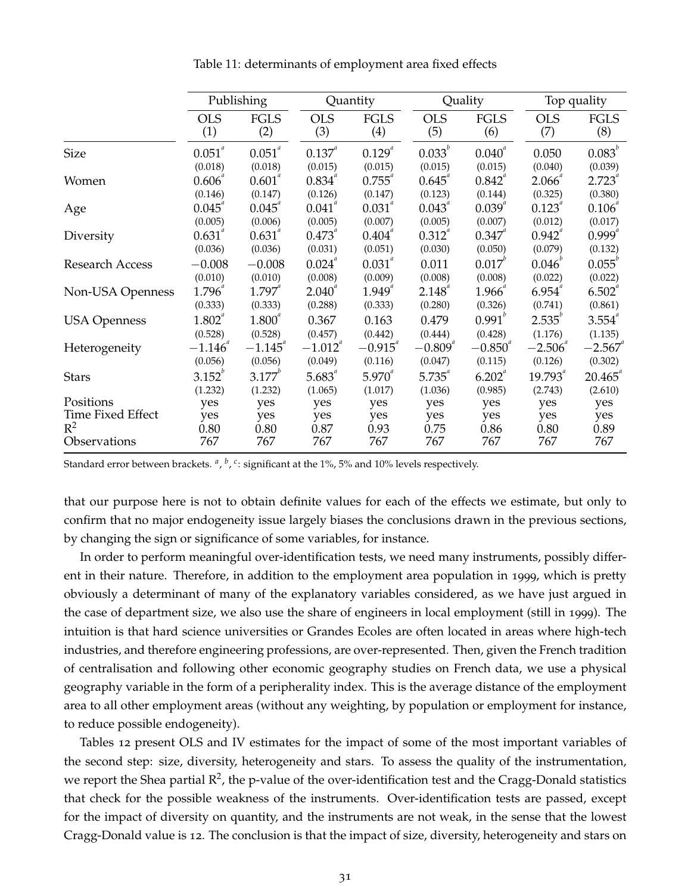|                     | Publishing     |                    |                   | Quantity        |                | Quality        |                     | Top quality      |
|---------------------|----------------|--------------------|-------------------|-----------------|----------------|----------------|---------------------|------------------|
|                     | <b>OLS</b>     | <b>FGLS</b>        | <b>OLS</b>        | <b>FGLS</b>     | <b>OLS</b>     | <b>FGLS</b>    | <b>OLS</b>          | <b>FGLS</b>      |
|                     | (1)            | (2)                | (3)               | (4)             | (5)            | (6)            | (7)                 | (8)              |
| <b>Size</b>         | $0.051^{^{a}}$ | $0.051^{^a}$       | $0.137^{4}$       | $0.129^{^{a}}$  | $0.033^{b}$    | $0.040^{^{a}}$ | 0.050               | $0.083^{b}$      |
| Women               | (0.018)        | (0.018)            | (0.015)           | (0.015)         | (0.015)        | (0.015)        | (0.040)             | (0.039)          |
|                     | 0.606          | $0.601^{a}$        | 0.834             | $0.755$ "       | $0.645$ "      | 0.842          | 2.066               | $2.723^{4}$      |
|                     | (0.146)        | (0.147)            | (0.126)           | (0.147)         | (0.123)        | (0.144)        | (0.325)             | (0.380)          |
| Age                 | $0.045^{^{a}}$ | 0.045              | $0.041^{^{a}}$    | $0.031^{a}$     | $0.043^{^{a}}$ | $0.039^{^{a}}$ | $0.123^{^{a}}$      | 0.106            |
|                     | (0.005)        | (0.006)            | (0.005)           | (0.007)         | (0.005)        | (0.007)        | (0.012)             | (0.017)          |
| Diversity           | $0.631^{4}$    | $0.631^{4}$        | 0.473             | $0.404^{\circ}$ | $0.312^{a}$    | $0.347^{4}$    | $0.942^{^{\alpha}}$ | $0.999^{a}$      |
|                     | (0.036)        | (0.036)            | (0.031)           | (0.051)         | (0.030)        | (0.050)        | (0.079)             | (0.132)          |
| Research Access     | $-0.008$       | $-0.008$           | $0.024^{^{a}}$    | $0.031^{a}$     | 0.011          | $0.017^{v}$    | $0.046^{\circ}$     | $0.055^{\circ}$  |
|                     | (0.010)        | (0.010)            | (0.008)           | (0.009)         | (0.008)        | (0.008)        | (0.022)             | (0.022)          |
| Non-USA Openness    | $1.796^{^{a}}$ | $1.797^{^{a}}$     | $2.040^{\degree}$ | $1.949^{^{a}}$  | $2.148^{^{a}}$ | 1.966          | 6.954               | $6.502^{a}$      |
|                     | (0.333)        | (0.333)            | (0.288)           | (0.333)         | (0.280)        | (0.326)        | (0.741)             | (0.861)          |
| <b>USA Openness</b> | $1.802^{^{a}}$ | 1.800 <sup>a</sup> | 0.367             | 0.163           | 0.479          | $0.991^{b}$    | $2.535^{b}$         | $3.554^{4}$      |
|                     | (0.528)        | (0.528)            | (0.457)           | (0.442)         | (0.444)        | (0.428)        | (1.176)             | (1.135)          |
| Heterogeneity       | $-1.146$       | $-1.145$           | $-1.012^{a}$      | $-0.915$        | $-0.809^{a}$   | $-0.850^{4}$   | $-2.506^{a}$        | $-2.567$         |
|                     | (0.056)        | (0.056)            | (0.049)           | (0.116)         | (0.047)        | (0.115)        | (0.126)             | (0.302)          |
| <b>Stars</b>        | $3.152^{b}$    | $3.177^{b}$        | $5.683^{4}$       | $5.970^{a}$     | $5.735^{a}$    | $6.202^{a}$    | $19.793^{^{a}}$     | $20.465^{\circ}$ |
|                     | (1.232)        | (1.232)            | (1.065)           | (1.017)         | (1.036)        | (0.985)        | (2.743)             | (2.610)          |
| Positions           | yes            | yes                | yes               | yes             | yes            | yes            | yes                 | yes              |
| Time Fixed Effect   | yes            | yes                | yes               | yes             | yes            | yes            | yes                 | yes              |
| $R^2$               | 0.80           | 0.80               | 0.87              | 0.93            | 0.75           | 0.86           | 0.80                | 0.89             |
| Observations        | 767            | 767                | 767               | 767             | 767            | 767            | 767                 | 767              |

Table 11: determinants of employment area fixed effects

Standard error between brackets. <sup>a</sup>, <sup>b</sup>, <sup>c</sup>: significant at the 1%, 5% and 10% levels respectively.

that our purpose here is not to obtain definite values for each of the effects we estimate, but only to confirm that no major endogeneity issue largely biases the conclusions drawn in the previous sections, by changing the sign or significance of some variables, for instance.

In order to perform meaningful over-identification tests, we need many instruments, possibly different in their nature. Therefore, in addition to the employment area population in 1999, which is pretty obviously a determinant of many of the explanatory variables considered, as we have just argued in the case of department size, we also use the share of engineers in local employment (still in 1999). The intuition is that hard science universities or Grandes Ecoles are often located in areas where high-tech industries, and therefore engineering professions, are over-represented. Then, given the French tradition of centralisation and following other economic geography studies on French data, we use a physical geography variable in the form of a peripherality index. This is the average distance of the employment area to all other employment areas (without any weighting, by population or employment for instance, to reduce possible endogeneity).

Tables 12 present OLS and IV estimates for the impact of some of the most important variables of the second step: size, diversity, heterogeneity and stars. To assess the quality of the instrumentation, we report the Shea partial  $\mathsf{R}^2$ , the p-value of the over-identification test and the Cragg-Donald statistics that check for the possible weakness of the instruments. Over-identification tests are passed, except for the impact of diversity on quantity, and the instruments are not weak, in the sense that the lowest Cragg-Donald value is 12. The conclusion is that the impact of size, diversity, heterogeneity and stars on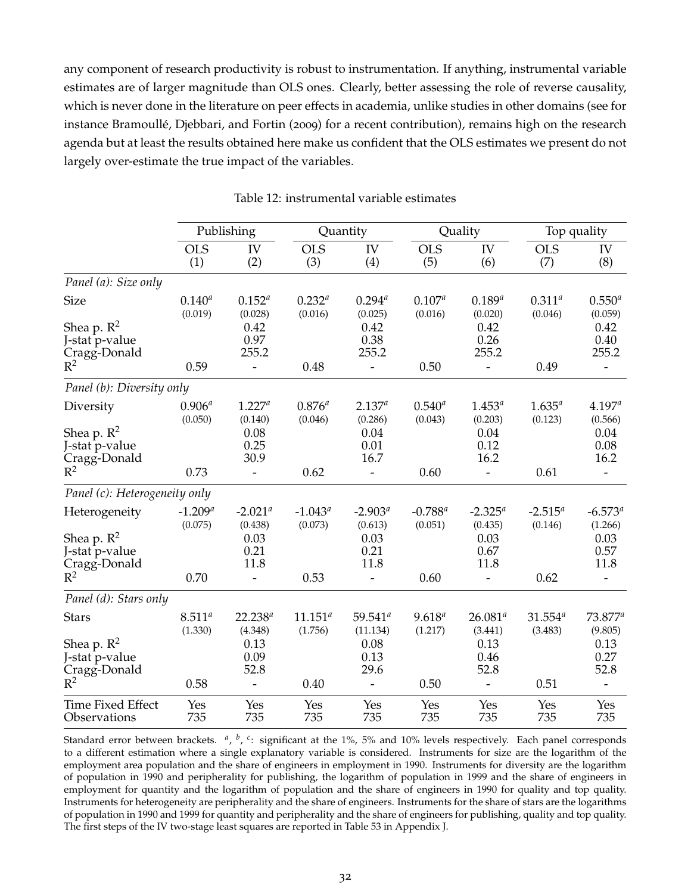any component of research productivity is robust to instrumentation. If anything, instrumental variable estimates are of larger magnitude than OLS ones. Clearly, better assessing the role of reverse causality, which is never done in the literature on peer effects in academia, unlike studies in other domains (see for instance Bramoullé, Djebbari, and Fortin (2009) for a recent contribution), remains high on the research agenda but at least the results obtained here make us confident that the OLS estimates we present do not largely over-estimate the true impact of the variables.

|                                                                           |                         | Publishing                                      |                         | Quantity                                       |                        | Quality                                         |                        | Top quality                                           |
|---------------------------------------------------------------------------|-------------------------|-------------------------------------------------|-------------------------|------------------------------------------------|------------------------|-------------------------------------------------|------------------------|-------------------------------------------------------|
|                                                                           | <b>OLS</b><br>(1)       | IV<br>(2)                                       | <b>OLS</b><br>(3)       | IV<br>(4)                                      | <b>OLS</b><br>(5)      | IV<br>(6)                                       | <b>OLS</b><br>(7)      | IV<br>(8)                                             |
| Panel (a): Size only                                                      |                         |                                                 |                         |                                                |                        |                                                 |                        |                                                       |
| <b>Size</b>                                                               | $0.140^{a}$<br>(0.019)  | $0.152^{a}$<br>(0.028)                          | $0.232^{a}$<br>(0.016)  | $0.294^{a}$<br>(0.025)                         | $0.107^{a}$<br>(0.016) | $0.189^{a}$<br>(0.020)                          | $0.311^{a}$<br>(0.046) | $0.550^{a}$<br>(0.059)                                |
| Shea p. $R^2$<br>J-stat p-value<br>Cragg-Donald                           |                         | 0.42<br>0.97<br>255.2                           |                         | 0.42<br>0.38<br>255.2                          |                        | 0.42<br>0.26<br>255.2                           |                        | 0.42<br>0.40<br>255.2                                 |
| $R^2$                                                                     | 0.59                    | $\overline{a}$                                  | 0.48                    | $\overline{\phantom{a}}$                       | 0.50                   | $\qquad \qquad \blacksquare$                    | 0.49                   | $\overline{\phantom{0}}$                              |
| Panel (b): Diversity only                                                 |                         |                                                 |                         |                                                |                        |                                                 |                        |                                                       |
| Diversity<br>Shea p. $\mathbb{R}^2$<br>J-stat p-value<br>Cragg-Donald     | $0.906^{a}$<br>(0.050)  | $1.227^a$<br>(0.140)<br>0.08<br>0.25<br>30.9    | $0.876^{a}$<br>(0.046)  | $2.137^{a}$<br>(0.286)<br>0.04<br>0.01<br>16.7 | $0.540^{a}$<br>(0.043) | $1.453^{a}$<br>(0.203)<br>0.04<br>0.12<br>16.2  | $1.635^{a}$<br>(0.123) | 4.197 <sup>a</sup><br>(0.566)<br>0.04<br>0.08<br>16.2 |
| $R^2$                                                                     | 0.73                    | $\overline{\phantom{0}}$                        | 0.62                    | $\overline{\phantom{0}}$                       | 0.60                   | $\overline{a}$                                  | 0.61                   | $\overline{\phantom{m}}$                              |
| Panel (c): Heterogeneity only                                             |                         |                                                 |                         |                                                |                        |                                                 |                        |                                                       |
| Heterogeneity<br>Shea p. $\mathbb{R}^2$<br>J-stat p-value<br>Cragg-Donald | $-1.209^{a}$<br>(0.075) | $-2.021^a$<br>(0.438)<br>0.03<br>0.21<br>11.8   | $-1.043^a$<br>(0.073)   | $-2.903^a$<br>(0.613)<br>0.03<br>0.21<br>11.8  | $-0.788^a$<br>(0.051)  | $-2.325^{a}$<br>(0.435)<br>0.03<br>0.67<br>11.8 | $-2.515^a$<br>(0.146)  | $-6.573^{\circ}$<br>(1.266)<br>0.03<br>0.57<br>11.8   |
| $R^2$                                                                     | 0.70                    | $\overline{\phantom{0}}$                        | 0.53                    | $\overline{\phantom{0}}$                       | 0.60                   | $\overline{\phantom{a}}$                        | 0.62                   | $\overline{\phantom{a}}$                              |
| Panel (d): Stars only                                                     |                         |                                                 |                         |                                                |                        |                                                 |                        |                                                       |
| <b>Stars</b><br>Shea p. $R^2$<br>J-stat p-value<br>Cragg-Donald           | $8.511^{a}$<br>(1.330)  | $22.238^{a}$<br>(4.348)<br>0.13<br>0.09<br>52.8 | $11.151^{a}$<br>(1.756) | $59.541^a$<br>(11.134)<br>0.08<br>0.13<br>29.6 | $9.618^{a}$<br>(1.217) | $26.081^{a}$<br>(3.441)<br>0.13<br>0.46<br>52.8 | $31.554^a$<br>(3.483)  | $73.877^a$<br>(9.805)<br>0.13<br>0.27<br>52.8         |
| $R^2$                                                                     | 0.58                    | $\overline{\phantom{0}}$                        | 0.40                    | $\overline{\phantom{a}}$                       | 0.50                   |                                                 | 0.51                   | $\overline{\phantom{a}}$                              |
| <b>Time Fixed Effect</b><br>Observations                                  | Yes<br>735              | Yes<br>735                                      | Yes<br>735              | Yes<br>735                                     | Yes<br>735             | Yes<br>735                                      | Yes<br>735             | Yes<br>735                                            |

Table 12: instrumental variable estimates

Standard error between brackets. <sup>a</sup>, <sup>b</sup>, <sup>c</sup>: significant at the 1%, 5% and 10% levels respectively. Each panel corresponds to a different estimation where a single explanatory variable is considered. Instruments for size are the logarithm of the employment area population and the share of engineers in employment in 1990. Instruments for diversity are the logarithm of population in 1990 and peripherality for publishing, the logarithm of population in 1999 and the share of engineers in employment for quantity and the logarithm of population and the share of engineers in 1990 for quality and top quality. Instruments for heterogeneity are peripherality and the share of engineers. Instruments for the share of stars are the logarithms of population in 1990 and 1999 for quantity and peripherality and the share of engineers for publishing, quality and top quality. The first steps of the IV two-stage least squares are reported in Table 53 in Appendix J.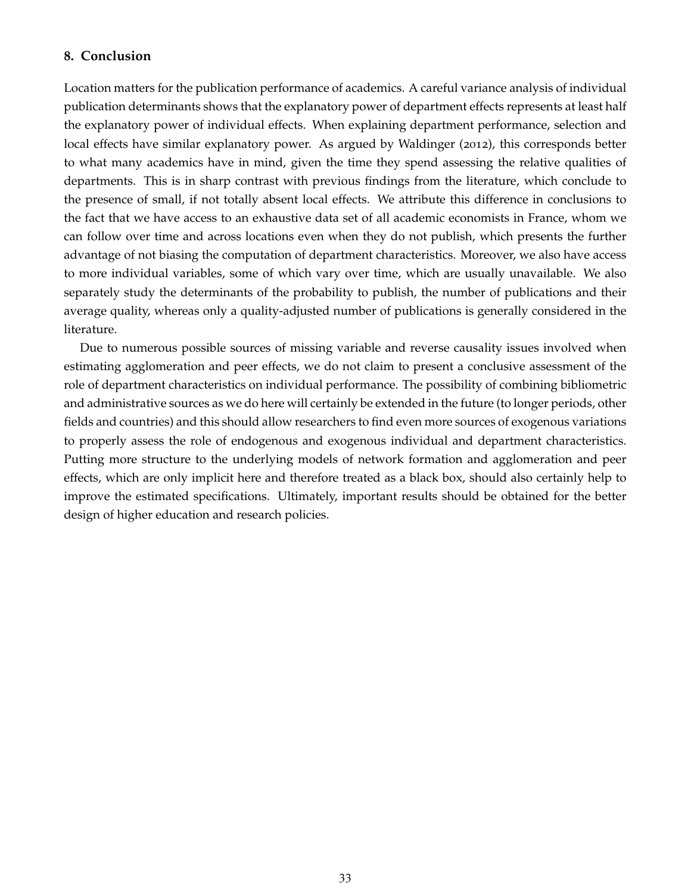#### **8. Conclusion**

Location matters for the publication performance of academics. A careful variance analysis of individual publication determinants shows that the explanatory power of department effects represents at least half the explanatory power of individual effects. When explaining department performance, selection and local effects have similar explanatory power. As argued by Waldinger (2012), this corresponds better to what many academics have in mind, given the time they spend assessing the relative qualities of departments. This is in sharp contrast with previous findings from the literature, which conclude to the presence of small, if not totally absent local effects. We attribute this difference in conclusions to the fact that we have access to an exhaustive data set of all academic economists in France, whom we can follow over time and across locations even when they do not publish, which presents the further advantage of not biasing the computation of department characteristics. Moreover, we also have access to more individual variables, some of which vary over time, which are usually unavailable. We also separately study the determinants of the probability to publish, the number of publications and their average quality, whereas only a quality-adjusted number of publications is generally considered in the literature.

Due to numerous possible sources of missing variable and reverse causality issues involved when estimating agglomeration and peer effects, we do not claim to present a conclusive assessment of the role of department characteristics on individual performance. The possibility of combining bibliometric and administrative sources as we do here will certainly be extended in the future (to longer periods, other fields and countries) and this should allow researchers to find even more sources of exogenous variations to properly assess the role of endogenous and exogenous individual and department characteristics. Putting more structure to the underlying models of network formation and agglomeration and peer effects, which are only implicit here and therefore treated as a black box, should also certainly help to improve the estimated specifications. Ultimately, important results should be obtained for the better design of higher education and research policies.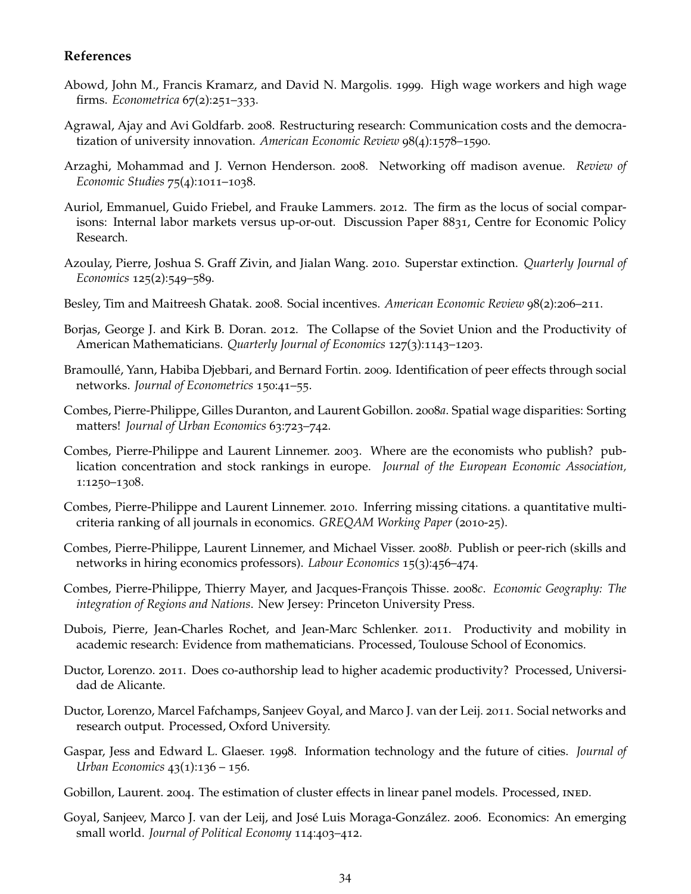#### **References**

- Abowd, John M., Francis Kramarz, and David N. Margolis. 1999. High wage workers and high wage firms. *Econometrica* 67(2):251–333.
- Agrawal, Ajay and Avi Goldfarb. 2008. Restructuring research: Communication costs and the democratization of university innovation. *American Economic Review* 98(4):1578–1590.
- Arzaghi, Mohammad and J. Vernon Henderson. 2008. Networking off madison avenue. *Review of Economic Studies* 75(4):1011–1038.
- Auriol, Emmanuel, Guido Friebel, and Frauke Lammers. 2012. The firm as the locus of social comparisons: Internal labor markets versus up-or-out. Discussion Paper 8831, Centre for Economic Policy Research.
- Azoulay, Pierre, Joshua S. Graff Zivin, and Jialan Wang. 2010. Superstar extinction. *Quarterly Journal of Economics* 125(2):549–589.
- Besley, Tim and Maitreesh Ghatak. 2008. Social incentives. *American Economic Review* 98(2):206–211.
- Borjas, George J. and Kirk B. Doran. 2012. The Collapse of the Soviet Union and the Productivity of American Mathematicians. *Quarterly Journal of Economics* 127(3):1143–1203.
- Bramoullé, Yann, Habiba Djebbari, and Bernard Fortin. 2009. Identification of peer effects through social networks. *Journal of Econometrics* 150:41–55.
- Combes, Pierre-Philippe, Gilles Duranton, and Laurent Gobillon. 2008*a*. Spatial wage disparities: Sorting matters! *Journal of Urban Economics* 63:723–742.
- Combes, Pierre-Philippe and Laurent Linnemer. 2003. Where are the economists who publish? publication concentration and stock rankings in europe. *Journal of the European Economic Association,* 1:1250–1308.
- Combes, Pierre-Philippe and Laurent Linnemer. 2010. Inferring missing citations. a quantitative multicriteria ranking of all journals in economics. *GREQAM Working Paper* (2010-25).
- Combes, Pierre-Philippe, Laurent Linnemer, and Michael Visser. 2008*b*. Publish or peer-rich (skills and networks in hiring economics professors). *Labour Economics* 15(3):456–474.
- Combes, Pierre-Philippe, Thierry Mayer, and Jacques-François Thisse. 2008*c*. *Economic Geography: The integration of Regions and Nations*. New Jersey: Princeton University Press.
- Dubois, Pierre, Jean-Charles Rochet, and Jean-Marc Schlenker. 2011. Productivity and mobility in academic research: Evidence from mathematicians. Processed, Toulouse School of Economics.
- Ductor, Lorenzo. 2011. Does co-authorship lead to higher academic productivity? Processed, Universidad de Alicante.
- Ductor, Lorenzo, Marcel Fafchamps, Sanjeev Goyal, and Marco J. van der Leij. 2011. Social networks and research output. Processed, Oxford University.
- Gaspar, Jess and Edward L. Glaeser. 1998. Information technology and the future of cities. *Journal of Urban Economics* 43(1):136 – 156.
- Gobillon, Laurent. 2004. The estimation of cluster effects in linear panel models. Processed, INED.
- Goyal, Sanjeev, Marco J. van der Leij, and José Luis Moraga-González. 2006. Economics: An emerging small world. *Journal of Political Economy* 114:403–412.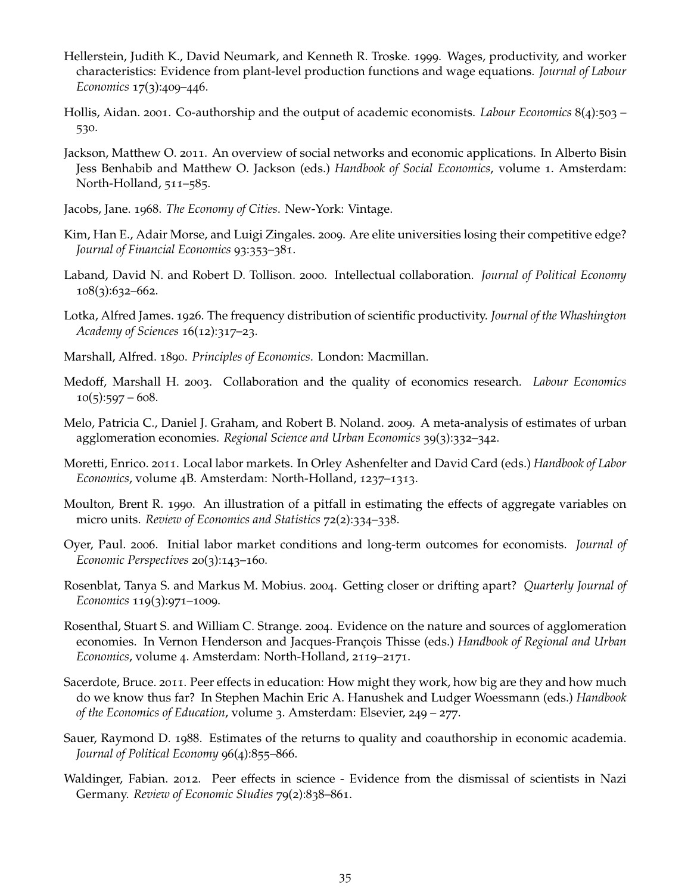- Hellerstein, Judith K., David Neumark, and Kenneth R. Troske. 1999. Wages, productivity, and worker characteristics: Evidence from plant-level production functions and wage equations. *Journal of Labour Economics* 17(3):409–446.
- Hollis, Aidan. 2001. Co-authorship and the output of academic economists. *Labour Economics* 8(4):503 530.
- Jackson, Matthew O. 2011. An overview of social networks and economic applications. In Alberto Bisin Jess Benhabib and Matthew O. Jackson (eds.) *Handbook of Social Economics*, volume 1. Amsterdam: North-Holland, 511–585.
- Jacobs, Jane. 1968. *The Economy of Cities*. New-York: Vintage.
- Kim, Han E., Adair Morse, and Luigi Zingales. 2009. Are elite universities losing their competitive edge? *Journal of Financial Economics* 93:353–381.
- Laband, David N. and Robert D. Tollison. 2000. Intellectual collaboration. *Journal of Political Economy* 108(3):632–662.
- Lotka, Alfred James. 1926. The frequency distribution of scientific productivity. *Journal of the Whashington Academy of Sciences* 16(12):317–23.
- Marshall, Alfred. 1890. *Principles of Economics*. London: Macmillan.
- Medoff, Marshall H. 2003. Collaboration and the quality of economics research. *Labour Economics*  $10(5):597 - 608.$
- Melo, Patricia C., Daniel J. Graham, and Robert B. Noland. 2009. A meta-analysis of estimates of urban agglomeration economies. *Regional Science and Urban Economics* 39(3):332–342.
- Moretti, Enrico. 2011. Local labor markets. In Orley Ashenfelter and David Card (eds.) *Handbook of Labor Economics*, volume 4B. Amsterdam: North-Holland, 1237–1313.
- Moulton, Brent R. 1990. An illustration of a pitfall in estimating the effects of aggregate variables on micro units. *Review of Economics and Statistics* 72(2):334–338.
- Oyer, Paul. 2006. Initial labor market conditions and long-term outcomes for economists. *Journal of Economic Perspectives* 20(3):143–160.
- Rosenblat, Tanya S. and Markus M. Mobius. 2004. Getting closer or drifting apart? *Quarterly Journal of Economics* 119(3):971–1009.
- Rosenthal, Stuart S. and William C. Strange. 2004. Evidence on the nature and sources of agglomeration economies. In Vernon Henderson and Jacques-François Thisse (eds.) *Handbook of Regional and Urban Economics*, volume 4. Amsterdam: North-Holland, 2119–2171.
- Sacerdote, Bruce. 2011. Peer effects in education: How might they work, how big are they and how much do we know thus far? In Stephen Machin Eric A. Hanushek and Ludger Woessmann (eds.) *Handbook of the Economics of Education*, volume 3. Amsterdam: Elsevier, 249 – 277.
- Sauer, Raymond D. 1988. Estimates of the returns to quality and coauthorship in economic academia. *Journal of Political Economy* 96(4):855–866.
- Waldinger, Fabian. 2012. Peer effects in science Evidence from the dismissal of scientists in Nazi Germany. *Review of Economic Studies* 79(2):838–861.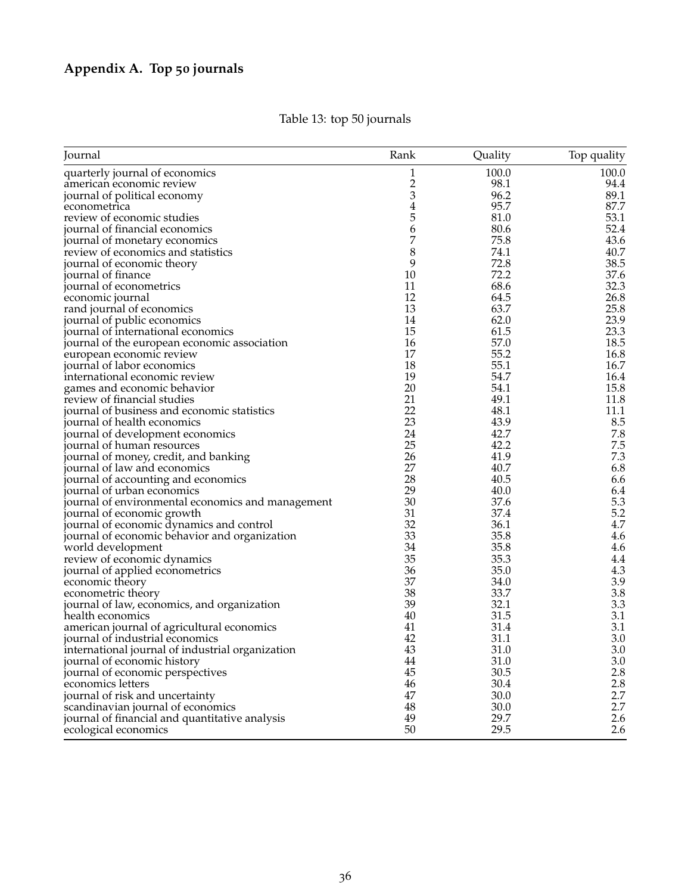| Journal                                           | Rank             | Quality      | Top quality |
|---------------------------------------------------|------------------|--------------|-------------|
| quarterly journal of economics                    | 1                | 100.0        | 100.0       |
| american economic review                          | $\boldsymbol{2}$ | 98.1         | 94.4        |
| journal of political economy                      | 3                | 96.2         | 89.1        |
| econometrica                                      | $\overline{4}$   | 95.7         | 87.7        |
| review of economic studies                        | 5                | 81.0         | 53.1        |
| journal of financial economics                    | 6                | 80.6         | 52.4        |
| journal of monetary economics                     | 7                | 75.8         | 43.6        |
| review of economics and statistics                | 8                | 74.1         | 40.7        |
| journal of economic theory                        | 9                | 72.8         | 38.5        |
| journal of finance                                | 10               | 72.2         | 37.6        |
| journal of econometrics                           | 11               | 68.6         | 32.3        |
| economic journal                                  | 12               | 64.5         | 26.8        |
| rand journal of economics                         | 13               | 63.7         | 25.8        |
| journal of public economics                       | 14               | 62.0         | 23.9        |
| journal of international economics                | 15               | 61.5         | 23.3        |
| journal of the european economic association      | 16               | 57.0         | 18.5        |
| european economic review                          | 17               | 55.2         | 16.8        |
| journal of labor economics                        | 18               | 55.1         | 16.7        |
| international economic review                     | 19               | 54.7         | 16.4        |
| games and economic behavior                       | 20               | 54.1         | 15.8        |
| review of financial studies                       | 21               | 49.1         | 11.8        |
| journal of business and economic statistics       | 22               | 48.1         | 11.1        |
| journal of health economics                       | 23               | 43.9         | 8.5         |
| journal of development economics                  | 24               | 42.7         | 7.8         |
| journal of human resources                        | 25               | 42.2         | 7.5         |
| journal of money, credit, and banking             | 26               | 41.9         | 7.3         |
| journal of law and economics                      | 27               | 40.7         | 6.8         |
|                                                   | 28               | 40.5         | 6.6         |
| journal of accounting and economics               | 29               | 40.0         | 6.4         |
| journal of urban economics                        | 30               | 37.6         | 5.3         |
| journal of environmental economics and management | 31               | 37.4         | 5.2         |
| journal of economic growth                        | 32               |              | 4.7         |
| journal of economic dynamics and control          | 33               | 36.1<br>35.8 | 4.6         |
| journal of economic behavior and organization     | 34               |              |             |
| world development                                 | 35               | 35.8         | 4.6         |
| review of economic dynamics                       | 36               | 35.3         | 4.4         |
| journal of applied econometrics                   | 37               | 35.0         | 4.3         |
| economic theory                                   |                  | 34.0         | 3.9         |
| econometric theory                                | 38               | 33.7         | 3.8         |
| journal of law, economics, and organization       | 39               | 32.1         | 3.3         |
| health economics                                  | 40               | 31.5         | 3.1         |
| american journal of agricultural economics        | 41               | 31.4         | 3.1         |
| journal of industrial economics                   | 42               | 31.1         | 3.0         |
| international journal of industrial organization  | 43               | 31.0         | 3.0         |
| journal of economic history                       | 44               | 31.0         | 3.0         |
| journal of economic perspectives                  | 45               | 30.5         | 2.8         |
| economics letters                                 | 46               | 30.4         | 2.8         |
| journal of risk and uncertainty                   | 47               | 30.0         | 2.7         |
| scandinavian journal of economics                 | 48               | 30.0         | 2.7         |
| journal of financial and quantitative analysis    | 49               | 29.7         | 2.6         |
| ecological economics                              | 50               | 29.5         | 2.6         |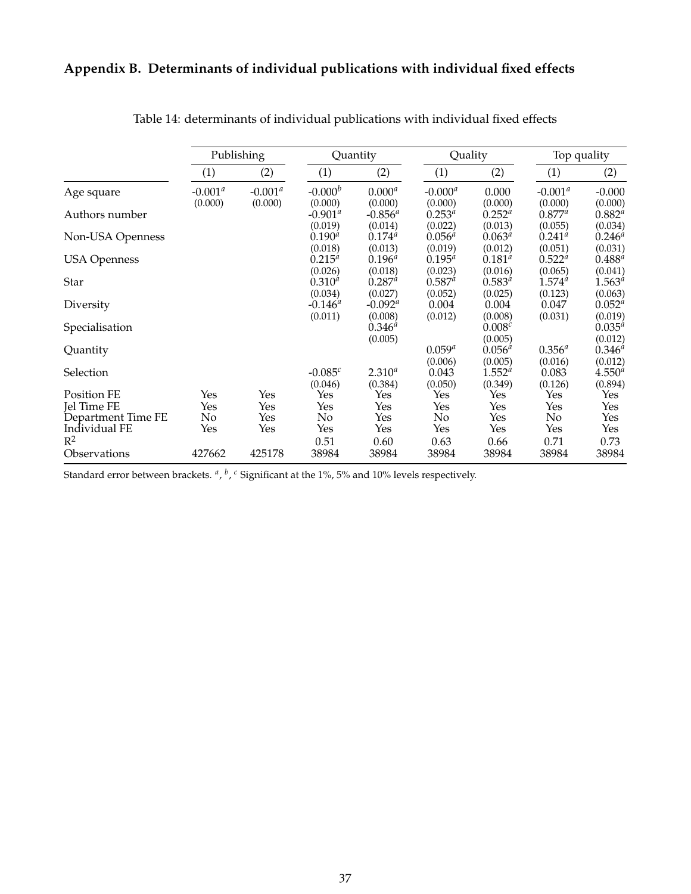## **Appendix B. Determinants of individual publications with individual fixed effects**

|                     |            | Publishing |             | Quantity    | Quality     |             | Top quality     |             |
|---------------------|------------|------------|-------------|-------------|-------------|-------------|-----------------|-------------|
|                     | (1)        | (2)        | (1)         | (2)         | (1)         | (2)         | (1)             | (2)         |
| Age square          | $-0.001^a$ | $-0.001^a$ | $-0.000b$   | $0.000^a$   | $-0.000^a$  | 0.000       | $-0.001^a$      | $-0.000$    |
|                     | (0.000)    | (0.000)    | (0.000)     | (0.000)     | (0.000)     | (0.000)     | (0.000)         | (0.000)     |
| Authors number      |            |            | $-0.901^a$  | $-0.856^a$  | $0.253^{a}$ | $0.252^{a}$ | $0.877^a$       | $0.882^{a}$ |
|                     |            |            | (0.019)     | (0.014)     | (0.022)     | (0.013)     | (0.055)         | (0.034)     |
| Non-USA Openness    |            |            | $0.190^{a}$ | $0.174^{a}$ | $0.056^{a}$ | $0.063^{a}$ | $0.241^{\circ}$ | $0.246^{a}$ |
|                     |            |            | (0.018)     | (0.013)     | (0.019)     | (0.012)     | (0.051)         | (0.031)     |
| <b>USA Openness</b> |            |            | $0.215^{a}$ | $0.196^{a}$ | $0.195^{a}$ | $0.181^{a}$ | $0.522^{\circ}$ | $0.488^{a}$ |
|                     |            |            | (0.026)     | (0.018)     | (0.023)     | (0.016)     | (0.065)         | (0.041)     |
| Star                |            |            | $0.310^{a}$ | $0.287^{a}$ | $0.587^{a}$ | $0.583^{a}$ | $1.574^{a}$     | $1.563^{a}$ |
|                     |            |            | (0.034)     | (0.027)     | (0.052)     | (0.025)     | (0.123)         | (0.063)     |
| Diversity           |            |            | $-0.146^a$  | $-0.092^a$  | 0.004       | 0.004       | 0.047           | $0.052^{a}$ |
|                     |            |            | (0.011)     | (0.008)     | (0.012)     | (0.008)     | (0.031)         | (0.019)     |
| Specialisation      |            |            |             | $0.346^{a}$ |             | 0.008c      |                 | $0.035^{a}$ |
|                     |            |            |             | (0.005)     |             | (0.005)     |                 | (0.012)     |
| Quantity            |            |            |             |             | $0.059^{a}$ | $0.056^{a}$ | $0.356^{a}$     | $0.346^{a}$ |
|                     |            |            |             |             | (0.006)     | (0.005)     | (0.016)         | (0.012)     |
| Selection           |            |            | $-0.085c$   | $2.310^{a}$ | 0.043       | $1.552^{a}$ | 0.083           | $4.550^{a}$ |
|                     |            |            | (0.046)     | (0.384)     | (0.050)     | (0.349)     | (0.126)         | (0.894)     |
| Position FE         | Yes        | Yes        | Yes         | Yes         | Yes         | Yes         | Yes             | Yes         |
| Jel Time FE         | Yes        | Yes        | Yes         | Yes         | Yes         | Yes         | Yes             | Yes         |
| Department Time FE  | No         | Yes        | No          | Yes         | No          | Yes         | No              | Yes         |
| Individual FE       | Yes        | Yes        | Yes         | Yes         | Yes         | Yes         | Yes             | Yes         |
| $R^2$               |            |            | 0.51        | 0.60        | 0.63        | 0.66        | 0.71            | 0.73        |
| Observations        | 427662     | 425178     | 38984       | 38984       | 38984       | 38984       | 38984           | 38984       |

Table 14: determinants of individual publications with individual fixed effects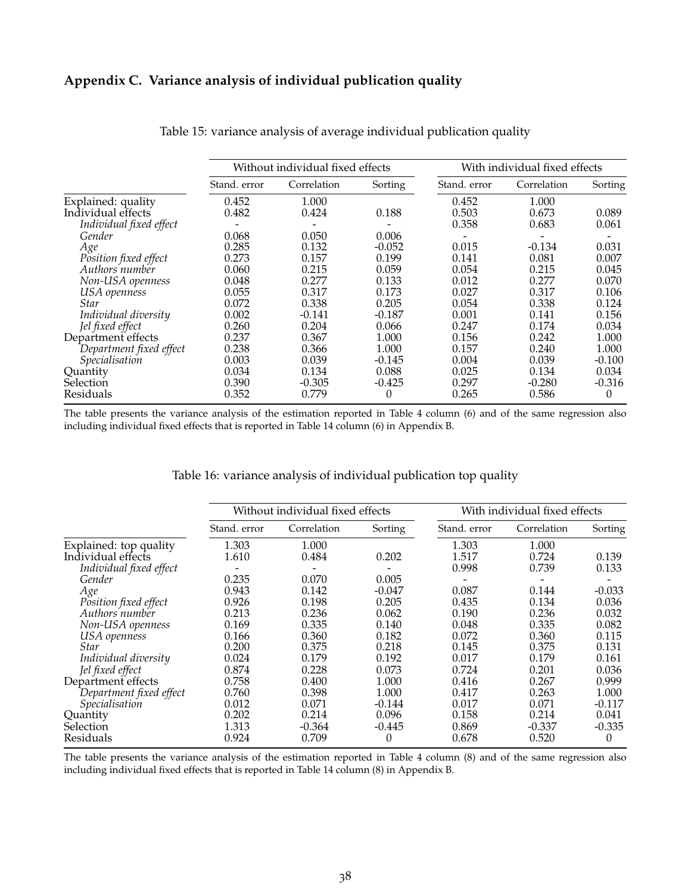#### **Appendix C. Variance analysis of individual publication quality**

|                         |              | Without individual fixed effects |          | With individual fixed effects |             |          |  |
|-------------------------|--------------|----------------------------------|----------|-------------------------------|-------------|----------|--|
|                         | Stand, error | Correlation                      | Sorting  | Stand. error                  | Correlation | Sorting  |  |
| Explained: quality      | 0.452        | 1.000                            |          | 0.452                         | 1.000       |          |  |
| Individual effects      | 0.482        | 0.424                            | 0.188    | 0.503                         | 0.673       | 0.089    |  |
| Individual fixed effect |              |                                  |          | 0.358                         | 0.683       | 0.061    |  |
| Gender                  | 0.068        | 0.050                            | 0.006    |                               |             |          |  |
| Age                     | 0.285        | 0.132                            | $-0.052$ | 0.015                         | $-0.134$    | 0.031    |  |
| Position fixed effect   | 0.273        | 0.157                            | 0.199    | 0.141                         | 0.081       | 0.007    |  |
| Authors number          | 0.060        | 0.215                            | 0.059    | 0.054                         | 0.215       | 0.045    |  |
| Non-USA openness        | 0.048        | 0.277                            | 0.133    | 0.012                         | 0.277       | 0.070    |  |
| USA openness            | 0.055        | 0.317                            | 0.173    | 0.027                         | 0.317       | 0.106    |  |
| Star                    | 0.072        | 0.338                            | 0.205    | 0.054                         | 0.338       | 0.124    |  |
| Individual diversity    | 0.002        | $-0.141$                         | $-0.187$ | 0.001                         | 0.141       | 0.156    |  |
| Jel fixed effect        | 0.260        | 0.204                            | 0.066    | 0.247                         | 0.174       | 0.034    |  |
| Department effects      | 0.237        | 0.367                            | 1.000    | 0.156                         | 0.242       | 1.000    |  |
| Department fixed effect | 0.238        | 0.366                            | 1.000    | 0.157                         | 0.240       | 1.000    |  |
| Specialisation          | 0.003        | 0.039                            | $-0.145$ | 0.004                         | 0.039       | $-0.100$ |  |
| Quantity                | 0.034        | 0.134                            | 0.088    | 0.025                         | 0.134       | 0.034    |  |
| Selection               | 0.390        | $-0.305$                         | $-0.425$ | 0.297                         | $-0.280$    | $-0.316$ |  |
| Residuals               | 0.352        | 0.779                            | 0        | 0.265                         | 0.586       | 0        |  |

Table 15: variance analysis of average individual publication quality

The table presents the variance analysis of the estimation reported in Table 4 column (6) and of the same regression also including individual fixed effects that is reported in Table 14 column (6) in Appendix B.

#### Table 16: variance analysis of individual publication top quality

|                         |              | Without individual fixed effects |          | With individual fixed effects |             |          |  |
|-------------------------|--------------|----------------------------------|----------|-------------------------------|-------------|----------|--|
|                         | Stand. error | Correlation                      | Sorting  | Stand. error                  | Correlation | Sorting  |  |
| Explained: top quality  | 1.303        | 1.000                            |          | 1.303                         | 1.000       |          |  |
| Individual effects      | 1.610        | 0.484                            | 0.202    | 1.517                         | 0.724       | 0.139    |  |
| Individual fixed effect |              |                                  |          | 0.998                         | 0.739       | 0.133    |  |
| Gender                  | 0.235        | 0.070                            | 0.005    |                               |             |          |  |
| Age                     | 0.943        | 0.142                            | $-0.047$ | 0.087                         | 0.144       | $-0.033$ |  |
| Position fixed effect   | 0.926        | 0.198                            | 0.205    | 0.435                         | 0.134       | 0.036    |  |
| Authors number          | 0.213        | 0.236                            | 0.062    | 0.190                         | 0.236       | 0.032    |  |
| Non-USA openness        | 0.169        | 0.335                            | 0.140    | 0.048                         | 0.335       | 0.082    |  |
| USA openness            | 0.166        | 0.360                            | 0.182    | 0.072                         | 0.360       | 0.115    |  |
| <b>Star</b>             | 0.200        | 0.375                            | 0.218    | 0.145                         | 0.375       | 0.131    |  |
| Individual diversity    | 0.024        | 0.179                            | 0.192    | 0.017                         | 0.179       | 0.161    |  |
| Jel fixed effect        | 0.874        | 0.228                            | 0.073    | 0.724                         | 0.201       | 0.036    |  |
| Department effects      | 0.758        | 0.400                            | 1.000    | 0.416                         | 0.267       | 0.999    |  |
| Department fixed effect | 0.760        | 0.398                            | 1.000    | 0.417                         | 0.263       | 1.000    |  |
| Specialisation          | 0.012        | 0.071                            | $-0.144$ | 0.017                         | 0.071       | $-0.117$ |  |
| Quantity                | 0.202        | 0.214                            | 0.096    | 0.158                         | 0.214       | 0.041    |  |
| Selection               | 1.313        | $-0.364$                         | $-0.445$ | 0.869                         | $-0.337$    | $-0.335$ |  |
| Residuals               | 0.924        | 0.709                            | 0        | 0.678                         | 0.520       | $\theta$ |  |

The table presents the variance analysis of the estimation reported in Table 4 column (8) and of the same regression also including individual fixed effects that is reported in Table 14 column (8) in Appendix B.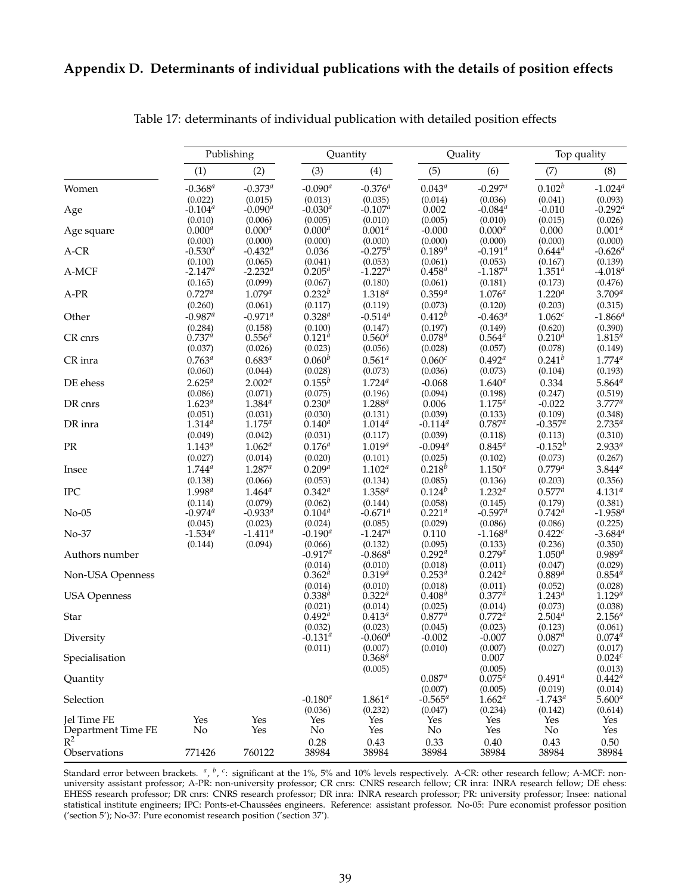#### **Appendix D. Determinants of individual publications with the details of position effects**

|                     |                         | Publishing                  | Quantity               |                             |                        | Quality                 | Top quality            |                                 |
|---------------------|-------------------------|-----------------------------|------------------------|-----------------------------|------------------------|-------------------------|------------------------|---------------------------------|
|                     | (1)                     | (2)                         | (3)                    | (4)                         | (5)                    | (6)                     | (7)                    | (8)                             |
| Women               | $-0.368^{a}$            | $-0.373^{a}$                | $-0.090^a$             | $-0.376^{a}$                | $0.043^{a}$            | $-0.297^a$              | $0.102^{b}$            | $-1.024$ <sup>a</sup>           |
|                     | (0.022)                 | (0.015)                     | (0.013)                | (0.035)                     | (0.014)                | (0.036)                 | (0.041)                | (0.093)                         |
| Age                 | $-0.104^a$              | $-0.090^a$                  | $-0.030^{a}$           | $-0.107^a$                  | 0.002                  | $-0.084^{a}$            | $-0.010$               | $-0.292^{a}$                    |
|                     | (0.010)                 | (0.006)                     | (0.005)                | (0.010)                     | (0.005)                | (0.010)                 | (0.015)                | (0.026)                         |
| Age square          | $0.000^{a}$             | $0.000^{a}$                 | $0.000^{a}$            | $0.001^{a}$                 | $-0.000$               | $0.000^{a}$             | 0.000                  | $0.001^{a}$<br>(0.000)          |
| $A-CR$              | (0.000)<br>$-0.530^{a}$ | (0.000)<br>$-0.432^{\circ}$ | (0.000)<br>0.036       | (0.000)<br>$-0.275^{\circ}$ | (0.000)<br>$0.189^{a}$ | (0.000)<br>$-0.191^{a}$ | (0.000)<br>$0.644^{a}$ | $-0.626^{a}$                    |
|                     | (0.100)                 | (0.065)                     | (0.041)                | (0.053)                     | (0.061)                | (0.053)                 | (0.167)                | (0.139)                         |
| A-MCF               | $-2.147^a$              | $-2.232^{a}$                | $0.205^{a}$            | $-1.227a$                   | $0.458^{a}$            | $-1.187^a$              | $1.351^{a}$            | $-4.018^{a}$                    |
|                     | (0.165)                 | (0.099)                     | (0.067)                | (0.180)                     | (0.061)                | (0.181)                 | (0.173)                | (0.476)                         |
| $A-PR$              | $0.727^{a}$             | $1.079^{a}$                 | $0.232^{b}$            | $1.318^{a}$                 | $0.359^{a}$            | $1.076^{a}$             | $1.220^{a}$            | $3.709^{a}$                     |
|                     | (0.260)                 | (0.061)                     | (0.117)                | (0.119)                     | (0.073)                | (0.120)                 | (0.203)                | (0.315)                         |
| Other               | $-0.987^a$              | $-0.971^a$                  | $0.328^{a}$            | $-0.514^{a}$                | $0.412^{b}$            | $-0.463^a$              | 1.062c                 | $-1.866$ <sup>a</sup>           |
|                     | (0.284)<br>$0.737^a$    | (0.158)                     | (0.100)<br>$0.121^{a}$ | (0.147)                     | (0.197)<br>$0.078^{a}$ | (0.149)<br>$0.564^{a}$  | (0.620)                | (0.390)<br>$1.815^{a}$          |
| CR cnrs             | (0.037)                 | $0.556^{a}$<br>(0.026)      | (0.023)                | $0.560^{a}$<br>(0.056)      | (0.028)                | (0.057)                 | $0.210^{a}$<br>(0.078) | (0.149)                         |
| CR inra             | $0.763^{a}$             | $0.683^{a}$                 | $0.060^{b}$            | $0.561^{\circ}$             | 0.060 <sup>c</sup>     | $0.492^{\textit{a}}$    | $0.241^{b}$            | $1.774^{a}$                     |
|                     | (0.060)                 | (0.044)                     | (0.028)                | (0.073)                     | (0.036)                | (0.073)                 | (0.104)                | (0.193)                         |
| DE ehess            | $2.625^{a}$             | $2.002^{a}$                 | $0.155^b$              | $1.724^{a}$                 | $-0.068$               | $1.640^{a}$             | 0.334                  | $5.864^{a}$                     |
|                     | (0.086)                 | (0.071)                     | (0.075)                | (0.196)                     | (0.094)                | (0.198)                 | (0.247)                | (0.519)                         |
| DR cnrs             | $1.623^{a}$             | $1.384^{a}$                 | $0.230^{a}$            | $1.288^{a}$                 | 0.006                  | $1.175^{a}$             | $-0.022$               | $3.777^{a}$                     |
|                     | (0.051)                 | (0.031)                     | (0.030)                | (0.131)                     | (0.039)                | (0.133)                 | (0.109)                | (0.348)                         |
| DR inra             | $1.314^{a}$             | $1.175^{a}$                 | $0.140^{a}$            | $1.014^{a}$                 | $-0.114^{a}$           | $0.787^{a}$             | $-0.357^a$             | $2.735^{a}$                     |
|                     | (0.049)                 | (0.042)                     | (0.031)                | (0.117)                     | (0.039)                | (0.118)                 | (0.113)                | (0.310)                         |
| PR                  | $1.143^{a}$             | $1.062^{a}$                 | $0.176^{a}$            | $1.019^{a}$                 | $-0.094$ <sup>a</sup>  | $0.845^{a}$             | $-0.152^{b}$           | $2.933^{a}$                     |
|                     | (0.027)                 | (0.014)                     | (0.020)                | (0.101)                     | (0.025)                | (0.102)                 | (0.073)                | (0.267)                         |
| Insee               | $1.744^{a}$             | $1.287^{a}$                 | $0.209^{a}$            | $1.102^{a}$                 | $0.218^{b}$            | $1.150^{a}$             | $0.779^{a}$            | $3.844^{a}$                     |
|                     | (0.138)                 | (0.066)                     | (0.053)                | (0.134)                     | (0.085)                | (0.136)                 | (0.203)                | (0.356)                         |
| <b>IPC</b>          | $1.998^{a}$             | $1.464^{a}$                 | $0.342^{a}$            | $1.358^{a}$                 | $0.124^{b}$            | $1.232^{a}$             | $0.577^a$              | $4.131^{a}$                     |
| $No-05$             | (0.114)<br>$-0.974^{a}$ | (0.079)<br>$-0.933^a$       | (0.062)<br>$0.104^{a}$ | (0.144)<br>$-0.671^a$       | (0.058)<br>$0.221^{a}$ | (0.145)<br>$-0.597a$    | (0.179)<br>$0.742^{a}$ | (0.381)<br>$-1.958^{a}$         |
|                     | (0.045)                 | (0.023)                     | (0.024)                | (0.085)                     | (0.029)                | (0.086)                 | (0.086)                | (0.225)                         |
| No-37               | $-1.534^{a}$            | $-1.411^a$                  | $-0.190^a$             | $-1.247^a$                  | 0.110                  | $-1.168^{a}$            | $0.422^{c}$            | $-3.684^{a}$                    |
|                     | (0.144)                 | (0.094)                     | (0.066)                | (0.132)                     | (0.095)                | (0.133)                 | (0.236)                | (0.350)                         |
| Authors number      |                         |                             | $-0.917^a$             | $-0.868^{\circ}$            | $0.292^{a}$            | $0.279^{a}$             | $1.050^{a}$            | $0.989^{a}$                     |
|                     |                         |                             | (0.014)                | (0.010)                     | (0.018)                | (0.011)                 | (0.047)                | (0.029)                         |
| Non-USA Openness    |                         |                             | $0.362^{a}$            | $0.319^{a}$                 | $0.253^{a}$            | $0.242^{a}$             | $0.889^{a}$            | $0.854^{a}$                     |
| <b>USA Openness</b> |                         |                             | $(0.014)$<br>$0.338a$  | (0.010)<br>$0.322^{a}$      | (0.018)<br>$0.408^{a}$ | (0.011)<br>$0.377^{a}$  | (0.052)<br>$1.243^{a}$ | (0.028)<br>$1.129^{a}$          |
|                     |                         |                             | (0.021)                | (0.014)                     | (0.025)                | (0.014)                 | (0.073)                | (0.038)                         |
| Star                |                         |                             | $0.492^{a}$            | $0.413^{a}$                 | $0.877^{a}$            | $0.772^{a}$             | $2.504^{a}$            | $2.156^{a}$                     |
|                     |                         |                             | (0.032)                | (0.023)                     | (0.045)                | (0.023)                 | (0.123)                | (0.061)                         |
| Diversity           |                         |                             | $-0.131^{a}$           | $-0.060^a$                  | $-0.002$               | $-0.007$                | $0.087^{a}$            | $0.074^{a}$                     |
|                     |                         |                             | (0.011)                | (0.007)                     | (0.010)                | (0.007)                 | (0.027)                | (0.017)                         |
| Specialisation      |                         |                             |                        | $0.368^{a}$                 |                        | 0.007                   |                        | $0.024^{c}$                     |
| Quantity            |                         |                             |                        | (0.005)                     | $0.087^{a}$            | (0.005)<br>$0.075^{a}$  | $0.491^{a}$            | (0.013)<br>$0.442^{\textit{a}}$ |
|                     |                         |                             |                        |                             | (0.007)                | (0.005)                 | (0.019)                | (0.014)                         |
| Selection           |                         |                             | $-0.180^{a}$           | $1.861^{a}$                 | $-0.565^{a}$           | $1.662^{a}$             | $-1.743^{a}$           | 5.600 $^{a}$                    |
|                     |                         |                             | (0.036)                | (0.232)                     | (0.047)                | (0.234)                 | (0.142)                | (0.614)                         |
| Jel Time FE         | Yes                     | Yes                         | Yes                    | Yes                         | Yes                    | Yes                     | Yes                    | Yes                             |
| Department Time FE  | No                      | Yes                         | $\rm No$               | Yes                         | $\rm No$               | Yes                     | No                     | Yes                             |
| $R^2$               |                         |                             | $0.28\,$               | 0.43                        | 0.33                   | $0.40\,$                | 0.43                   | 0.50                            |
| Observations        | 771426                  | 760122                      | 38984                  | 38984                       | 38984                  | 38984                   | 38984                  | 38984                           |

Table 17: determinants of individual publication with detailed position effects

Standard error between brackets. <sup>a</sup>, <sup>b</sup>, <sup>c</sup>: significant at the 1%, 5% and 10% levels respectively. A-CR: other research fellow; A-MCF: nonuniversity assistant professor; A-PR: non-university professor; CR cnrs: CNRS research fellow; CR inra: INRA research fellow; DE ehess: EHESS research professor; DR cnrs: CNRS research professor; DR inra: INRA research professor; PR: university professor; Insee: national statistical institute engineers; IPC: Ponts-et-Chaussées engineers. Reference: assistant professor. No-05: Pure economist professor position ('section 5'); No-37: Pure economist research position ('section 37').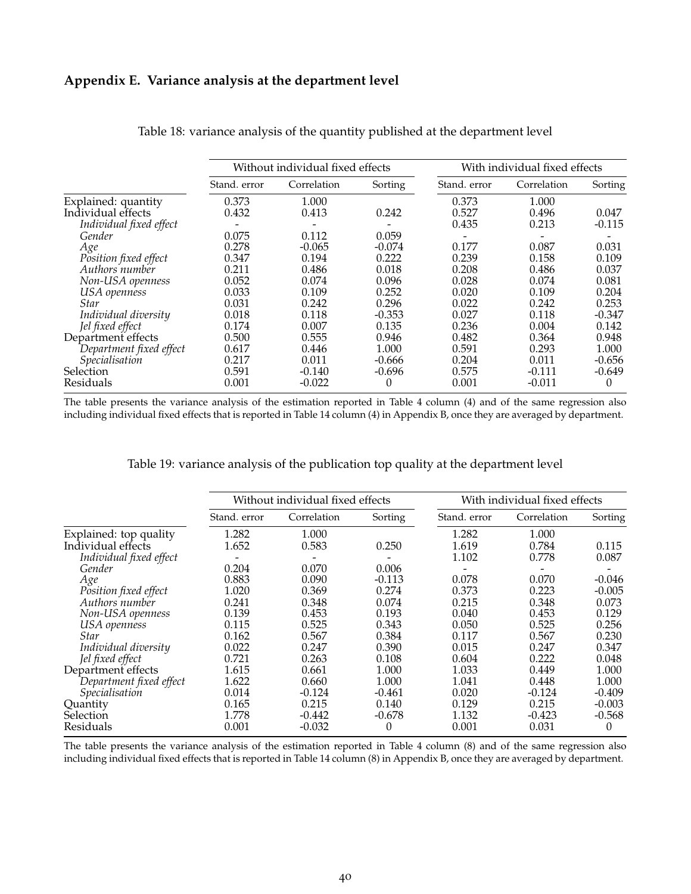#### **Appendix E. Variance analysis at the department level**

|                         |              |                                  |          | With individual fixed effects |             |          |  |
|-------------------------|--------------|----------------------------------|----------|-------------------------------|-------------|----------|--|
|                         |              | Without individual fixed effects |          |                               |             |          |  |
|                         | Stand, error | Correlation                      | Sorting  | Stand. error                  | Correlation | Sorting  |  |
| Explained: quantity     | 0.373        | 1.000                            |          | 0.373                         | 1.000       |          |  |
| Individual effects      | 0.432        | 0.413                            | 0.242    | 0.527                         | 0.496       | 0.047    |  |
| Individual fixed effect |              |                                  |          | 0.435                         | 0.213       | $-0.115$ |  |
| Gender                  | 0.075        | 0.112                            | 0.059    |                               |             |          |  |
| Age                     | 0.278        | $-0.065$                         | $-0.074$ | 0.177                         | 0.087       | 0.031    |  |
| Position fixed effect   | 0.347        | 0.194                            | 0.222    | 0.239                         | 0.158       | 0.109    |  |
| Authors number          | 0.211        | 0.486                            | 0.018    | 0.208                         | 0.486       | 0.037    |  |
| Non-USA openness        | 0.052        | 0.074                            | 0.096    | 0.028                         | 0.074       | 0.081    |  |
| USA openness            | 0.033        | 0.109                            | 0.252    | 0.020                         | 0.109       | 0.204    |  |
| Star                    | 0.031        | 0.242                            | 0.296    | 0.022                         | 0.242       | 0.253    |  |
| Individual diversity    | 0.018        | 0.118                            | $-0.353$ | 0.027                         | 0.118       | $-0.347$ |  |
| Jel fixed effect        | 0.174        | 0.007                            | 0.135    | 0.236                         | 0.004       | 0.142    |  |
| Department effects      | 0.500        | 0.555                            | 0.946    | 0.482                         | 0.364       | 0.948    |  |
| Department fixed effect | 0.617        | 0.446                            | 1.000    | 0.591                         | 0.293       | 1.000    |  |
| Specialisation          | 0.217        | 0.011                            | $-0.666$ | 0.204                         | 0.011       | $-0.656$ |  |
| Selection               | 0.591        | $-0.140$                         | $-0.696$ | 0.575                         | $-0.111$    | $-0.649$ |  |
| Residuals               | 0.001        | $-0.022$                         | 0        | 0.001                         | -0.011      | 0        |  |

Table 18: variance analysis of the quantity published at the department level

The table presents the variance analysis of the estimation reported in Table 4 column (4) and of the same regression also including individual fixed effects that is reported in Table 14 column (4) in Appendix B, once they are averaged by department.

#### Table 19: variance analysis of the publication top quality at the department level

|                         |              | Without individual fixed effects |          | With individual fixed effects |             |          |  |
|-------------------------|--------------|----------------------------------|----------|-------------------------------|-------------|----------|--|
|                         | Stand. error | Correlation                      | Sorting  | Stand. error                  | Correlation | Sorting  |  |
| Explained: top quality  | 1.282        | 1.000                            |          | 1.282                         | 1.000       |          |  |
| Individual effects      | 1.652        | 0.583                            | 0.250    | 1.619                         | 0.784       | 0.115    |  |
| Individual fixed effect |              |                                  |          | 1.102                         | 0.778       | 0.087    |  |
| Gender                  | 0.204        | 0.070                            | 0.006    |                               |             |          |  |
| Age                     | 0.883        | 0.090                            | $-0.113$ | 0.078                         | 0.070       | $-0.046$ |  |
| Position fixed effect   | 1.020        | 0.369                            | 0.274    | 0.373                         | 0.223       | $-0.005$ |  |
| Authors number          | 0.241        | 0.348                            | 0.074    | 0.215                         | 0.348       | 0.073    |  |
| Non-USA openness        | 0.139        | 0.453                            | 0.193    | 0.040                         | 0.453       | 0.129    |  |
| USA openness            | 0.115        | 0.525                            | 0.343    | 0.050                         | 0.525       | 0.256    |  |
| <b>Star</b>             | 0.162        | 0.567                            | 0.384    | 0.117                         | 0.567       | 0.230    |  |
| Individual diversity    | 0.022        | 0.247                            | 0.390    | 0.015                         | 0.247       | 0.347    |  |
| Jel fixed effect        | 0.721        | 0.263                            | 0.108    | 0.604                         | 0.222       | 0.048    |  |
| Department effects      | 1.615        | 0.661                            | 1.000    | 1.033                         | 0.449       | 1.000    |  |
| Department fixed effect | 1.622        | 0.660                            | 1.000    | 1.041                         | 0.448       | 1.000    |  |
| Specialisation          | 0.014        | $-0.124$                         | $-0.461$ | 0.020                         | $-0.124$    | $-0.409$ |  |
| Quantity                | 0.165        | 0.215                            | 0.140    | 0.129                         | 0.215       | $-0.003$ |  |
| Selection               | 1.778        | $-0.442$                         | $-0.678$ | 1.132                         | $-0.423$    | $-0.568$ |  |
| Residuals               | 0.001        | $-0.032$                         | 0        | 0.001                         | 0.031       | $\Omega$ |  |

The table presents the variance analysis of the estimation reported in Table 4 column (8) and of the same regression also including individual fixed effects that is reported in Table 14 column (8) in Appendix B, once they are averaged by department.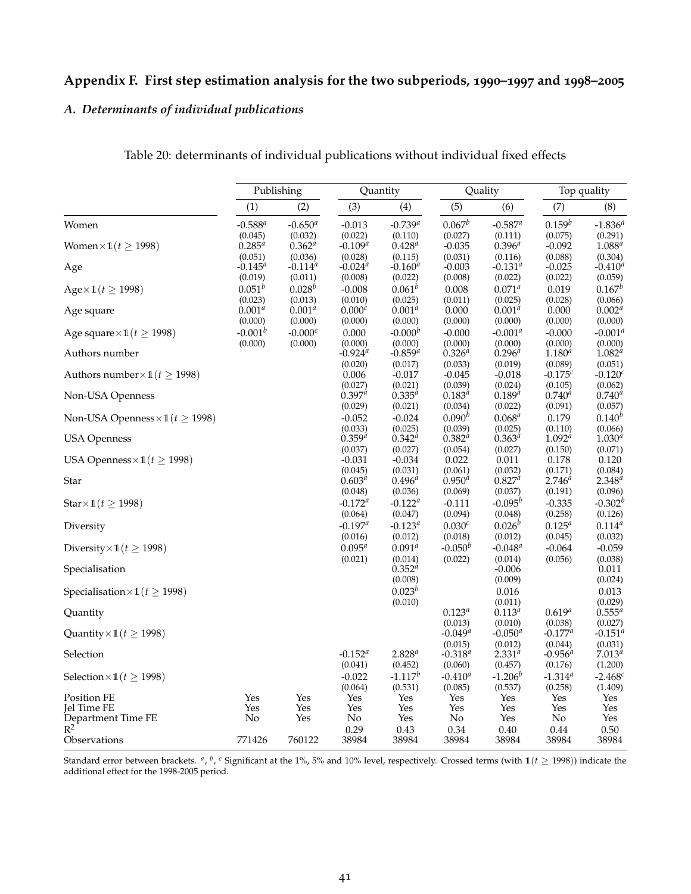#### **Appendix F. First step estimation analysis for the two subperiods, 1990–1997 and 1998–2005**

#### *A. Determinants of individual publications*

|                                             | Publishing       |                  | Quantity              |                       | Quality            |                  | Top quality      |                  |
|---------------------------------------------|------------------|------------------|-----------------------|-----------------------|--------------------|------------------|------------------|------------------|
|                                             | (1)              | (2)              | (3)                   | (4)                   | (5)                | (6)              | (7)              | (8)              |
| Women                                       | $-0.588^{a}$     | $-0.650^a$       |                       | $-0.739^{a}$          | $0.067^b$          | $-0.587^a$       | $0.159^b$        | $-1.836^{a}$     |
|                                             | (0.045)          | (0.032)          | $-0.013$<br>(0.022)   | (0.110)               | (0.027)            | (0.111)          | (0.075)          | (0.291)          |
| Women $\times$ 1 $(t \ge 1998)$             | $0.285^{a}$      | $0.362^{a}$      | $-0.109^a$            | $0.428^{a}$           | $-0.035$           | $0.396^{a}$      | $-0.092$         | $1.088^{d}$      |
|                                             | (0.051)          | (0.036)          | (0.028)               | (0.115)               | (0.031)            | (0.116)          | (0.088)          | (0.304)          |
| Age                                         | $-0.145^{\circ}$ | $-0.114^{\circ}$ | $-0.024$ <sup>a</sup> | $-0.160^a$            | $-0.003$           | $-0.131^{\circ}$ | $-0.025$         | $-0.410^a$       |
|                                             | (0.019)          | (0.011)          | (0.008)               | (0.022)               | (0.008)            | (0.022)          | (0.022)          | (0.059)          |
| $Age \times 1(t \ge 1998)$                  | $0.051^{b}$      | $0.028^{b}$      | $-0.008$              | $0.061^{b}$           | 0.008              | $0.071^{a}$      | 0.019            | $0.167^{b}$      |
|                                             | (0.023)          | (0.013)          | (0.010)               | (0.025)               | (0.011)            | (0.025)          | (0.028)          | (0.066)          |
| Age square                                  | $0.001^a$        | $0.001^{a}$      | $0.000^{c}$           | $0.001^{a}$           | 0.000              | $0.001^{a}$      | 0.000            | $0.002^{a}$      |
|                                             | (0.000)          | (0.000)          | (0.000)               | (0.000)               | (0.000)            | (0.000)          | (0.000)          | (0.000)          |
| Age square $\times$ 1( $t \ge 1998$ )       | $-0.001^b$       | $-0.000c$        | 0.000                 | $-0.000b$             | $-0.000$           | $-0.001^a$       | $-0.000$         | $-0.001^a$       |
|                                             | (0.000)          | (0.000)          | (0.000)               | (0.000)               | (0.000)            | (0.000)          | (0.000)          | (0.000)          |
| Authors number                              |                  |                  | $-0.924$ <sup>a</sup> | $-0.859$ <sup>a</sup> | $0.326^{a}$        | $0.296^{a}$      | $1.180^{a}$      | $1.082^{a}$      |
|                                             |                  |                  | (0.020)               | (0.017)               | (0.033)            | (0.019)          | (0.089)          | (0.051)          |
| Authors number $\times$ 1( $t \ge 1998$ )   |                  |                  | 0.006                 | $-0.017$              | $-0.045$           | $-0.018$         | $-0.175c$        | $-0.120c$        |
|                                             |                  |                  | (0.027)               | (0.021)               | (0.039)            | (0.024)          | (0.105)          | (0.062)          |
| Non-USA Openness                            |                  |                  | $0.397^a$             | $0.335^{a}$           | $0.183^{d}$        | $0.189^{a}$      | $0.740^{a}$      | $0.740^{a}$      |
|                                             |                  |                  | (0.029)               | (0.021)               | (0.034)            | (0.022)          | (0.091)          | (0.057)          |
| Non-USA Openness $\times$ 1( $t \ge 1998$ ) |                  |                  | $-0.052$              | $-0.024$              | $0.090^{b}$        | $0.068^{a}$      | 0.179            | $0.140^{b}$      |
|                                             |                  |                  | (0.033)               | (0.025)               | (0.039)            | (0.025)          | (0.110)          | (0.066)          |
| <b>USA Openness</b>                         |                  |                  | $0.359^{a}$           | $0.342^{a}$           | $0.382^{a}$        | $0.363^{a}$      | $1.092^{a}$      | $1.030^{a}$      |
|                                             |                  |                  | (0.037)               | (0.027)               | (0.054)            | (0.027)          | (0.150)          | (0.071)          |
| USA Openness $\times$ 1( $t \geq$ 1998)     |                  |                  | $-0.031$              | $-0.034$              | 0.022              | 0.011            | 0.178            | 0.120            |
|                                             |                  |                  | (0.045)               | (0.031)               | (0.061)            | (0.032)          | (0.171)          | (0.084)          |
| Star                                        |                  |                  | $0.603^{a}$           | $0.496^{a}$           | $0.950^{a}$        | $0.827^{a}$      | $2.746^{a}$      | $2.348^{a}$      |
|                                             |                  |                  | (0.048)               | (0.036)               | (0.069)            | (0.037)          | (0.191)          | (0.096)          |
| Star $\times$ 1( $t \ge 1998$ )             |                  |                  | $-0.172^{\mu}$        | $-0.122^a$            | $-0.111$           | $-0.095^b$       | $-0.335$         | $-0.302^{b}$     |
|                                             |                  |                  | (0.064)               | (0.047)               | (0.094)            | (0.048)          | (0.258)          | (0.126)          |
| Diversity                                   |                  |                  | $-0.197^a$            | $-0.123^{a}$          | 0.030 <sup>c</sup> | $0.026^{b}$      | $0.125^{a}$      | $0.114^{a}$      |
|                                             |                  |                  | (0.016)               | (0.012)               | (0.018)            | (0.012)          | (0.045)          | (0.032)          |
| Diversity $\times$ 1( $t \ge 1998$ )        |                  |                  | $0.095^{a}$           | $0.091^a$             | $-0.050^b$         | $-0.048^{\circ}$ | $-0.064$         | $-0.059$         |
|                                             |                  |                  | (0.021)               | (0.014)               | (0.022)            | (0.014)          | (0.056)          | (0.038)          |
| Specialisation                              |                  |                  |                       | $0.352^{a}$           |                    | $-0.006$         |                  | 0.011            |
|                                             |                  |                  |                       | (0.008)               |                    | (0.009)          |                  | (0.024)          |
| Specialisation $\times$ 1( $t \geq$ 1998)   |                  |                  |                       | $0.023^{b}$           |                    | 0.016            |                  | 0.013            |
|                                             |                  |                  |                       | (0.010)               |                    | (0.011)          |                  | (0.029)          |
| Quantity                                    |                  |                  |                       |                       | $0.123^{a}$        | $0.113^{a}$      | $0.619^{a}$      | $0.555^a$        |
|                                             |                  |                  |                       |                       | (0.013)            | (0.010)          | (0.038)          | (0.027)          |
| Quantity $\times$ 1( $t \geq$ 1998)         |                  |                  |                       |                       | $-0.049^a$         | $-0.050^a$       | $-0.177^a$       | $-0.151^{\circ}$ |
|                                             |                  |                  |                       |                       | (0.015)            | (0.012)          | (0.044)          | (0.031)          |
| Selection                                   |                  |                  | $-0.152^{\circ}$      | $2.828^{a}$           | $-0.318^{\circ}$   | $2.331^{a}$      | $-0.956^{\circ}$ | $7.013^{a}$      |
|                                             |                  |                  | (0.041)               | (0.452)               | (0.060)            | (0.457)          | (0.176)          | (1.200)          |
| Selection $\times$ 1( $t \ge 1998$ )        |                  |                  | $-0.022$              | $-1.117^b$            | $-0.410^a$         | $-1.206^b$       | $-1.314^{a}$     | $-2.468c$        |
|                                             |                  |                  | (0.064)               | (0.531)               | (0.085)            | (0.537)          | (0.258)          | (1.409)          |
| Position FE<br><b>Jel Time FE</b>           | Yes<br>Yes       | Yes<br>Yes       | Yes<br>Yes            | Yes<br>Yes            | Yes<br>Yes         | Yes<br>Yes       | Yes<br>Yes       | Yes<br>Yes       |
| Department Time FE                          | No               | Yes              | No                    | Yes                   | No                 | Yes              | No               | Yes              |
| $R^2$                                       |                  |                  | 0.29                  | 0.43                  | 0.34               | 0.40             | 0.44             | 0.50             |
| Observations                                | 771426           | 760122           | 38984                 | 38984                 | 38984              | 38984            | 38984            | 38984            |
|                                             |                  |                  |                       |                       |                    |                  |                  |                  |

Table 20: determinants of individual publications without individual fixed effects

Standard error between brackets. <sup>*a*</sup>, *<sup>b</sup>*, <sup>*c*</sup> Significant at the 1%, 5% and 10% level, respectively. Crossed terms (with 1(*t* ≥ 1998)) indicate the additional effect for the 1998-2005 period.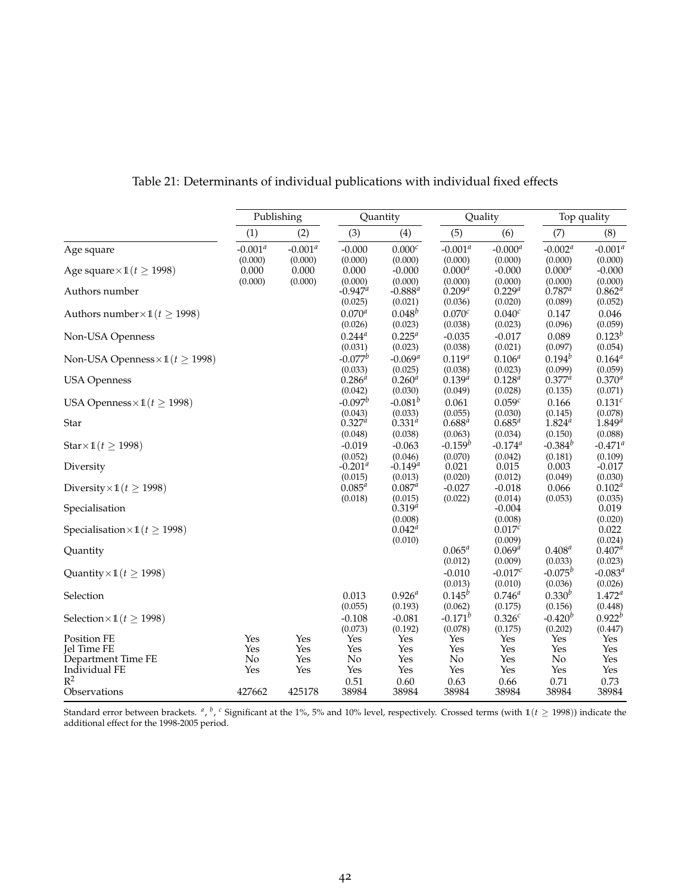|                                             |            | Publishing  |                        | Quantity               |                                 | Quality                       |                  | Top quality        |
|---------------------------------------------|------------|-------------|------------------------|------------------------|---------------------------------|-------------------------------|------------------|--------------------|
|                                             | (1)        | (2)         | (3)                    | (4)                    | (5)                             | (6)                           | (7)              | (8)                |
| Age square                                  | $-0.001^a$ | -0.001 $^a$ | $-0.000$               | 0.000 <sup>c</sup>     | $-0.001^a$                      | $-0.000^a$                    | $-0.002^a$       | $-0.001^a$         |
|                                             | (0.000)    | (0.000)     | (0.000)                | (0.000)                | (0.000)                         | (0.000)                       | (0.000)          | (0.000)            |
| Age square $\times$ 1( $t \ge 1998$ )       | 0.000      | 0.000       | 0.000                  | $-0.000$               | $0.000^{a}$                     | $-0.000$                      | $0.000^{a}$      | $-0.000$           |
|                                             | (0.000)    | (0.000)     | (0.000)                | (0.000)                | (0.000)                         | (0.000)                       | (0.000)          | (0.000)            |
| Authors number                              |            |             | $-0.947^a$             | $-0.888^{a}$           | $0.209^{a}$                     | $0.229^{a}$                   | $0.787^{a}$      | $0.862^{a}$        |
|                                             |            |             | (0.025)<br>$0.070^{a}$ | (0.021)<br>$0.048^{b}$ | (0.036)<br>$0.070$ <sup>c</sup> | (0.020)<br>0.040 <sup>c</sup> | (0.089)          | (0.052)            |
| Authors number $\times$ 1( $t \geq$ 1998)   |            |             | (0.026)                | (0.023)                | (0.038)                         | (0.023)                       | 0.147<br>(0.096) | 0.046<br>(0.059)   |
|                                             |            |             | $0.244^{a}$            | $0.225^{a}$            |                                 |                               |                  | $0.123^{b}$        |
| Non-USA Openness                            |            |             | (0.031)                | (0.023)                | $-0.035$<br>(0.038)             | $-0.017$<br>(0.021)           | 0.089<br>(0.097) | (0.054)            |
|                                             |            |             | $-0.077^b$             | $-0.069^{a}$           | $0.119^{a}$                     | $0.106^{a}$                   | $0.194^{b}$      | $0.164^{d}$        |
| Non-USA Openness $\times$ 1( $t \ge 1998$ ) |            |             | (0.033)                | (0.025)                | (0.038)                         | (0.023)                       | (0.099)          | (0.059)            |
| <b>USA Openness</b>                         |            |             | $0.286^{a}$            | $0.260^{a}$            | $0.139^{a}$                     | $0.128^{a}$                   | $0.377^a$        | $0.370^{a}$        |
|                                             |            |             | (0.042)                | (0.030)                | (0.049)                         | (0.028)                       | (0.135)          | (0.071)            |
| USA Openness $\times$ 1( $t \geq$ 1998)     |            |             | $-0.097^b$             | $-0.081^{b}$           | 0.061                           | 0.059 <sup>c</sup>            | 0.166            | 0.131 <sup>c</sup> |
|                                             |            |             | (0.043)                | (0.033)                | (0.055)                         | (0.030)                       | (0.145)          | (0.078)            |
| Star                                        |            |             | $0.327^{a}$            | $0.331^{a}$            | $0.688^{a}$                     | $0.685^{a}$                   | $1.824^{a}$      | $1.849^{a}$        |
|                                             |            |             | (0.048)                | (0.038)                | (0.063)                         | (0.034)                       | (0.150)          | (0.088)            |
| $Star \times \mathbb{1}(t \geq 1998)$       |            |             | $-0.019$               | $-0.063$               | $-0.159^b$                      | $-0.174$ <sup>a</sup>         | $-0.384^{b}$     | $-0.471^{\circ}$   |
|                                             |            |             | (0.052)                | (0.046)                | (0.070)                         | (0.042)                       | (0.181)          | (0.109)            |
| Diversity                                   |            |             | $-0.201^a$             | $-0.149^{a}$           | 0.021                           | 0.015                         | 0.003            | $-0.017$           |
|                                             |            |             | (0.015)                | (0.013)                | (0.020)                         | (0.012)                       | (0.049)          | (0.030)            |
| Diversity $\times$ 1( $t \ge 1998$ )        |            |             | $0.085^{a}$            | $0.087^{a}$            | $-0.027$                        | $-0.018$                      | 0.066            | $0.102^{a}$        |
| Specialisation                              |            |             | (0.018)                | (0.015)<br>$0.319^{a}$ | (0.022)                         | (0.014)<br>$-0.004$           | (0.053)          | (0.035)<br>0.019   |
|                                             |            |             |                        | (0.008)                |                                 | (0.008)                       |                  | (0.020)            |
| Specialisation $\times$ 1( $t \geq$ 1998)   |            |             |                        | $0.042^a$              |                                 | $0.017^{c}$                   |                  | 0.022              |
|                                             |            |             |                        | (0.010)                |                                 | (0.009)                       |                  | (0.024)            |
| Quantity                                    |            |             |                        |                        | $0.065^{a}$                     | $0.069^{a}$                   | $0.408^{a}$      | $0.407^{a}$        |
|                                             |            |             |                        |                        | (0.012)                         | (0.009)                       | (0.033)          | (0.023)            |
| Quantity $\times$ 1( $t \geq$ 1998)         |            |             |                        |                        | $-0.010$                        | $-0.017c$                     | $-0.075^b$       | $-0.083^{\circ}$   |
|                                             |            |             |                        |                        | (0.013)                         | (0.010)                       | (0.036)          | (0.026)            |
| Selection                                   |            |             | 0.013                  | $0.926^{a}$            | $0.145^{b}$                     | $0.746^{a}$                   | $0.330^{b}$      | $1.472^{a}$        |
|                                             |            |             | (0.055)                | (0.193)                | (0.062)                         | (0.175)                       | (0.156)          | (0.448)            |
| Selection $\times$ 1( $t \ge 1998$ )        |            |             | $-0.108$               | $-0.081$               | $-0.171^{b}$                    | $0.326^{c}$                   | $-0.420^{b}$     | $0.922^b$          |
|                                             |            |             | (0.073)                | (0.192)                | (0.078)                         | (0.175)                       | (0.202)          | (0.447)            |
| Position FE                                 | Yes        | Yes         | Yes                    | Yes                    | Yes                             | Yes                           | Yes              | Yes                |
| <b>Jel Time FE</b>                          | Yes        | Yes         | Yes                    | Yes                    | Yes                             | Yes                           | Yes              | Yes                |
| Department Time FE<br>Individual FE         | No<br>Yes  | Yes<br>Yes  | No<br>Yes              | Yes<br>Yes             | No<br>Yes                       | Yes<br>Yes                    | No<br>Yes        | Yes<br>Yes         |
| $R^2$                                       |            |             | 0.51                   | 0.60                   | 0.63                            | 0.66                          | 0.71             | 0.73               |
| Observations                                | 427662     | 425178      | 38984                  | 38984                  | 38984                           | 38984                         | 38984            | 38984              |
|                                             |            |             |                        |                        |                                 |                               |                  |                    |

Table 21: Determinants of individual publications with individual fixed effects

Standard error between brackets. <sup>*a*</sup>, *<sup>b</sup>*, *c* Significant at the 1%, 5% and 10% level, respectively. Crossed terms (with 1(*t* ≥ 1998)) indicate the additional effect for the 1998-2005 period.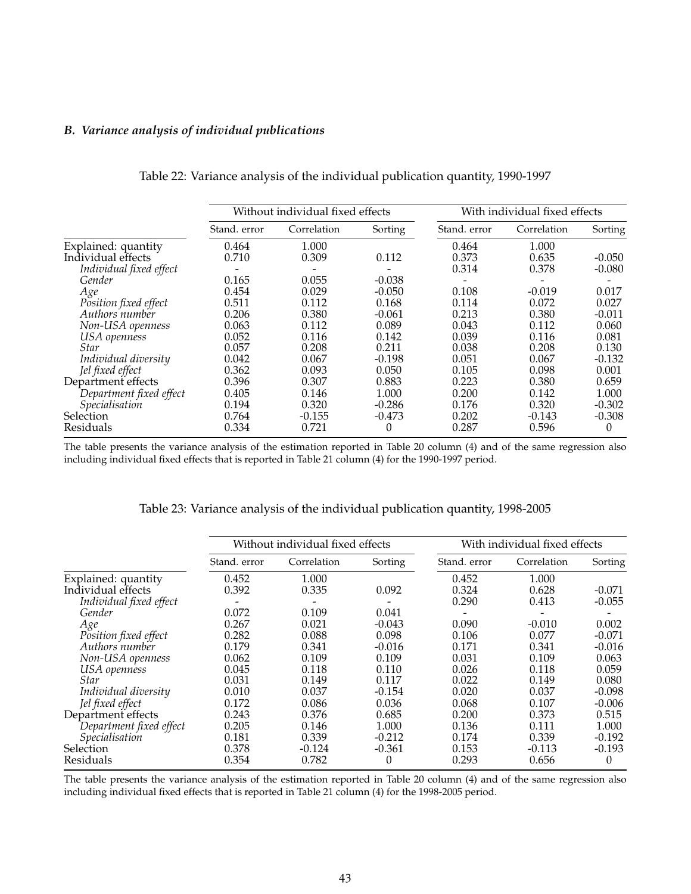#### *B. Variance analysis of individual publications*

|                         |              | Without individual fixed effects |          | With individual fixed effects |             |          |  |
|-------------------------|--------------|----------------------------------|----------|-------------------------------|-------------|----------|--|
|                         | Stand, error | Correlation                      | Sorting  | Stand, error                  | Correlation | Sorting  |  |
| Explained: quantity     | 0.464        | 1.000                            |          | 0.464                         | 1.000       |          |  |
| Individual effects      | 0.710        | 0.309                            | 0.112    | 0.373                         | 0.635       | $-0.050$ |  |
| Individual fixed effect |              |                                  |          | 0.314                         | 0.378       | $-0.080$ |  |
| Gender                  | 0.165        | 0.055                            | $-0.038$ |                               |             |          |  |
| Age                     | 0.454        | 0.029                            | $-0.050$ | 0.108                         | $-0.019$    | 0.017    |  |
| Position fixed effect   | 0.511        | 0.112                            | 0.168    | 0.114                         | 0.072       | 0.027    |  |
| Authors number          | 0.206        | 0.380                            | $-0.061$ | 0.213                         | 0.380       | $-0.011$ |  |
| Non-USA openness        | 0.063        | 0.112                            | 0.089    | 0.043                         | 0.112       | 0.060    |  |
| USA openness            | 0.052        | 0.116                            | 0.142    | 0.039                         | 0.116       | 0.081    |  |
| <b>Star</b>             | 0.057        | 0.208                            | 0.211    | 0.038                         | 0.208       | 0.130    |  |
| Individual diversity    | 0.042        | 0.067                            | $-0.198$ | 0.051                         | 0.067       | $-0.132$ |  |
| Jel fixed effect        | 0.362        | 0.093                            | 0.050    | 0.105                         | 0.098       | 0.001    |  |
| Department effects      | 0.396        | 0.307                            | 0.883    | 0.223                         | 0.380       | 0.659    |  |
| Department fixed effect | 0.405        | 0.146                            | 1.000    | 0.200                         | 0.142       | 1.000    |  |
| Specialisation          | 0.194        | 0.320                            | $-0.286$ | 0.176                         | 0.320       | $-0.302$ |  |
| <b>Selection</b>        | 0.764        | $-0.155$                         | $-0.473$ | 0.202                         | $-0.143$    | $-0.308$ |  |
| Residuals               | 0.334        | 0.721                            | $\Omega$ | 0.287                         | 0.596       | $\Omega$ |  |

Table 22: Variance analysis of the individual publication quantity, 1990-1997

The table presents the variance analysis of the estimation reported in Table 20 column (4) and of the same regression also including individual fixed effects that is reported in Table 21 column (4) for the 1990-1997 period.

|                         |              | Without individual fixed effects |          |              | With individual fixed effects |          |  |
|-------------------------|--------------|----------------------------------|----------|--------------|-------------------------------|----------|--|
|                         | Stand, error | Correlation                      | Sorting  | Stand, error | Correlation                   | Sorting  |  |
| Explained: quantity     | 0.452        | 1.000                            |          | 0.452        | 1.000                         |          |  |
| Individual effects      | 0.392        | 0.335                            | 0.092    | 0.324        | 0.628                         | $-0.071$ |  |
| Individual fixed effect |              |                                  |          | 0.290        | 0.413                         | $-0.055$ |  |
| Gender                  | 0.072        | 0.109                            | 0.041    |              |                               |          |  |
| Age                     | 0.267        | 0.021                            | $-0.043$ | 0.090        | $-0.010$                      | 0.002    |  |
| Position fixed effect   | 0.282        | 0.088                            | 0.098    | 0.106        | 0.077                         | $-0.071$ |  |
| Authors number          | 0.179        | 0.341                            | $-0.016$ | 0.171        | 0.341                         | $-0.016$ |  |
| Non-USA openness        | 0.062        | 0.109                            | 0.109    | 0.031        | 0.109                         | 0.063    |  |
| USA openness            | 0.045        | 0.118                            | 0.110    | 0.026        | 0.118                         | 0.059    |  |
| <b>Star</b>             | 0.031        | 0.149                            | 0.117    | 0.022        | 0.149                         | 0.080    |  |
| Individual diversity    | 0.010        | 0.037                            | $-0.154$ | 0.020        | 0.037                         | $-0.098$ |  |
| Jel fixed effect        | 0.172        | 0.086                            | 0.036    | 0.068        | 0.107                         | $-0.006$ |  |
| Department effects      | 0.243        | 0.376                            | 0.685    | 0.200        | 0.373                         | 0.515    |  |
| Department fixed effect | 0.205        | 0.146                            | 1.000    | 0.136        | 0.111                         | 1.000    |  |
| Specialisation          | 0.181        | 0.339                            | $-0.212$ | 0.174        | 0.339                         | $-0.192$ |  |
| Selection               | 0.378        | $-0.124$                         | $-0.361$ | 0.153        | $-0.113$                      | $-0.193$ |  |
| Residuals               | 0.354        | 0.782                            | 0        | 0.293        | 0.656                         | $\Omega$ |  |

Table 23: Variance analysis of the individual publication quantity, 1998-2005

The table presents the variance analysis of the estimation reported in Table 20 column (4) and of the same regression also including individual fixed effects that is reported in Table 21 column (4) for the 1998-2005 period.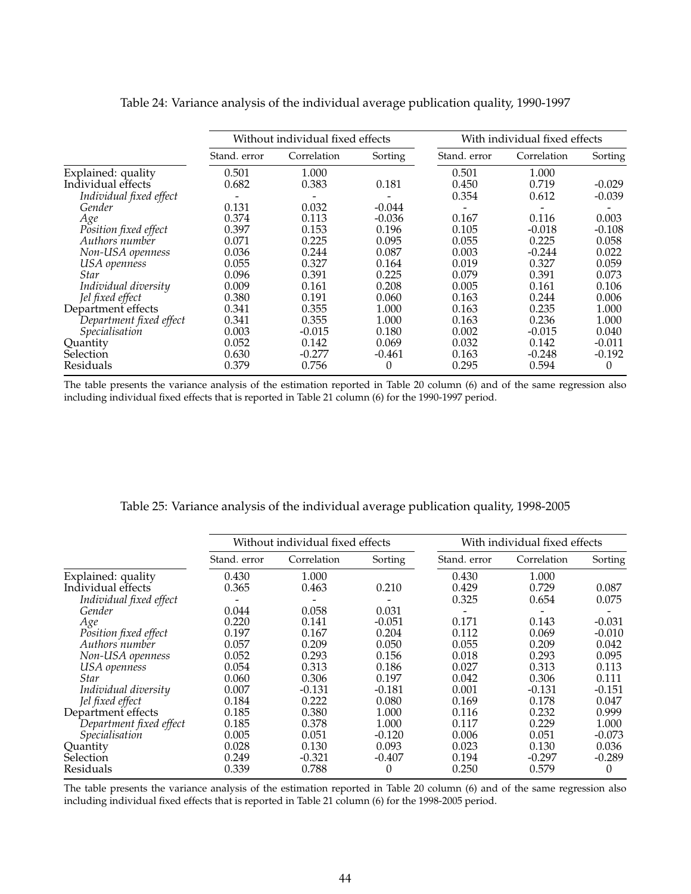|                         | Without individual fixed effects |             |          | With individual fixed effects |             |          |  |
|-------------------------|----------------------------------|-------------|----------|-------------------------------|-------------|----------|--|
|                         | Stand, error                     | Correlation | Sorting  | Stand, error                  | Correlation | Sorting  |  |
| Explained: quality      | 0.501                            | 1.000       |          | 0.501                         | 1.000       |          |  |
| Individual effects      | 0.682                            | 0.383       | 0.181    | 0.450                         | 0.719       | $-0.029$ |  |
| Individual fixed effect |                                  |             |          | 0.354                         | 0.612       | $-0.039$ |  |
| Gender                  | 0.131                            | 0.032       | $-0.044$ |                               |             |          |  |
| Age                     | 0.374                            | 0.113       | $-0.036$ | 0.167                         | 0.116       | 0.003    |  |
| Position fixed effect   | 0.397                            | 0.153       | 0.196    | 0.105                         | $-0.018$    | $-0.108$ |  |
| Authors number          | 0.071                            | 0.225       | 0.095    | 0.055                         | 0.225       | 0.058    |  |
| Non-USA openness        | 0.036                            | 0.244       | 0.087    | 0.003                         | $-0.244$    | 0.022    |  |
| USA openness            | 0.055                            | 0.327       | 0.164    | 0.019                         | 0.327       | 0.059    |  |
| <i>Star</i>             | 0.096                            | 0.391       | 0.225    | 0.079                         | 0.391       | 0.073    |  |
| Individual diversity    | 0.009                            | 0.161       | 0.208    | 0.005                         | 0.161       | 0.106    |  |
| Jel fixed effect        | 0.380                            | 0.191       | 0.060    | 0.163                         | 0.244       | 0.006    |  |
| Department effects      | 0.341                            | 0.355       | 1.000    | 0.163                         | 0.235       | 1.000    |  |
| Department fixed effect | 0.341                            | 0.355       | 1.000    | 0.163                         | 0.236       | 1.000    |  |
| Specialisation          | 0.003                            | $-0.015$    | 0.180    | 0.002                         | $-0.015$    | 0.040    |  |
| Quantity                | 0.052                            | 0.142       | 0.069    | 0.032                         | 0.142       | $-0.011$ |  |
| Selection               | 0.630                            | $-0.277$    | $-0.461$ | 0.163                         | $-0.248$    | $-0.192$ |  |
| Residuals               | 0.379                            | 0.756       | $\Omega$ | 0.295                         | 0.594       | $\Omega$ |  |

Table 24: Variance analysis of the individual average publication quality, 1990-1997

The table presents the variance analysis of the estimation reported in Table 20 column (6) and of the same regression also including individual fixed effects that is reported in Table 21 column (6) for the 1990-1997 period.

|                         |              | Without individual fixed effects |          |              | With individual fixed effects |          |  |  |
|-------------------------|--------------|----------------------------------|----------|--------------|-------------------------------|----------|--|--|
|                         | Stand. error | Correlation                      | Sorting  | Stand. error | Correlation                   | Sorting  |  |  |
| Explained: quality      | 0.430        | 1.000                            |          | 0.430        | 1.000                         |          |  |  |
| Individual effects      | 0.365        | 0.463                            | 0.210    | 0.429        | 0.729                         | 0.087    |  |  |
| Individual fixed effect |              |                                  |          | 0.325        | 0.654                         | 0.075    |  |  |
| Gender                  | 0.044        | 0.058                            | 0.031    |              |                               |          |  |  |
| Age                     | 0.220        | 0.141                            | $-0.051$ | 0.171        | 0.143                         | $-0.031$ |  |  |
| Position fixed effect   | 0.197        | 0.167                            | 0.204    | 0.112        | 0.069                         | $-0.010$ |  |  |
| Authors number          | 0.057        | 0.209                            | 0.050    | 0.055        | 0.209                         | 0.042    |  |  |
| Non-USA openness        | 0.052        | 0.293                            | 0.156    | 0.018        | 0.293                         | 0.095    |  |  |
| USA openness            | 0.054        | 0.313                            | 0.186    | 0.027        | 0.313                         | 0.113    |  |  |
| Star                    | 0.060        | 0.306                            | 0.197    | 0.042        | 0.306                         | 0.111    |  |  |
| Individual diversity    | 0.007        | $-0.131$                         | $-0.181$ | 0.001        | $-0.131$                      | $-0.151$ |  |  |
| Jel fixed effect        | 0.184        | 0.222                            | 0.080    | 0.169        | 0.178                         | 0.047    |  |  |
| Department effects      | 0.185        | 0.380                            | 1.000    | 0.116        | 0.232                         | 0.999    |  |  |
| Department fixed effect | 0.185        | 0.378                            | 1.000    | 0.117        | 0.229                         | 1.000    |  |  |
| Specialisation          | 0.005        | 0.051                            | $-0.120$ | 0.006        | 0.051                         | $-0.073$ |  |  |
| Quantity                | 0.028        | 0.130                            | 0.093    | 0.023        | 0.130                         | 0.036    |  |  |
| Selection               | 0.249        | $-0.321$                         | $-0.407$ | 0.194        | $-0.297$                      | $-0.289$ |  |  |
| Residuals               | 0.339        | 0.788                            | 0        | 0.250        | 0.579                         | 0        |  |  |

#### Table 25: Variance analysis of the individual average publication quality, 1998-2005

The table presents the variance analysis of the estimation reported in Table 20 column (6) and of the same regression also including individual fixed effects that is reported in Table 21 column (6) for the 1998-2005 period.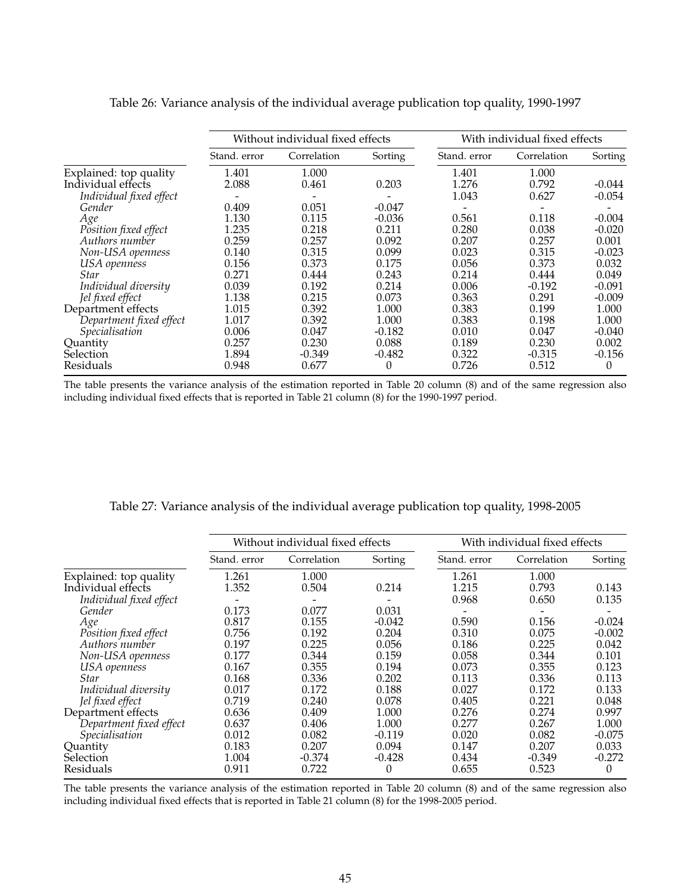|                         |              | Without individual fixed effects |          |              | With individual fixed effects |          |  |  |
|-------------------------|--------------|----------------------------------|----------|--------------|-------------------------------|----------|--|--|
|                         | Stand. error | Correlation                      | Sorting  | Stand. error | Correlation                   | Sorting  |  |  |
| Explained: top quality  | 1.401        | 1.000                            |          | 1.401        | 1.000                         |          |  |  |
| Individual effects      | 2.088        | 0.461                            | 0.203    | 1.276        | 0.792                         | $-0.044$ |  |  |
| Individual fixed effect |              |                                  |          | 1.043        | 0.627                         | $-0.054$ |  |  |
| Gender                  | 0.409        | 0.051                            | $-0.047$ |              |                               |          |  |  |
| Age                     | 1.130        | 0.115                            | $-0.036$ | 0.561        | 0.118                         | $-0.004$ |  |  |
| Position fixed effect   | 1.235        | 0.218                            | 0.211    | 0.280        | 0.038                         | $-0.020$ |  |  |
| Authors number          | 0.259        | 0.257                            | 0.092    | 0.207        | 0.257                         | 0.001    |  |  |
| Non-USA openness        | 0.140        | 0.315                            | 0.099    | 0.023        | 0.315                         | $-0.023$ |  |  |
| USA openness            | 0.156        | 0.373                            | 0.175    | 0.056        | 0.373                         | 0.032    |  |  |
| <i>Star</i>             | 0.271        | 0.444                            | 0.243    | 0.214        | 0.444                         | 0.049    |  |  |
| Individual diversity    | 0.039        | 0.192                            | 0.214    | 0.006        | $-0.192$                      | $-0.091$ |  |  |
| Jel fixed effect        | 1.138        | 0.215                            | 0.073    | 0.363        | 0.291                         | $-0.009$ |  |  |
| Department effects      | 1.015        | 0.392                            | 1.000    | 0.383        | 0.199                         | 1.000    |  |  |
| Department fixed effect | 1.017        | 0.392                            | 1.000    | 0.383        | 0.198                         | 1.000    |  |  |
| Specialisation          | 0.006        | 0.047                            | $-0.182$ | 0.010        | 0.047                         | $-0.040$ |  |  |
| Quantity                | 0.257        | 0.230                            | 0.088    | 0.189        | 0.230                         | 0.002    |  |  |
| Selection               | 1.894        | $-0.349$                         | $-0.482$ | 0.322        | $-0.315$                      | $-0.156$ |  |  |
| Residuals               | 0.948        | 0.677                            | $\Omega$ | 0.726        | 0.512                         | $\Omega$ |  |  |

Table 26: Variance analysis of the individual average publication top quality, 1990-1997

The table presents the variance analysis of the estimation reported in Table 20 column (8) and of the same regression also including individual fixed effects that is reported in Table 21 column (8) for the 1990-1997 period.

|                         |              | Without individual fixed effects |          |              | With individual fixed effects |          |  |  |
|-------------------------|--------------|----------------------------------|----------|--------------|-------------------------------|----------|--|--|
|                         | Stand, error | Correlation                      | Sorting  | Stand, error | Correlation                   | Sorting  |  |  |
| Explained: top quality  | 1.261        | 1.000                            |          | 1.261        | 1.000                         |          |  |  |
| Individual effects      | 1.352        | 0.504                            | 0.214    | 1.215        | 0.793                         | 0.143    |  |  |
| Individual fixed effect |              |                                  |          | 0.968        | 0.650                         | 0.135    |  |  |
| Gender                  | 0.173        | 0.077                            | 0.031    |              |                               |          |  |  |
| Age                     | 0.817        | 0.155                            | $-0.042$ | 0.590        | 0.156                         | $-0.024$ |  |  |
| Position fixed effect   | 0.756        | 0.192                            | 0.204    | 0.310        | 0.075                         | $-0.002$ |  |  |
| Authors number          | 0.197        | 0.225                            | 0.056    | 0.186        | 0.225                         | 0.042    |  |  |
| Non-USA openness        | 0.177        | 0.344                            | 0.159    | 0.058        | 0.344                         | 0.101    |  |  |
| USA openness            | 0.167        | 0.355                            | 0.194    | 0.073        | 0.355                         | 0.123    |  |  |
| <b>Star</b>             | 0.168        | 0.336                            | 0.202    | 0.113        | 0.336                         | 0.113    |  |  |
| Individual diversity    | 0.017        | 0.172                            | 0.188    | 0.027        | 0.172                         | 0.133    |  |  |
| Jel fixed effect        | 0.719        | 0.240                            | 0.078    | 0.405        | 0.221                         | 0.048    |  |  |
| Department effects      | 0.636        | 0.409                            | 1.000    | 0.276        | 0.274                         | 0.997    |  |  |
| Department fixed effect | 0.637        | 0.406                            | 1.000    | 0.277        | 0.267                         | 1.000    |  |  |
| Specialisation          | 0.012        | 0.082                            | $-0.119$ | 0.020        | 0.082                         | $-0.075$ |  |  |
| Ouantity                | 0.183        | 0.207                            | 0.094    | 0.147        | 0.207                         | 0.033    |  |  |
| Selection               | 1.004        | $-0.374$                         | $-0.428$ | 0.434        | $-0.349$                      | $-0.272$ |  |  |
| Residuals               | 0.911        | 0.722                            | 0        | 0.655        | 0.523                         | 0        |  |  |

#### Table 27: Variance analysis of the individual average publication top quality, 1998-2005

The table presents the variance analysis of the estimation reported in Table 20 column (8) and of the same regression also including individual fixed effects that is reported in Table 21 column (8) for the 1998-2005 period.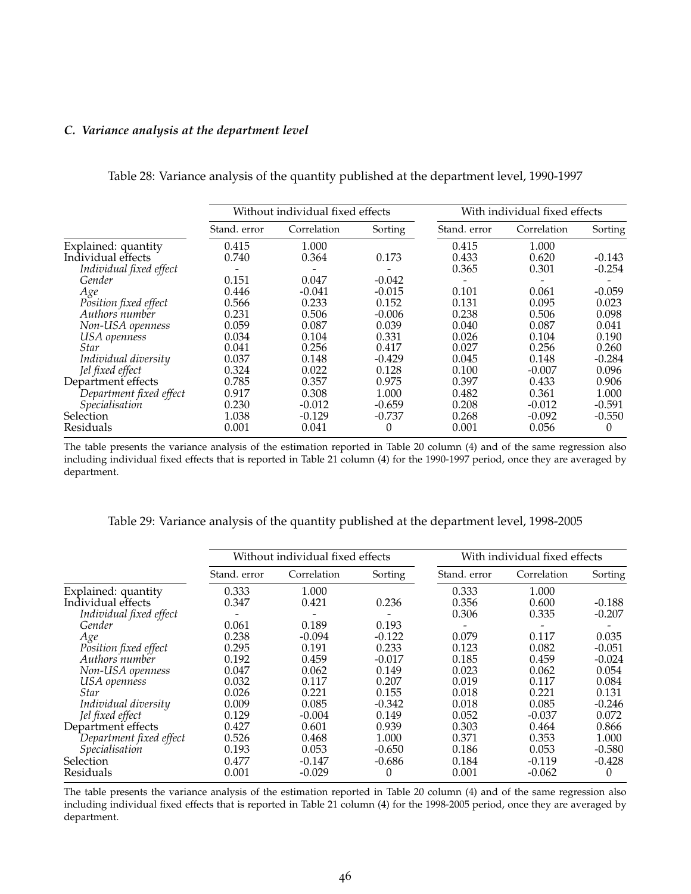#### *C. Variance analysis at the department level*

|                         |              | Without individual fixed effects |          |              | With individual fixed effects |          |  |  |
|-------------------------|--------------|----------------------------------|----------|--------------|-------------------------------|----------|--|--|
|                         | Stand, error | Correlation                      | Sorting  | Stand, error | Correlation                   | Sorting  |  |  |
| Explained: quantity     | 0.415        | 1.000                            |          | 0.415        | 1.000                         |          |  |  |
| Individual effects      | 0.740        | 0.364                            | 0.173    | 0.433        | 0.620                         | $-0.143$ |  |  |
| Individual fixed effect |              |                                  |          | 0.365        | 0.301                         | $-0.254$ |  |  |
| Gender                  | 0.151        | 0.047                            | $-0.042$ |              |                               |          |  |  |
| Age                     | 0.446        | $-0.041$                         | $-0.015$ | 0.101        | 0.061                         | $-0.059$ |  |  |
| Position fixed effect   | 0.566        | 0.233                            | 0.152    | 0.131        | 0.095                         | 0.023    |  |  |
| Authors number          | 0.231        | 0.506                            | $-0.006$ | 0.238        | 0.506                         | 0.098    |  |  |
| Non-USA openness        | 0.059        | 0.087                            | 0.039    | 0.040        | 0.087                         | 0.041    |  |  |
| USA openness            | 0.034        | 0.104                            | 0.331    | 0.026        | 0.104                         | 0.190    |  |  |
| <b>Star</b>             | 0.041        | 0.256                            | 0.417    | 0.027        | 0.256                         | 0.260    |  |  |
| Individual diversity    | 0.037        | 0.148                            | $-0.429$ | 0.045        | 0.148                         | $-0.284$ |  |  |
| Jel fixed effect        | 0.324        | 0.022                            | 0.128    | 0.100        | $-0.007$                      | 0.096    |  |  |
| Department effects      | 0.785        | 0.357                            | 0.975    | 0.397        | 0.433                         | 0.906    |  |  |
| Department fixed effect | 0.917        | 0.308                            | 1.000    | 0.482        | 0.361                         | 1.000    |  |  |
| Specialisation          | 0.230        | $-0.012$                         | $-0.659$ | 0.208        | $-0.012$                      | $-0.591$ |  |  |
| <b>Selection</b>        | 1.038        | $-0.129$                         | $-0.737$ | 0.268        | $-0.092$                      | $-0.550$ |  |  |
| Residuals               | 0.001        | 0.041                            | 0        | 0.001        | 0.056                         | $\Omega$ |  |  |

Table 28: Variance analysis of the quantity published at the department level, 1990-1997

The table presents the variance analysis of the estimation reported in Table 20 column (4) and of the same regression also including individual fixed effects that is reported in Table 21 column (4) for the 1990-1997 period, once they are averaged by department.

Table 29: Variance analysis of the quantity published at the department level, 1998-2005

|                         |              | Without individual fixed effects |          |              | With individual fixed effects |          |  |  |
|-------------------------|--------------|----------------------------------|----------|--------------|-------------------------------|----------|--|--|
|                         | Stand, error | Correlation                      | Sorting  | Stand, error | Correlation                   | Sorting  |  |  |
| Explained: quantity     | 0.333        | 1.000                            |          | 0.333        | 1.000                         |          |  |  |
| Individual effects      | 0.347        | 0.421                            | 0.236    | 0.356        | 0.600                         | $-0.188$ |  |  |
| Individual fixed effect |              |                                  |          | 0.306        | 0.335                         | $-0.207$ |  |  |
| Gender                  | 0.061        | 0.189                            | 0.193    |              |                               |          |  |  |
| Age                     | 0.238        | $-0.094$                         | $-0.122$ | 0.079        | 0.117                         | 0.035    |  |  |
| Position fixed effect   | 0.295        | 0.191                            | 0.233    | 0.123        | 0.082                         | $-0.051$ |  |  |
| Authors number          | 0.192        | 0.459                            | $-0.017$ | 0.185        | 0.459                         | $-0.024$ |  |  |
| Non-USA openness        | 0.047        | 0.062                            | 0.149    | 0.023        | 0.062                         | 0.054    |  |  |
| USA openness            | 0.032        | 0.117                            | 0.207    | 0.019        | 0.117                         | 0.084    |  |  |
| Star                    | 0.026        | 0.221                            | 0.155    | 0.018        | 0.221                         | 0.131    |  |  |
| Individual diversity    | 0.009        | 0.085                            | $-0.342$ | 0.018        | 0.085                         | $-0.246$ |  |  |
| Jel fixed effect        | 0.129        | $-0.004$                         | 0.149    | 0.052        | $-0.037$                      | 0.072    |  |  |
| Department effects      | 0.427        | 0.601                            | 0.939    | 0.303        | 0.464                         | 0.866    |  |  |
| Department fixed effect | 0.526        | 0.468                            | 1.000    | 0.371        | 0.353                         | 1.000    |  |  |
| Specialisation          | 0.193        | 0.053                            | $-0.650$ | 0.186        | 0.053                         | $-0.580$ |  |  |
| Selection               | 0.477        | $-0.147$                         | $-0.686$ | 0.184        | $-0.119$                      | $-0.428$ |  |  |
| Residuals               | 0.001        | $-0.029$                         | 0        | 0.001        | $-0.062$                      | $\Omega$ |  |  |

The table presents the variance analysis of the estimation reported in Table 20 column (4) and of the same regression also including individual fixed effects that is reported in Table 21 column (4) for the 1998-2005 period, once they are averaged by department.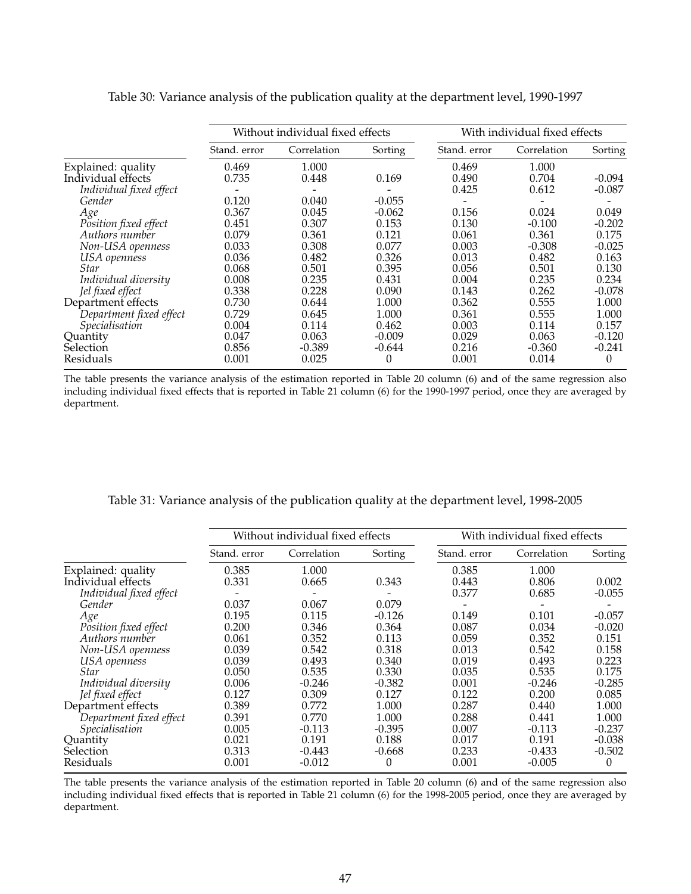|                         |              | Without individual fixed effects |          |              | With individual fixed effects |          |  |  |
|-------------------------|--------------|----------------------------------|----------|--------------|-------------------------------|----------|--|--|
|                         | Stand. error | Correlation                      | Sorting  | Stand. error | Correlation                   | Sorting  |  |  |
| Explained: quality      | 0.469        | 1.000                            |          | 0.469        | 1.000                         |          |  |  |
| Individual effects      | 0.735        | 0.448                            | 0.169    | 0.490        | 0.704                         | $-0.094$ |  |  |
| Individual fixed effect |              |                                  |          | 0.425        | 0.612                         | $-0.087$ |  |  |
| Gender                  | 0.120        | 0.040                            | $-0.055$ |              |                               |          |  |  |
| Age                     | 0.367        | 0.045                            | $-0.062$ | 0.156        | 0.024                         | 0.049    |  |  |
| Position fixed effect   | 0.451        | 0.307                            | 0.153    | 0.130        | $-0.100$                      | $-0.202$ |  |  |
| Authors number          | 0.079        | 0.361                            | 0.121    | 0.061        | 0.361                         | 0.175    |  |  |
| Non-USA openness        | 0.033        | 0.308                            | 0.077    | 0.003        | $-0.308$                      | $-0.025$ |  |  |
| USA openness            | 0.036        | 0.482                            | 0.326    | 0.013        | 0.482                         | 0.163    |  |  |
| <i>Star</i>             | 0.068        | 0.501                            | 0.395    | 0.056        | 0.501                         | 0.130    |  |  |
| Individual diversity    | 0.008        | 0.235                            | 0.431    | 0.004        | 0.235                         | 0.234    |  |  |
| Jel fixed effect        | 0.338        | 0.228                            | 0.090    | 0.143        | 0.262                         | $-0.078$ |  |  |
| Department effects      | 0.730        | 0.644                            | 1.000    | 0.362        | 0.555                         | 1.000    |  |  |
| Department fixed effect | 0.729        | 0.645                            | 1.000    | 0.361        | 0.555                         | 1.000    |  |  |
| Specialisation          | 0.004        | 0.114                            | 0.462    | 0.003        | 0.114                         | 0.157    |  |  |
| Quantity                | 0.047        | 0.063                            | $-0.009$ | 0.029        | 0.063                         | $-0.120$ |  |  |
| Selection               | 0.856        | $-0.389$                         | $-0.644$ | 0.216        | $-0.360$                      | $-0.241$ |  |  |
| Residuals               | 0.001        | 0.025                            | 0        | 0.001        | 0.014                         | $\Omega$ |  |  |

Table 30: Variance analysis of the publication quality at the department level, 1990-1997

The table presents the variance analysis of the estimation reported in Table 20 column (6) and of the same regression also including individual fixed effects that is reported in Table 21 column (6) for the 1990-1997 period, once they are averaged by department.

|                         |              | Without individual fixed effects |          |              | With individual fixed effects |          |  |
|-------------------------|--------------|----------------------------------|----------|--------------|-------------------------------|----------|--|
|                         | Stand. error | Correlation                      | Sorting  | Stand. error | Correlation                   | Sorting  |  |
| Explained: quality      | 0.385        | 1.000                            |          | 0.385        | 1.000                         |          |  |
| Individual effects      | 0.331        | 0.665                            | 0.343    | 0.443        | 0.806                         | 0.002    |  |
| Individual fixed effect |              |                                  |          | 0.377        | 0.685                         | $-0.055$ |  |
| Gender                  | 0.037        | 0.067                            | 0.079    |              |                               |          |  |
| Age                     | 0.195        | 0.115                            | $-0.126$ | 0.149        | 0.101                         | $-0.057$ |  |
| Position fixed effect   | 0.200        | 0.346                            | 0.364    | 0.087        | 0.034                         | $-0.020$ |  |
| Authors number          | 0.061        | 0.352                            | 0.113    | 0.059        | 0.352                         | 0.151    |  |
| Non-USA openness        | 0.039        | 0.542                            | 0.318    | 0.013        | 0.542                         | 0.158    |  |
| USA openness            | 0.039        | 0.493                            | 0.340    | 0.019        | 0.493                         | 0.223    |  |
| Star                    | 0.050        | 0.535                            | 0.330    | 0.035        | 0.535                         | 0.175    |  |
| Individual diversity    | 0.006        | $-0.246$                         | $-0.382$ | 0.001        | $-0.246$                      | $-0.285$ |  |
| Jel fixed effect        | 0.127        | 0.309                            | 0.127    | 0.122        | 0.200                         | 0.085    |  |
| Department effects      | 0.389        | 0.772                            | 1.000    | 0.287        | 0.440                         | 1.000    |  |
| Department fixed effect | 0.391        | 0.770                            | 1.000    | 0.288        | 0.441                         | 1.000    |  |
| Specialisation          | 0.005        | $-0.113$                         | $-0.395$ | 0.007        | $-0.113$                      | $-0.237$ |  |
| Quantity                | 0.021        | 0.191                            | 0.188    | 0.017        | 0.191                         | $-0.038$ |  |
| Selection               | 0.313        | $-0.443$                         | $-0.668$ | 0.233        | $-0.433$                      | $-0.502$ |  |
| Residuals               | 0.001        | $-0.012$                         | 0        | 0.001        | $-0.005$                      | $\Omega$ |  |

Table 31: Variance analysis of the publication quality at the department level, 1998-2005

The table presents the variance analysis of the estimation reported in Table 20 column (6) and of the same regression also including individual fixed effects that is reported in Table 21 column (6) for the 1998-2005 period, once they are averaged by department.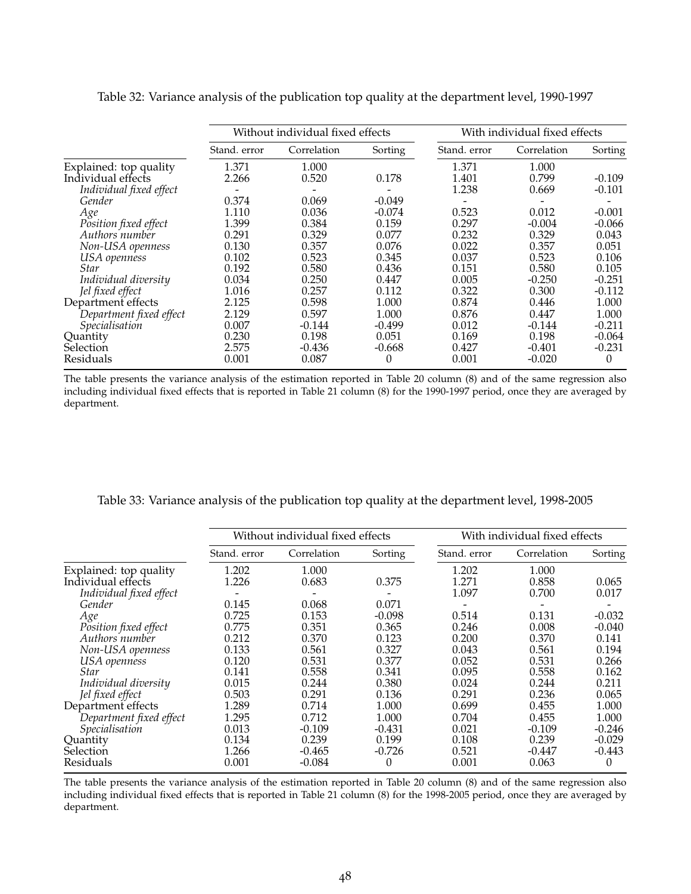|                         | Without individual fixed effects |             |          | With individual fixed effects |             |          |  |
|-------------------------|----------------------------------|-------------|----------|-------------------------------|-------------|----------|--|
|                         | Stand. error                     | Correlation | Sorting  | Stand. error                  | Correlation | Sorting  |  |
| Explained: top quality  | 1.371                            | 1.000       |          | 1.371                         | 1.000       |          |  |
| Individual effects      | 2.266                            | 0.520       | 0.178    | 1.401                         | 0.799       | $-0.109$ |  |
| Individual fixed effect |                                  |             |          | 1.238                         | 0.669       | $-0.101$ |  |
| Gender                  | 0.374                            | 0.069       | $-0.049$ |                               |             |          |  |
| Age                     | 1.110                            | 0.036       | $-0.074$ | 0.523                         | 0.012       | $-0.001$ |  |
| Position fixed effect   | 1.399                            | 0.384       | 0.159    | 0.297                         | $-0.004$    | $-0.066$ |  |
| Authors number          | 0.291                            | 0.329       | 0.077    | 0.232                         | 0.329       | 0.043    |  |
| Non-USA openness        | 0.130                            | 0.357       | 0.076    | 0.022                         | 0.357       | 0.051    |  |
| USA openness            | 0.102                            | 0.523       | 0.345    | 0.037                         | 0.523       | 0.106    |  |
| <i>Star</i>             | 0.192                            | 0.580       | 0.436    | 0.151                         | 0.580       | 0.105    |  |
| Individual diversity    | 0.034                            | 0.250       | 0.447    | 0.005                         | $-0.250$    | $-0.251$ |  |
| Jel fixed effect        | 1.016                            | 0.257       | 0.112    | 0.322                         | 0.300       | $-0.112$ |  |
| Department effects      | 2.125                            | 0.598       | 1.000    | 0.874                         | 0.446       | 1.000    |  |
| Department fixed effect | 2.129                            | 0.597       | 1.000    | 0.876                         | 0.447       | 1.000    |  |
| Specialisation          | 0.007                            | $-0.144$    | $-0.499$ | 0.012                         | $-0.144$    | $-0.211$ |  |
| Quantity                | 0.230                            | 0.198       | 0.051    | 0.169                         | 0.198       | $-0.064$ |  |
| Selection               | 2.575                            | $-0.436$    | $-0.668$ | 0.427                         | $-0.401$    | $-0.231$ |  |
| Residuals               | 0.001                            | 0.087       | 0        | 0.001                         | $-0.020$    | $\Omega$ |  |

Table 32: Variance analysis of the publication top quality at the department level, 1990-1997

The table presents the variance analysis of the estimation reported in Table 20 column (8) and of the same regression also including individual fixed effects that is reported in Table 21 column (8) for the 1990-1997 period, once they are averaged by department.

|                         |              | Without individual fixed effects |          |              | With individual fixed effects |          |  |  |
|-------------------------|--------------|----------------------------------|----------|--------------|-------------------------------|----------|--|--|
|                         | Stand. error | Correlation                      | Sorting  | Stand. error | Correlation                   | Sorting  |  |  |
| Explained: top quality  | 1.202        | 1.000                            |          | 1.202        | 1.000                         |          |  |  |
| Individual effects      | 1.226        | 0.683                            | 0.375    | 1.271        | 0.858                         | 0.065    |  |  |
| Individual fixed effect |              |                                  |          | 1.097        | 0.700                         | 0.017    |  |  |
| Gender                  | 0.145        | 0.068                            | 0.071    |              |                               |          |  |  |
| Age                     | 0.725        | 0.153                            | $-0.098$ | 0.514        | 0.131                         | $-0.032$ |  |  |
| Position fixed effect   | 0.775        | 0.351                            | 0.365    | 0.246        | 0.008                         | $-0.040$ |  |  |
| Authors number          | 0.212        | 0.370                            | 0.123    | 0.200        | 0.370                         | 0.141    |  |  |
| Non-USA openness        | 0.133        | 0.561                            | 0.327    | 0.043        | 0.561                         | 0.194    |  |  |
| USA openness            | 0.120        | 0.531                            | 0.377    | 0.052        | 0.531                         | 0.266    |  |  |
| <b>Star</b>             | 0.141        | 0.558                            | 0.341    | 0.095        | 0.558                         | 0.162    |  |  |
| Individual diversity    | 0.015        | 0.244                            | 0.380    | 0.024        | 0.244                         | 0.211    |  |  |
| Jel fixed effect        | 0.503        | 0.291                            | 0.136    | 0.291        | 0.236                         | 0.065    |  |  |
| Department effects      | 1.289        | 0.714                            | 1.000    | 0.699        | 0.455                         | 1.000    |  |  |
| Department fixed effect | 1.295        | 0.712                            | 1.000    | 0.704        | 0.455                         | 1.000    |  |  |
| <i>Specialisation</i>   | 0.013        | $-0.109$                         | $-0.431$ | 0.021        | $-0.109$                      | $-0.246$ |  |  |
| Quantity                | 0.134        | 0.239                            | 0.199    | 0.108        | 0.239                         | $-0.029$ |  |  |
| Selection               | 1.266        | $-0.465$                         | $-0.726$ | 0.521        | $-0.447$                      | $-0.443$ |  |  |
| Residuals               | 0.001        | $-0.084$                         | 0        | 0.001        | 0.063                         | $\Omega$ |  |  |

Table 33: Variance analysis of the publication top quality at the department level, 1998-2005

The table presents the variance analysis of the estimation reported in Table 20 column (8) and of the same regression also including individual fixed effects that is reported in Table 21 column (8) for the 1998-2005 period, once they are averaged by department.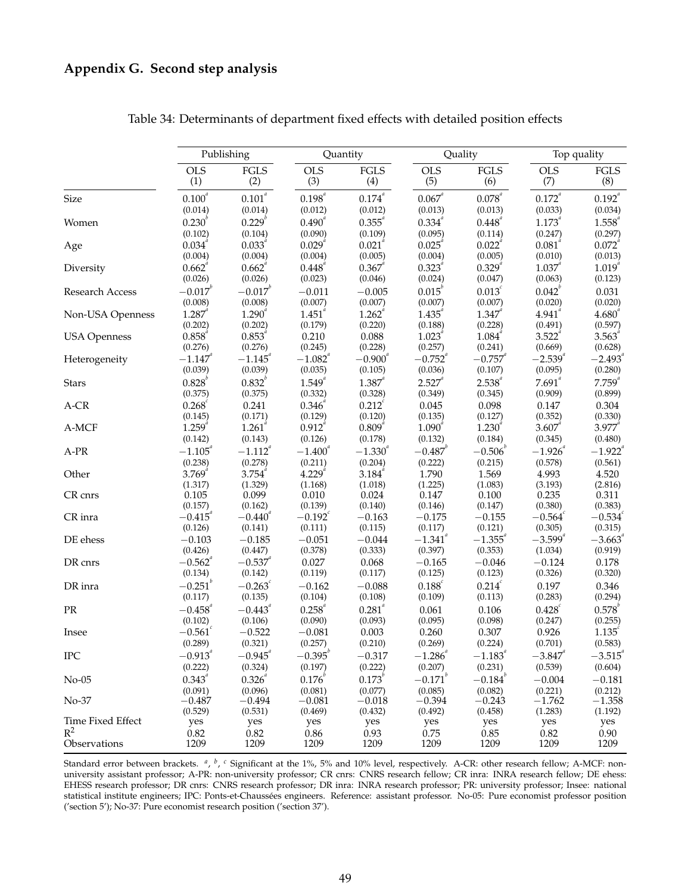|                     |                       | Publishing            |                    | Quantity              | Quality               |                       | Top quality           |                       |
|---------------------|-----------------------|-----------------------|--------------------|-----------------------|-----------------------|-----------------------|-----------------------|-----------------------|
|                     | <b>OLS</b>            | $\operatorname{FGLS}$ | <b>OLS</b>         | $\operatorname{FGLS}$ | <b>OLS</b>            | $\operatorname{FGLS}$ | <b>OLS</b>            | $\operatorname{FGLS}$ |
|                     | (1)                   | (2)                   | (3)                | (4)                   | (5)                   | (6)                   | (7)                   | (8)                   |
| Size                | $0.100^{\it a}$       | $0.101^{\it a}$       | $0.198^{^{a}}$     | $0.174^{^a}\,$        | $0.067^{a}$           | $0.078^{^{a}}$        | $0.172^{^a}$          | $0.192^{a}$           |
|                     | (0.014)               | (0.014)               | (0.012)            | (0.012)               | (0.013)               | (0.013)               | (0.033)               | (0.034)               |
| Women               | $0.230^{v}$           | $0.229^{b}$           | $0.490^{^{a}}$     | $0.355^{a}$           | $0.334^{^{a}}$        | $0.448^{^{a}}$        | $1.173^{^{a}}$        | $1.558^{^{a}}$        |
|                     | (0.102)               | (0.104)               | (0.090)            | (0.109)               | (0.095)               | (0.114)               | (0.247)               | (0.297)               |
| Age                 | $0.034^{^{a}}$        | $0.033^{^{a}}$        | $0.029^{a}$        | $0.021^{a}$           | $0.025^{a}$           | $0.022^{\degree}$     | $0.081^{^{a}}$        | $0.072^{a}$           |
|                     | (0.004)               | (0.004)               | (0.004)            | (0.005)               | (0.004)               | (0.005)               | (0.010)               | (0.013)               |
| Diversity           | 0.662 <sup>a</sup>    | $0.662^{\circ}$       | $0.448^{^{a}}$     | $0.367^{a}$           | $0.323^{a}$           | $0.329^{a}$           | $1.037^{4}$           | $1.019^{a}$           |
|                     | (0.026)               | (0.026)               | (0.023)            | (0.046)               | (0.024)               | (0.047)               | (0.063)               | (0.123)               |
| Research Access     | $-0.017^{b}$          | $-0.017^{b}$          | $-0.011$           | $-0.005$              | $0.015^{\circ}$       | $0.013^{c}$           | $0.042^{b}$           | 0.031                 |
|                     | (0.008)               | (0.008)               | (0.007)            | (0.007)               | (0.007)               | (0.007)               | (0.020)               | (0.020)               |
| Non-USA Openness    | $1.287^{^{a}}$        | $1.290^{^{a}}$        | $1.451^{^{\circ}}$ | $1.262^{^{a}}$        | $1.435^{^{a}}$        | $1.347^{^{a}}$        | 4.941                 | $4.680^{^{a}}$        |
|                     | (0.202)               | (0.202)               | (0.179)            | (0.220)               | (0.188)               | (0.228)               | (0.491)               | (0.597)               |
| <b>USA Openness</b> | $0.858^{^{a}}$        | $0.853^{^{a}}$        | 0.210              | 0.088                 | $1.023^{4}$           | 1.084                 | $3.522^{4}$           | 3.563                 |
|                     | (0.276)               | (0.276)               | (0.245)            | (0.228)               | (0.257)               | (0.241)               | (0.669)               | (0.628)               |
| Heterogeneity       | $-1.147$              | $-1.145$ <sup>a</sup> | $-1.082$           | $-0.900^{^{a}}$       | $-0.752^{4}$          | $-0.757^{''}$         | $-2.539^{4}$          | $-2.493$ <sup>*</sup> |
|                     | (0.039)               | (0.039)               | (0.035)            | (0.105)               | (0.036)               | (0.107)               | (0.095)               | (0.280)               |
| Stars               | $0.828^{b}$           | $0.832^{b}$           | $1.549^{a}$        | $1.387^{4}$           | $2.527^{a}$           | $2.538^{a}$           | $7.691^{a}$           | $7.759^{a}$           |
|                     | (0.375)               | (0.375)               | (0.332)            | (0.328)               | (0.349)               | (0.345)               | (0.909)               | (0.899)               |
| A-CR                | 0.268                 | 0.241                 | $0.346^{^{a}}$     | $0.212^{c}$           | 0.045                 | 0.098                 | 0.147                 | 0.304                 |
|                     | (0.145)               | (0.171)               | (0.129)            | (0.120)               | (0.135)               | (0.127)               | (0.352)               | (0.330)               |
| A-MCF               | $1.259^{a}$           | $1.261^{^a}$          | $0.912^{a}$        | $0.809^{a}$           | $1.090^{4}$           | $1.230^{^{a}}$        | $3.607^{a}$           | $3.977^{a}$           |
|                     | (0.142)               | (0.143)               | (0.126)            | (0.178)               | (0.132)               | (0.184)               | (0.345)               | (0.480)               |
| A-PR                | $-1.105^{^{a}}$       | $-1.112^{x}$          | $-1.400^{^{a}}$    | $-1.330^{^{a}}$       | $-0.487^{b}$          | $-0.506^b$            | $-1.926$ <sup>a</sup> | $-1.922^{a}$          |
|                     | (0.238)               | (0.278)               | (0.211)            | (0.204)               | (0.222)               | (0.215)               | (0.578)               | (0.561)               |
| Other               | $3.769^{^{a}}$        | $3.754^{^{a}}$        | $4.229^{^{a}}$     | $3.184^{^{a}}$        | 1.790                 | 1.569                 | 4.993                 | 4.520                 |
|                     | (1.317)               | (1.329)               | (1.168)            | (1.018)               | (1.225)               | (1.083)               | (3.193)               | (2.816)               |
| CR cnrs             | 0.105                 | 0.099                 | 0.010              | 0.024                 | 0.147                 | 0.100                 | 0.235                 | 0.311                 |
|                     | (0.157)               | (0.162)               | (0.139)            | (0.140)               | (0.146)               | (0.147)               | (0.380)               | (0.383)               |
| CR inra             | $-0.415^{a}$          | $-0.440^{\circ}$      | $-0.192^c$         | $-0.163$              | $-0.175$              | $-0.155$              | $-0.564^c$            | $-0.534^{\circ}$      |
|                     | (0.126)               | (0.141)               | (0.111)            | (0.115)               | (0.117)               | (0.121)               | (0.305)               | (0.315)               |
| DE ehess            | $-0.103$              | $-0.185$              | $-0.051$           | $-0.044$              | $-1.341$ <sup>a</sup> | $-1.355$ <sup>a</sup> | $-3.599^{a}$          | $-3.663$              |
|                     | (0.426)               | (0.447)               | (0.378)            | (0.333)               | (0.397)               | (0.353)               | (1.034)               | (0.919)               |
| DR cnrs             | $-0.562$ <sup>"</sup> | $-0.537$ <sup>"</sup> | 0.027              | 0.068                 | $-0.165$              | $-0.046$              | $-0.124$              | 0.178                 |
|                     | (0.134)               | (0.142)               | (0.119)            | (0.117)               | (0.125)               | (0.123)               | (0.326)               | (0.320)               |
| DR inra             | $-0.251^{b}$          | $-0.263^{\circ}$      | $-0.162$           | $-0.088$              | 0.188                 | $0.214^{c}$           | 0.197                 | 0.346                 |
|                     | (0.117)               | (0.135)               | (0.104)            | (0.108)               | (0.109)               | (0.113)               | (0.283)               | (0.294)               |
| $\rm PR$            | $-0.458$ <sup>a</sup> | $-0.443^{\circ}$      | $0.258^{a}$        | $0.281^{^a}$          | 0.061                 | 0.106                 | $0.428^{c}$           | $0.578^{b}$           |
|                     | (0.102)               | (0.106)               | (0.090)            | (0.093)               | (0.095)               | (0.098)               | (0.247)               | (0.255)               |
| Insee               | $-0.561$              | $-0.522$              | $-0.081$           | 0.003                 | 0.260                 | 0.307                 | 0.926                 | $1.135^{c}$           |
|                     | (0.289)               | (0.321)               | (0.257)            | (0.210)               | (0.269)               | (0.224)               | (0.701)               | (0.583)               |
| <b>IPC</b>          | $-0.913^{^{\it a}}$   | $-0.945^{^{\it a}}$   | $-0.395^{b}$       | $-0.317$              | $-1.286^{^{\it a}}$   | $-1.183^{^a}\,$       | $-3.847^{^a}\,$       | $-3.515^{^{\it a}}$   |
|                     | (0.222)               | (0.324)               | (0.197)            | (0.222)               | (0.207)               | (0.231)               | (0.539)               | (0.604)               |
| $No-05$             | $0.343^{^{a}}$        | $0.326^{a}$           | $0.176^{b}$        | $0.173^{b}$           | $-0.171^{\mathrm{b}}$ | $-0.184^{b}$          | $-0.004$              | $-0.181$              |
|                     | (0.091)               | (0.096)               | (0.081)            | (0.077)               | (0.085)               | (0.082)               | (0.221)               | (0.212)               |
| $No-37$             | $-0.487$              | $-0.494$              | $-0.081$           | $-0.018$              | $-0.394$              | $-0.243$              | $-1.762$              | $-1.358$              |
|                     | (0.529)               | (0.531)               | (0.469)            | (0.432)               | (0.492)               | (0.458)               | (1.283)               | (1.192)               |
| Time Fixed Effect   | yes                   | yes                   | yes                | yes                   | yes                   | yes                   | yes                   | yes                   |
| $R^2$               | 0.82                  | 0.82                  | $0.86\,$           | 0.93                  | 0.75                  | 0.85                  | 0.82                  | 0.90                  |
| Observations        | 1209                  | 1209                  | 1209               | 1209                  | 1209                  | 1209                  | 1209                  | 1209                  |

Table 34: Determinants of department fixed effects with detailed position effects

Standard error between brackets. <sup>a</sup>, <sup>b</sup>, <sup>c</sup> Significant at the 1%, 5% and 10% level, respectively. A-CR: other research fellow; A-MCF: nonuniversity assistant professor; A-PR: non-university professor; CR cnrs: CNRS research fellow; CR inra: INRA research fellow; DE ehess: EHESS research professor; DR cnrs: CNRS research professor; DR inra: INRA research professor; PR: university professor; Insee: national statistical institute engineers; IPC: Ponts-et-Chaussées engineers. Reference: assistant professor. No-05: Pure economist professor position ('section 5'); No-37: Pure economist research position ('section 37').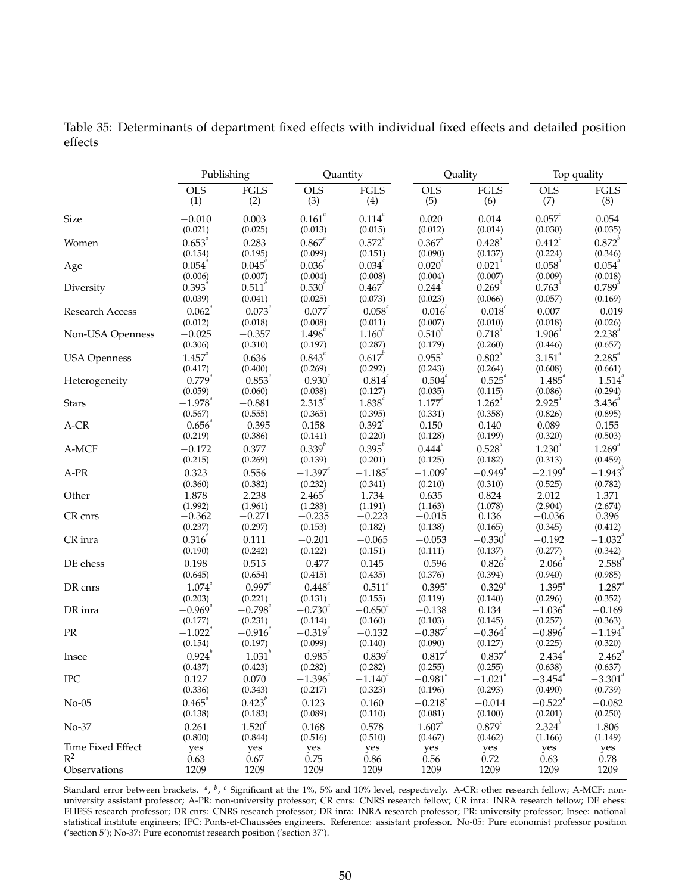Table 35: Determinants of department fixed effects with individual fixed effects and detailed position effects

|                     | Publishing<br>Quantity      |                                          |                             | Quality                     |                                   | Top quality                                |                                  |                             |
|---------------------|-----------------------------|------------------------------------------|-----------------------------|-----------------------------|-----------------------------------|--------------------------------------------|----------------------------------|-----------------------------|
|                     | <b>OLS</b>                  | $\operatorname{FGLS}$                    | <b>OLS</b>                  | $\operatorname{FGLS}$       | <b>OLS</b>                        | $\operatorname{FGLS}$                      | <b>OLS</b>                       | <b>FGLS</b>                 |
|                     | (1)                         | (2)                                      | (3)                         | (4)                         | (5)                               | (6)                                        | (7)                              | (8)                         |
| Size                | $-0.010$                    | 0.003                                    | $0.161^{\it a}$             | $0.114^{^a}\,$              | 0.020                             | 0.014                                      | $0.057^{\circ}$                  | 0.054                       |
|                     | (0.021)                     | (0.025)                                  | (0.013)                     | (0.015)                     | (0.012)                           | (0.014)                                    | (0.030)                          | (0.035)                     |
| Women               | $0.653^{a}$                 | 0.283                                    | $0.867^{a}$                 | $0.572^{a}$                 | $0.367^{a}$                       | $0.428^{a}$                                | $0.412^{c}$                      | $0.872^{b}$                 |
|                     | (0.154)                     | (0.195)                                  | (0.099)                     | (0.151)                     | (0.090)                           | (0.137)                                    | (0.224)                          | (0.346)                     |
| Age                 | $0.054$ <sup>a</sup>        | $0.045^{\circ}$                          | $0.036^{a}$                 | $0.034^{a}$                 | $0.020^{a}$                       | $0.021^{a}$                                | $0.058^{a}$                      | $0.054^{^a}$                |
|                     | (0.006)                     | (0.007)                                  | (0.004)                     | (0.008)                     | (0.004)                           | (0.007)                                    | (0.009)                          | (0.018)                     |
| Diversity           | $0.393^{a}$                 | $0.511^{a}$                              | $0.530^{a}$                 | $0.467^{\circ}$             | $0.244^{^a}$                      | $0.269^{a}$                                | 0.763                            | $0.789^{^{a}}$              |
|                     | (0.039)                     | (0.041)                                  | (0.025)                     | (0.073)                     | (0.023)                           | (0.066)                                    | (0.057)                          | (0.169)                     |
| Research Access     | $-0.062$ <sup>a</sup>       | $-0.073^{n}$                             | $-0.077^{^a}$               | $-0.058^{a}$                | $-0.016^{b}$                      | $-0.018^{c}$                               | 0.007                            | $-0.019$                    |
|                     | (0.012)                     | (0.018)                                  | (0.008)                     | (0.011)                     | (0.007)                           | (0.010)                                    | (0.018)                          | (0.026)                     |
| Non-USA Openness    | $-0.025$                    | $-0.357$                                 | $1.496^{^{a}}$              | $1.160^{^{0}}$              | $0.510^{4}$                       | $0.718^{n}$                                | 1.906                            | $2.238^{4}$                 |
|                     | (0.306)                     | (0.310)                                  | (0.197)                     | (0.287)                     | (0.179)                           | (0.260)                                    | (0.446)                          | (0.657)                     |
| <b>USA Openness</b> | $1.457^{^{a}}$              | 0.636                                    | $0.843^{^{a}}$              | $0.617^{b}$                 | $0.955^{\circ}$                   | $0.802^a$                                  | $3.151$ <sup>a</sup>             | $2.285^{^{a}}$              |
|                     | (0.417)                     | (0.400)                                  | (0.269)                     | (0.292)                     | (0.243)                           | (0.264)                                    | (0.608)                          | (0.661)                     |
| Heterogeneity       | $-0.779^{a}$                | $-0.853^{a}$                             | $-0.930^{a}$                | $-0.814$ <sup>a</sup>       | $-0.504$ <sup>a</sup>             | $-0.525$ <sup>a</sup>                      | $-1.485^{^{a}}$                  | $-1.514$ <sup>a</sup>       |
|                     | (0.059)                     | (0.060)                                  | (0.038)                     | (0.127)                     | (0.035)                           | (0.115)                                    | (0.086)                          | (0.294)                     |
| <b>Stars</b>        | $-1.978$ <sup>a</sup>       | $-0.881$                                 | $2.313^{^{a}}$              | $1.838^{^{a}}$              | $1.177^{a}$                       | $1.262^{^{a}}$                             | $2.925^{^{a}}$                   | $3.436^{a}$                 |
|                     | (0.567)                     | (0.555)                                  | (0.365)                     | (0.395)                     | (0.331)                           | (0.358)                                    | (0.826)                          | (0.895)                     |
| A-CR                | $-0.656$                    | $-0.395$                                 | 0.158                       | $0.392^{c}$                 | 0.150                             | 0.140                                      | 0.089                            | 0.155                       |
|                     | (0.219)                     | (0.386)                                  | (0.141)                     | (0.220)                     | (0.128)                           | (0.199)                                    | (0.320)                          | (0.503)                     |
| A-MCF               | $-0.172$                    | 0.377                                    | $0.339^{b}$                 | $0.395^{b}$                 | $0.444^{^{a}}$                    | $0.528^{^{a}}$                             | $1.230^{^{a}}$                   | $1.269^{^{a}}$              |
|                     | (0.215)                     | (0.269)                                  | (0.139)                     | (0.201)                     | (0.125)                           | (0.182)                                    | (0.313)                          | (0.459)                     |
| $A-PR$              | 0.323                       | 0.556                                    | $-1.397$ <sup>a</sup>       | $-1.185$ <sup>a</sup>       | $-1.009^{a}$                      | $-0.949^{a}$                               | $-2.199^{a}$                     | $-1.943^{b}$                |
|                     | (0.360)                     | (0.382)                                  | (0.232)                     | (0.341)                     | (0.210)                           | (0.310)                                    | (0.525)                          | (0.782)                     |
| Other               | 1.878                       | 2.238                                    | $2.465^{\circ}$             | 1.734                       | 0.635                             | 0.824                                      | 2.012                            | 1.371                       |
|                     | (1.992)                     | (1.961)                                  | (1.283)                     | (1.191)                     | (1.163)                           | (1.078)                                    | (2.904)                          | (2.674)                     |
| CR cnrs             | $-0.362$                    | $-0.271$                                 | $-0.235$                    | $-0.223$                    | $-0.015$                          | 0.136                                      | $-0.036$                         | 0.396                       |
|                     | (0.237)                     | (0.297)                                  | (0.153)                     | (0.182)                     | (0.138)                           | (0.165)                                    | (0.345)                          | (0.412)                     |
| CR inra             | $0.316^{c}$                 | 0.111                                    | $-0.201$                    | $-0.065$                    | $-0.053$                          | $-0.330^{b}$                               | $-0.192$                         | $-1.032^{a}$                |
|                     | (0.190)                     | (0.242)                                  | (0.122)                     | (0.151)                     | (0.111)                           | (0.137)                                    | (0.277)                          | (0.342)                     |
| DE ehess            | 0.198                       | 0.515                                    | $-0.477$                    | 0.145                       | $-0.596$                          | $-0.826^{\mathrm{b}}$                      | $-2.066^b$                       | $-2.588$ <sup>a</sup>       |
|                     | (0.645)                     | (0.654)                                  | (0.415)                     | (0.435)                     | (0.376)                           | (0.394)                                    | (0.940)                          | (0.985)                     |
| DR cnrs             | $-1.074$ <sup>a</sup>       | $-0.997$ <sup>a</sup>                    | $-0.448$ <sup>a</sup>       | $-0.511$ <sup>a</sup>       | $-0.395^{a}$                      | $-0.329^{b}$                               | $-1.395^{^{a}}$                  | $-1.287$ <sup>a</sup>       |
|                     | (0.203)                     | (0.221)                                  | (0.131)                     | (0.155)                     | (0.119)                           | (0.140)                                    | (0.296)                          | (0.352)                     |
| DR inra             | $-0.969^{0}$                | $-0.798^{^{a}}$                          | $-0.730^{a}$                | $-0.650^{''}$               | $-0.138$                          | 0.134                                      | $-1.036$                         | $-0.169$                    |
|                     | (0.177)                     | (0.231)                                  | (0.114)                     | (0.160)                     | (0.103)                           | (0.145)                                    | (0.257)                          | (0.363)                     |
| $\mathcal{PR}$      | $-1.022$                    | $-0.916$                                 | $-0.319''$                  | $-0.132$                    | $-0.387$                          | $-0.364$ <sup>a</sup>                      | $-0.896$                         | $-1.194$ <sup>a</sup>       |
|                     | (0.154)                     | (0.197)                                  | (0.099)                     | (0.140)                     | (0.090)                           | (0.127)                                    | (0.225)                          | (0.320)                     |
| Insee               | $-0.924^b$                  | $-1.031^{b}$                             | $-0.985^{a}$                | $-0.839^{a}$                | $-0.817$ <sup>a</sup>             | $-0.837^{a}$                               | $-2.434$ <sup>a</sup>            | $-2.462$ <sup>a</sup>       |
|                     | (0.437)                     | (0.423)                                  | (0.282)                     | (0.282)                     | (0.255)                           | (0.255)                                    | (0.638)                          | (0.637)                     |
| <b>IPC</b>          | 0.127                       | 0.070                                    | $-1.396^{\textit{a}}$       | $-1.140$ <sup>a</sup>       | $-0.981^{\textit{a}}$             | $-1.021$ <sup>a</sup>                      | $-3.454$ <sup>a</sup>            | $-3.301$ <sup>a</sup>       |
|                     | (0.336)                     | (0.343)                                  | (0.217)                     | (0.323)                     | (0.196)                           | (0.293)                                    | (0.490)                          | (0.739)                     |
| $No-05$             | $0.465^{^{a}}$              | $0.423^{b}$                              | 0.123                       | 0.160                       | $-0.218^{a}$                      | $-0.014$                                   | $-0.522$ <sup>a</sup><br>(0.201) | $-0.082$                    |
| No-37               | (0.138)<br>0.261<br>(0.800) | (0.183)<br>1.520 <sup>c</sup><br>(0.844) | (0.089)<br>0.168<br>(0.516) | (0.110)<br>0.578<br>(0.510) | (0.081)<br>$1.607^{a}$<br>(0.467) | (0.100)<br>$0.879$ <sup>c</sup><br>(0.462) | $2.324^{b}$<br>(1.166)           | (0.250)<br>1.806<br>(1.149) |
| Time Fixed Effect   | yes                         | yes                                      | yes                         | yes                         | yes                               | yes                                        | yes                              | yes                         |
| $R^2$               | 0.63                        | 0.67                                     | 0.75                        | 0.86                        | 0.56                              | 0.72                                       | 0.63                             | 0.78                        |
| Observations        | 1209                        | 1209                                     | 1209                        | 1209                        | 1209                              | 1209                                       | 1209                             | 1209                        |

Standard error between brackets. <sup>a</sup>, <sup>b</sup>, <sup>c</sup> Significant at the 1%, 5% and 10% level, respectively. A-CR: other research fellow; A-MCF: nonuniversity assistant professor; A-PR: non-university professor; CR cnrs: CNRS research fellow; CR inra: INRA research fellow; DE ehess: EHESS research professor; DR cnrs: CNRS research professor; DR inra: INRA research professor; PR: university professor; Insee: national statistical institute engineers; IPC: Ponts-et-Chaussées engineers. Reference: assistant professor. No-05: Pure economist professor position ('section 5'); No-37: Pure economist research position ('section 37').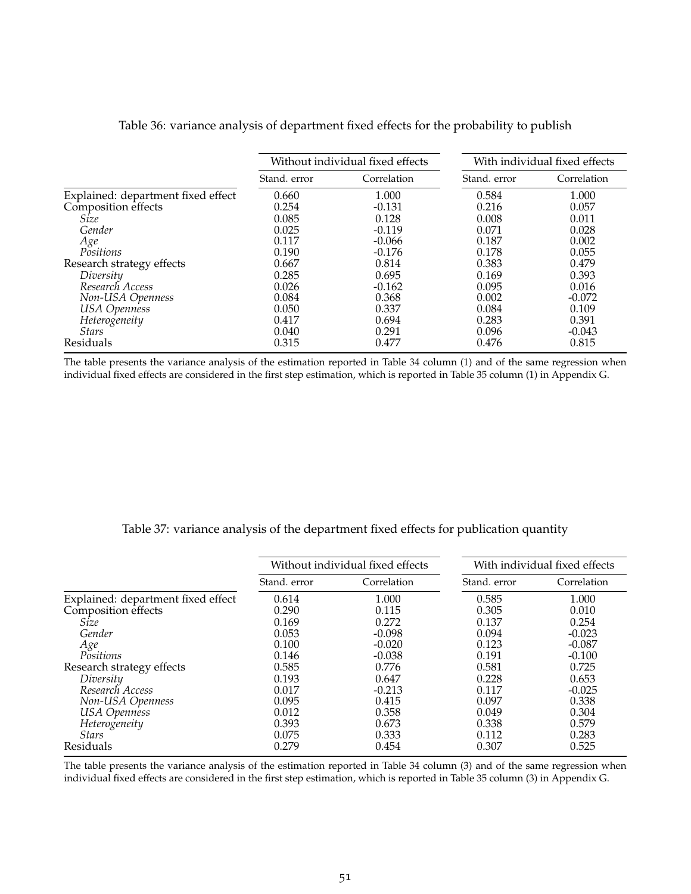|                                    |              | Without individual fixed effects | With individual fixed effects |             |  |
|------------------------------------|--------------|----------------------------------|-------------------------------|-------------|--|
|                                    | Stand, error | Correlation                      | Stand, error                  | Correlation |  |
| Explained: department fixed effect | 0.660        | 1.000                            | 0.584                         | 1.000       |  |
| Composition effects                | 0.254        | $-0.131$                         | 0.216                         | 0.057       |  |
| Size                               | 0.085        | 0.128                            | 0.008                         | 0.011       |  |
| Gender                             | 0.025        | $-0.119$                         | 0.071                         | 0.028       |  |
| Age                                | 0.117        | $-0.066$                         | 0.187                         | 0.002       |  |
| Positions                          | 0.190        | $-0.176$                         | 0.178                         | 0.055       |  |
| Research strategy effects          | 0.667        | 0.814                            | 0.383                         | 0.479       |  |
| Diversity                          | 0.285        | 0.695                            | 0.169                         | 0.393       |  |
| Research Access                    | 0.026        | $-0.162$                         | 0.095                         | 0.016       |  |
| Non-USA Openness                   | 0.084        | 0.368                            | 0.002                         | $-0.072$    |  |
| <b>USA</b> Openness                | 0.050        | 0.337                            | 0.084                         | 0.109       |  |
| Heterogeneity                      | 0.417        | 0.694                            | 0.283                         | 0.391       |  |
| <b>Stars</b>                       | 0.040        | 0.291                            | 0.096                         | $-0.043$    |  |
| Residuals                          | 0.315        | 0.477                            | 0.476                         | 0.815       |  |

#### Table 36: variance analysis of department fixed effects for the probability to publish

The table presents the variance analysis of the estimation reported in Table 34 column (1) and of the same regression when individual fixed effects are considered in the first step estimation, which is reported in Table 35 column (1) in Appendix G.

#### Table 37: variance analysis of the department fixed effects for publication quantity

|                                                           |              | Without individual fixed effects | With individual fixed effects |             |  |
|-----------------------------------------------------------|--------------|----------------------------------|-------------------------------|-------------|--|
|                                                           | Stand, error | Correlation                      | Stand, error                  | Correlation |  |
| Explained: department fixed effect<br>Composition effects | 0.614        | 1.000                            | 0.585                         | 1.000       |  |
|                                                           | 0.290        | 0.115                            | 0.305                         | 0.010       |  |
| Size                                                      | 0.169        | 0.272                            | 0.137                         | 0.254       |  |
| Gender                                                    | 0.053        | $-0.098$                         | 0.094                         | $-0.023$    |  |
| Age                                                       | 0.100        | $-0.020$                         | 0.123                         | $-0.087$    |  |
| Positions                                                 | 0.146        | $-0.038$                         | 0.191                         | $-0.100$    |  |
| Research strategy effects                                 | 0.585        | 0.776                            | 0.581                         | 0.725       |  |
| Diversity                                                 | 0.193        | 0.647                            | 0.228                         | 0.653       |  |
| Research Access                                           | 0.017        | $-0.213$                         | 0.117                         | $-0.025$    |  |
| Non-USA Openness                                          | 0.095        | 0.415                            | 0.097                         | 0.338       |  |
| <b>USA</b> Openness                                       | 0.012        | 0.358                            | 0.049                         | 0.304       |  |
| Heterogeneity                                             | 0.393        | 0.673                            | 0.338                         | 0.579       |  |
| <b>Stars</b>                                              | 0.075        | 0.333                            | 0.112                         | 0.283       |  |
| Residuals                                                 | 0.279        | 0.454                            | 0.307                         | 0.525       |  |

The table presents the variance analysis of the estimation reported in Table 34 column (3) and of the same regression when individual fixed effects are considered in the first step estimation, which is reported in Table 35 column (3) in Appendix G.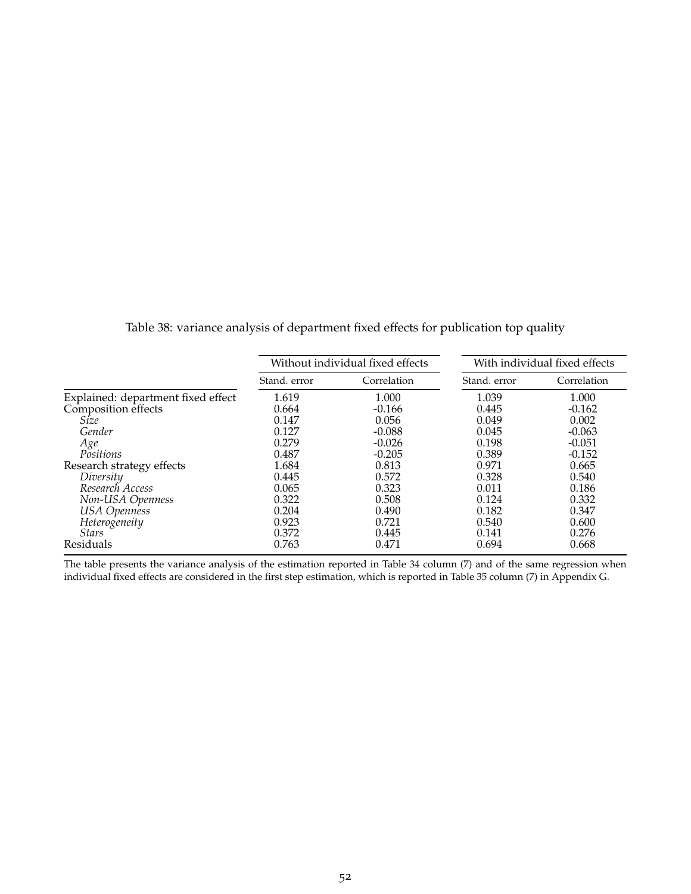|                                    |              | Without individual fixed effects |              | With individual fixed effects |  |  |
|------------------------------------|--------------|----------------------------------|--------------|-------------------------------|--|--|
|                                    | Stand. error | Correlation                      | Stand, error | Correlation                   |  |  |
| Explained: department fixed effect | 1.619        | 1.000                            | 1.039        | 1.000                         |  |  |
| Composition effects                | 0.664        | $-0.166$                         | 0.445        | $-0.162$                      |  |  |
| Size                               | 0.147        | 0.056                            | 0.049        | 0.002                         |  |  |
| Gender                             | 0.127        | $-0.088$                         | 0.045        | $-0.063$                      |  |  |
| Age                                | 0.279        | $-0.026$                         | 0.198        | $-0.051$                      |  |  |
| Positions                          | 0.487        | $-0.205$                         | 0.389        | $-0.152$                      |  |  |
| Research strategy effects          | 1.684        | 0.813                            | 0.971        | 0.665                         |  |  |
| Diversity                          | 0.445        | 0.572                            | 0.328        | 0.540                         |  |  |
| Research Access                    | 0.065        | 0.323                            | 0.011        | 0.186                         |  |  |
| Non-USA Openness                   | 0.322        | 0.508                            | 0.124        | 0.332                         |  |  |
| <b>USA</b> Openness                | 0.204        | 0.490                            | 0.182        | 0.347                         |  |  |
| Heterogeneity                      | 0.923        | 0.721                            | 0.540        | 0.600                         |  |  |
| <i>Stars</i>                       | 0.372        | 0.445                            | 0.141        | 0.276                         |  |  |
| Residuals                          | 0.763        | 0.471                            | 0.694        | 0.668                         |  |  |

Table 38: variance analysis of department fixed effects for publication top quality

The table presents the variance analysis of the estimation reported in Table 34 column (7) and of the same regression when individual fixed effects are considered in the first step estimation, which is reported in Table 35 column (7) in Appendix G.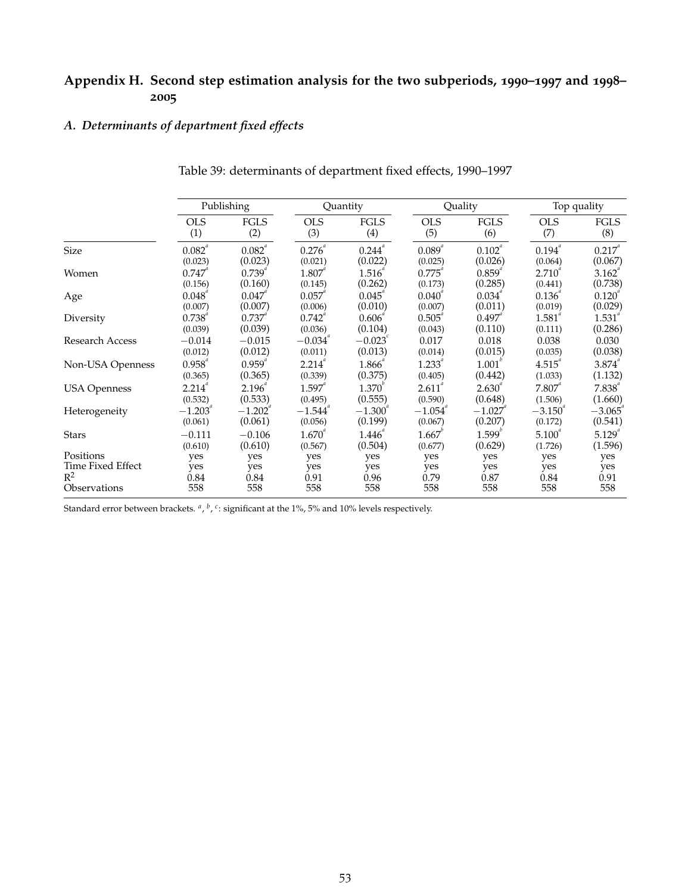#### **Appendix H. Second step estimation analysis for the two subperiods, 1990–1997 and 1998– 2005**

#### *A. Determinants of department fixed effects*

|                     | Publishing     |                       | Quantity              |                      | Quality        |                    | Top quality    |                |
|---------------------|----------------|-----------------------|-----------------------|----------------------|----------------|--------------------|----------------|----------------|
|                     | <b>OLS</b>     | <b>FGLS</b>           | <b>OLS</b>            | <b>FGLS</b>          | <b>OLS</b>     | <b>FGLS</b>        | <b>OLS</b>     | <b>FGLS</b>    |
|                     | (1)            | (2)                   | (3)                   | (4)                  | (5)            | (6)                | (7)            | (8)            |
| Size                | $0.082^{^{a}}$ | $0.082^{a}$           | $0.276^{a}$           | $0.244$ <sup>a</sup> | $0.089^{^{a}}$ | $0.102^{^{a}}$     | $0.194^{^{a}}$ | $0.217^{^{a}}$ |
|                     | (0.023)        | (0.023)               | (0.021)               | (0.022)              | (0.025)        | (0.026)            | (0.064)        | (0.067)        |
| Women               | 0.747''        | $0.739$ "             | $1.807$ "             | 1.516                | 0.775          | $0.859^{6}$        | $2.710^{4}$    | 3.162          |
|                     | (0.156)        | (0.160)               | (0.145)               | (0.262)              | (0.173)        | (0.285)            | (0.441)        | (0.738)        |
| Age                 | $0.048$ "      | $0.047$ "             | $0.057$ "             | $0.045$ "            | $0.040^{4}$    | 0.034              | 0.136''        | $0.120^{4}$    |
|                     | (0.007)        | (0.007)               | (0.006)               | (0.010)              | (0.007)        | (0.011)            | (0.019)        | (0.029)        |
| Diversity           | $0.738^{a}$    | $0.737$ "             | 0.742                 | 0.606                | $0.505^{a}$    | 0.497              | $1.581^{^a}$   | $1.531^{^a}$   |
|                     | (0.039)        | (0.039)               | (0.036)               | (0.104)              | (0.043)        | (0.110)            | (0.111)        | (0.286)        |
| Research Access     | $-0.014$       | $-0.015$              | $-0.034$ <sup>"</sup> | $-0.023^{\circ}$     | 0.017          | 0.018              | 0.038          | 0.030          |
|                     | (0.012)        | (0.012)               | (0.011)               | (0.013)              | (0.014)        | (0.015)            | (0.035)        | (0.038)        |
| Non-USA Openness    | $0.958^{^{a}}$ | $0.959^{^{a}}$        | 2.214                 | 1.866                | 1.233          | 1.001              | 4.515          | $3.874^{^{a}}$ |
|                     | (0.365)        | (0.365)               | (0.339)               | (0.375)              | (0.405)        | (0.442)            | (1.033)        | (1.132)        |
| <b>USA Openness</b> | $2.214^{a}$    | $2.196^{a}$           | $1.597$ "             | $1.370^{^{\circ}}$   | $2.611^{^{a}}$ | $2.630^{4}$        | $7.807$ "      | $7.838^{^{a}}$ |
|                     | (0.532)        | (0.533)               | (0.495)               | (0.555)              | (0.590)        | (0.648)            | (1.506)        | (1.660)        |
| Heterogeneity       | $-1.203$       | $-1.202$ <sup>"</sup> | $-1.544$ <sup>"</sup> | $-1.300$             | $-1.054$       | $-1.027$           | $-3.150$       | $-3.065$       |
|                     | (0.061)        | (0.061)               | (0.056)               | (0.199)              | (0.067)        | (0.207)            | (0.172)        | (0.541)        |
| <b>Stars</b>        | $-0.111$       | $-0.106$              | $1.670^{4}$           | 1.446''              | $1.667^{6}$    | $1.599^{^{\circ}}$ | $5.100^{4}$    | 5.129          |
|                     | (0.610)        | (0.610)               | (0.567)               | (0.504)              | (0.677)        | (0.629)            | (1.726)        | (1.596)        |
| Positions           | yes            | yes                   | yes                   | yes                  | yes            | yes                | yes            | yes            |
| Time Fixed Effect   | yes            | yes                   | yes                   | yes                  | yes            | yes                | yes            | yes            |
| $R^2$               | 0.84           | 0.84                  | 0.91                  | 0.96                 | 0.79           | 0.87               | 0.84           | 0.91           |
| Observations        | 558            | 558                   | 558                   | 558                  | 558            | 558                | 558            | 558            |

#### Table 39: determinants of department fixed effects, 1990–1997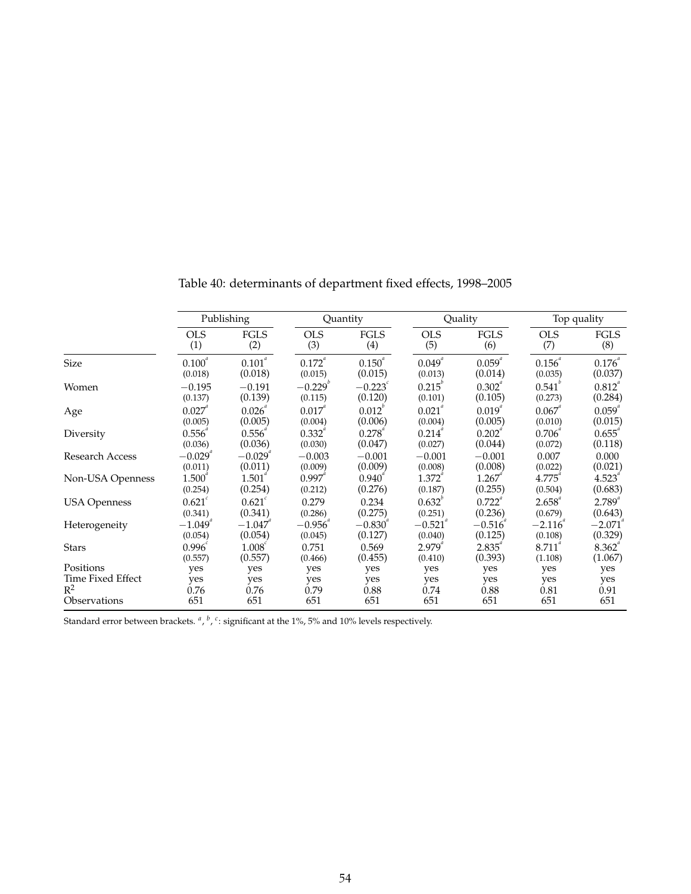|                     | Publishing            |                       | Quantity       |                  | Quality        |             | Top quality        |                      |
|---------------------|-----------------------|-----------------------|----------------|------------------|----------------|-------------|--------------------|----------------------|
|                     | <b>OLS</b>            | <b>FGLS</b>           | <b>OLS</b>     | <b>FGLS</b>      | <b>OLS</b>     | <b>FGLS</b> | <b>OLS</b>         | <b>FGLS</b>          |
|                     | (1)                   | (2)                   | (3)            | (4)              | (5)            | (6)         | (7)                | (8)                  |
| Size                | 0.100 <sup>a</sup>    | $0.101^{^{a}}$        | $0.172^{^{a}}$ | $0.150^{a}$      | $0.049^{^{a}}$ | $0.059^{a}$ | $0.156^{a}$        | $0.176^{^{a}}$       |
|                     | (0.018)               | (0.018)               | (0.015)        | (0.015)          | (0.013)        | (0.014)     | (0.035)            | (0.037)              |
| Women               | $-0.195$              | $-0.191$              | $-0.229^{b}$   | $-0.223^{\circ}$ | 0.215''        | $0.302^{4}$ | $0.541^{^{\circ}}$ | $0.812^{4}$          |
|                     | (0.137)               | (0.139)               | (0.115)        | (0.120)          | (0.101)        | (0.105)     | (0.273)            | (0.284)              |
| Age                 | $0.027$ "             | 0.026                 | $0.017^{4}$    | $0.012^{v}$      | $0.021^{4}$    | $0.019^{4}$ | $0.067$ "          | $0.059$ "            |
|                     | (0.005)               | (0.005)               | (0.004)        | (0.006)          | (0.004)        | (0.005)     | (0.010)            | (0.015)              |
| Diversity           | 0.556                 | 0.556                 | 0.332          | $0.278^{n}$      | 0.214          | 0.202       | 0.706              | 0.655                |
|                     | (0.036)               | (0.036)               | (0.030)        | (0.047)          | (0.027)        | (0.044)     | (0.072)            | (0.118)              |
| Research Access     | $-0.029$ "            | $-0.029$ <sup>"</sup> | $-0.003$       | $-0.001$         | $-0.001$       | $-0.001$    | 0.007              | 0.000                |
|                     | (0.011)               | (0.011)               | (0.009)        | (0.009)          | (0.008)        | (0.008)     | (0.022)            | (0.021)              |
| Non-USA Openness    | 1.500                 | 1.501                 | $0.997$ "      | $0.940^{4}$      | $1.372^{n}$    | 1.267       | 4.775              | 4.523                |
|                     | (0.254)               | (0.254)               | (0.212)        | (0.276)          | (0.187)        | (0.255)     | (0.504)            | (0.683)              |
| <b>USA Openness</b> | $0.621^{c}$           | $0.621^{c}$           | 0.279          | 0.234            | $0.632^{v}$    | $0.722^{a}$ | $2.658^{a}$        | $2.789^{a}$          |
|                     | (0.341)               | (0.341)               | (0.286)        | (0.275)          | (0.251)        | (0.236)     | (0.679)            | (0.643)              |
| Heterogeneity       | $-1.049$ <sup>"</sup> | $-1.047$              | $-0.956$       | $-0.830$         | $-0.521$       | $-0.516$    | $-2.116$           | $-2.071$             |
|                     | (0.054)               | (0.054)               | (0.045)        | (0.127)          | (0.040)        | (0.125)     | (0.108)            | (0.329)              |
| <b>Stars</b>        | 0.996                 | 1.008                 | 0.751          | 0.569            | 2.979          | 2.835       | 8.711              | $8.362$ <sup>"</sup> |
|                     | (0.557)               | (0.557)               | (0.466)        | (0.455)          | (0.410)        | (0.393)     | (1.108)            | (1.067)              |
| Positions           | yes                   | yes                   | yes            | yes              | yes            | yes         | yes                | yes                  |
| Time Fixed Effect   | yes                   | yes                   | yes            | yes              | yes            | yes         | yes                | yes                  |
| $R^2$               | 0.76                  | 0.76                  | 0.79           | 0.88             | 0.74           | 0.88        | 0.81               | 0.91                 |
| Observations        | 651                   | 651                   | 651            | 651              | 651            | 651         | 651                | 651                  |

Table 40: determinants of department fixed effects, 1998–2005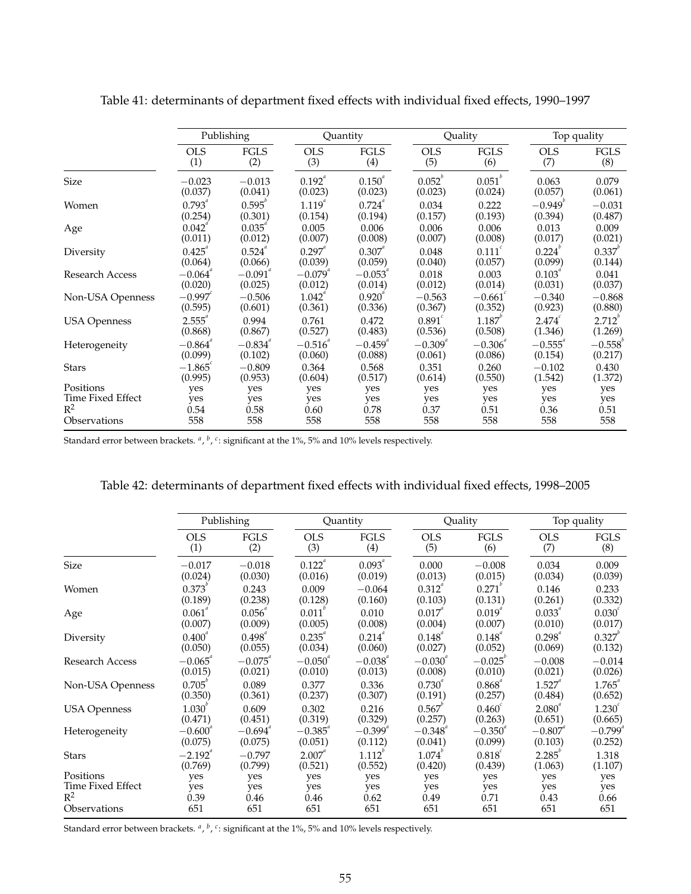|                     | Publishing          |                       | Quantity          |                | Quality            |                 | Top quality           |                           |
|---------------------|---------------------|-----------------------|-------------------|----------------|--------------------|-----------------|-----------------------|---------------------------|
|                     | <b>OLS</b>          | <b>FGLS</b>           | <b>OLS</b>        | <b>FGLS</b>    | <b>OLS</b>         | <b>FGLS</b>     | <b>OLS</b>            | <b>FGLS</b>               |
|                     | (1)                 | (2)                   | (3)               | (4)            | (5)                | (6)             | (7)                   | (8)                       |
| <b>Size</b>         | $-0.023$            | $-0.013$              | $0.192^{\degree}$ | $0.150^{a}$    | $0.052^{b}$        | $0.051^{b}$     | 0.063                 | 0.079                     |
|                     | (0.037)             | (0.041)               | (0.023)           | (0.023)        | (0.023)            | (0.024)         | (0.057)               | (0.061)                   |
| Women               | $0.793^{^{a}}$      | 0.595                 | $1.119^{^{a}}$    | $0.724^{^{a}}$ | 0.034              | 0.222           | $-0.949$              | $-0.031$                  |
|                     | (0.254)             | (0.301)               | (0.154)           | (0.194)        | (0.157)            | (0.193)         | (0.394)               | (0.487)                   |
| Age                 | 0.042               | $0.035$ "             | 0.005             | 0.006          | 0.006              | 0.006           | 0.013                 | 0.009                     |
|                     | (0.011)             | (0.012)               | (0.007)           | (0.008)        | (0.007)            | (0.008)         | (0.017)               | (0.021)                   |
| Diversity           | 0.425               | $0.524$ "             | $0.297$ "         | $0.307$ "      | 0.048              | $0.111^{\circ}$ | $0.224^{b}$           | $0.337^{^{\prime\prime}}$ |
|                     | (0.064)             | (0.066)               | (0.039)           | (0.059)        | (0.040)            | (0.057)         | (0.099)               | (0.144)                   |
| Research Access     | $-0.064$ $^{\circ}$ | $-0.091$ <sup>*</sup> | $-0.079$          | $-0.053$       | 0.018              | 0.003           | $0.103$ <sup>*</sup>  | 0.041                     |
|                     | (0.020)             | (0.025)               | (0.012)           | (0.014)        | (0.012)            | (0.014)         | (0.031)               | (0.037)                   |
| Non-USA Openness    | $-0.997$            | $-0.506$              | 1.042             | $0.920^{6}$    | $-0.563$           | $-0.661$        | $-0.340$              | $-0.868$                  |
|                     | (0.595)             | (0.601)               | (0.361)           | (0.336)        | (0.367)            | (0.352)         | (0.923)               | (0.880)                   |
| <b>USA Openness</b> | $2.555^{a}$         | 0.994                 | 0.761             | 0.472          | 0.891 <sup>c</sup> | $1.187^{b}$     | $2.474^{\circ}$       | $2.712^{v}$               |
|                     | (0.868)             | (0.867)               | (0.527)           | (0.483)        | (0.536)            | (0.508)         | (1.346)               | (1.269)                   |
| Heterogeneity       | $-0.864$            | $-0.834$              | $-0.516$          | $-0.459$       | $-0.309$ "         | $-0.306$        | $-0.555$ <sup>"</sup> | $-0.558$                  |
|                     | (0.099)             | (0.102)               | (0.060)           | (0.088)        | (0.061)            | (0.086)         | (0.154)               | (0.217)                   |
| <b>Stars</b>        | $-1.865$            | $-0.809$              | 0.364             | 0.568          | 0.351              | 0.260           | $-0.102$              | 0.430                     |
|                     | (0.995)             | (0.953)               | (0.604)           | (0.517)        | (0.614)            | (0.550)         | (1.542)               | (1.372)                   |
| Positions           | yes                 | yes                   | yes               | yes            | yes                | yes             | yes                   | yes                       |
| Time Fixed Effect   | yes                 | yes                   | yes               | yes            | yes                | yes             | yes                   | yes                       |
| $R^2$               | 0.54                | 0.58                  | 0.60              | 0.78           | 0.37               | 0.51            | 0.36                  | 0.51                      |
| Observations        | 558                 | 558                   | 558               | 558            | 558                | 558             | 558                   | 558                       |

Table 41: determinants of department fixed effects with individual fixed effects, 1990–1997

Standard error between brackets. <sup>a</sup>, <sup>b</sup>, <sup>c</sup>: significant at the 1%, 5% and 10% levels respectively.

## Table 42: determinants of department fixed effects with individual fixed effects, 1998–2005

|                        | Publishing      |               |                | Quantity       |                | Quality          |                | Top quality        |  |
|------------------------|-----------------|---------------|----------------|----------------|----------------|------------------|----------------|--------------------|--|
|                        | <b>OLS</b>      | <b>FGLS</b>   | <b>OLS</b>     | <b>FGLS</b>    | <b>OLS</b>     | <b>FGLS</b>      | <b>OLS</b>     | <b>FGLS</b>        |  |
|                        | (1)             | (2)           | (3)            | (4)            | (5)            | (6)              | (7)            | (8)                |  |
| Size                   | $-0.017$        | $-0.018$      | $0.122^{a}$    | $0.093^{a}$    | 0.000          | $-0.008$         | 0.034          | 0.009              |  |
|                        | (0.024)         | (0.030)       | (0.016)        | (0.019)        | (0.013)        | (0.015)          | (0.034)        | (0.039)            |  |
| Women                  | $0.373^{6}$     | 0.243         | 0.009          | $-0.064$       | $0.312^{4}$    | 0.271            | 0.146          | 0.233              |  |
|                        | (0.189)         | (0.238)       | (0.128)        | (0.160)        | (0.103)        | (0.131)          | (0.261)        | (0.332)            |  |
| Age                    | $0.061^{^{a}}$  | $0.056^{''}$  | 0.011          | 0.010          | $0.017^{^{a}}$ | $0.019^{^{a}}$   | $0.033^{^{a}}$ | 0.030 <sup>c</sup> |  |
|                        | (0.007)         | (0.009)       | (0.005)        | (0.008)        | (0.004)        | (0.007)          | (0.010)        | (0.017)            |  |
| Diversity              | $0.400^{^{0}}$  | $0.498^{4}$   | $0.235^{^{a}}$ | 0.214          | $0.148^{4}$    | $0.148^{4}$      | 0.298          | $0.327^{^{\circ}}$ |  |
|                        | (0.050)         | (0.055)       | (0.034)        | (0.060)        | (0.027)        | (0.052)          | (0.069)        | (0.132)            |  |
| <b>Research Access</b> | $-0.065$ "      | $-0.075^{''}$ | $-0.050^{a}$   | $-0.038^{a}$   | $-0.030^{a}$   | $-0.025^{\circ}$ | $-0.008$       | $-0.014$           |  |
|                        | (0.015)         | (0.021)       | (0.010)        | (0.013)        | (0.008)        | (0.010)          | (0.021)        | (0.026)            |  |
| Non-USA Openness       | $0.705^{\circ}$ | 0.089         | 0.377          | 0.336          | $0.730^{4}$    | $0.868^{a}$      | $1.527$ "      | $1.765^{^{a}}$     |  |
|                        | (0.350)         | (0.361)       | (0.237)        | (0.307)        | (0.191)        | (0.257)          | (0.484)        | (0.652)            |  |
| <b>USA Openness</b>    | $1.030^{o}$     | 0.609         | 0.302          | 0.216          | $0.567^{^{0}}$ | $0.460^{\circ}$  | $2.080^{4}$    | 1.230 <sup>c</sup> |  |
|                        | (0.471)         | (0.451)       | (0.319)        | (0.329)        | (0.257)        | (0.263)          | (0.651)        | (0.665)            |  |
| Heterogeneity          | $-0.600$ "      | $-0.694$ "    | $-0.385^{a}$   | $-0.399$ "     | $-0.348$       | $-0.350^{\circ}$ | $-0.807$       | $-0.799^{a}$       |  |
|                        | (0.075)         | (0.075)       | (0.051)        | (0.112)        | (0.041)        | (0.099)          | (0.103)        | (0.252)            |  |
| Stars                  | $-2.192$ "      | $-0.797$      | $2.007$ "      | $1.112^{^{0}}$ | 1.074          | $0.818^{c}$      | $2.285^{v}$    | 1.318              |  |
|                        | (0.769)         | (0.799)       | (0.521)        | (0.552)        | (0.420)        | (0.439)          | (1.063)        | (1.107)            |  |
| Positions              | yes             | yes           | yes            | yes            | yes            | yes              | yes            | yes                |  |
| Time Fixed Effect      | yes             | yes           | yes            | yes            | yes            | yes              | yes            | yes                |  |
| $R^2$                  | 0.39            | 0.46          | 0.46           | 0.62           | 0.49           | 0.71             | 0.43           | 0.66               |  |
| Observations           | 651             | 651           | 651            | 651            | 651            | 651              | 651            | 651                |  |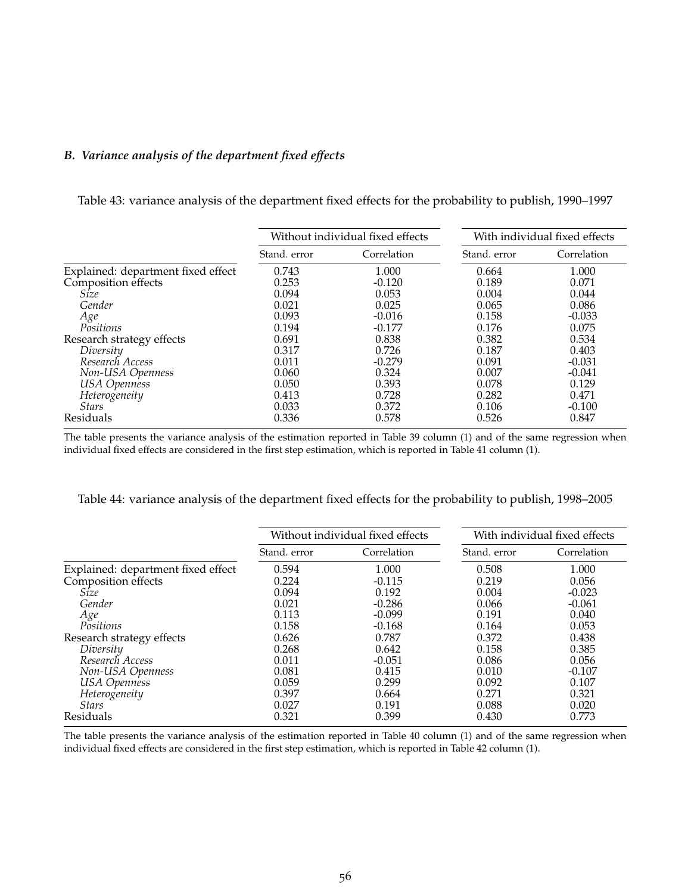#### *B. Variance analysis of the department fixed effects*

Table 43: variance analysis of the department fixed effects for the probability to publish, 1990–1997

|                                    |              | Without individual fixed effects | With individual fixed effects |             |  |  |
|------------------------------------|--------------|----------------------------------|-------------------------------|-------------|--|--|
|                                    | Stand, error | Correlation                      | Stand, error                  | Correlation |  |  |
| Explained: department fixed effect | 0.743        | 1.000                            | 0.664                         | 1.000       |  |  |
| Composition effects                | 0.253        | $-0.120$                         | 0.189                         | 0.071       |  |  |
| Size                               | 0.094        | 0.053                            | 0.004                         | 0.044       |  |  |
| Gender                             | 0.021        | 0.025                            | 0.065                         | 0.086       |  |  |
| Age                                | 0.093        | $-0.016$                         | 0.158                         | $-0.033$    |  |  |
| Positions                          | 0.194        | $-0.177$                         | 0.176                         | 0.075       |  |  |
| Research strategy effects          | 0.691        | 0.838                            | 0.382                         | 0.534       |  |  |
| Diversity                          | 0.317        | 0.726                            | 0.187                         | 0.403       |  |  |
| Research Access                    | 0.011        | $-0.279$                         | 0.091                         | $-0.031$    |  |  |
| Non-USA Openness                   | 0.060        | 0.324                            | 0.007                         | $-0.041$    |  |  |
| <b>USA</b> Openness                | 0.050        | 0.393                            | 0.078                         | 0.129       |  |  |
| Heterogeneity                      | 0.413        | 0.728                            | 0.282                         | 0.471       |  |  |
| <i>Stars</i>                       | 0.033        | 0.372                            | 0.106                         | $-0.100$    |  |  |
| Residuals                          | 0.336        | 0.578                            | 0.526                         | 0.847       |  |  |

The table presents the variance analysis of the estimation reported in Table 39 column (1) and of the same regression when individual fixed effects are considered in the first step estimation, which is reported in Table 41 column (1).

| Table 44: variance analysis of the department fixed effects for the probability to publish, 1998–2005 |
|-------------------------------------------------------------------------------------------------------|
|-------------------------------------------------------------------------------------------------------|

|                                    |              | Without individual fixed effects | With individual fixed effects |             |  |
|------------------------------------|--------------|----------------------------------|-------------------------------|-------------|--|
|                                    | Stand, error | Correlation                      | Stand, error                  | Correlation |  |
| Explained: department fixed effect | 0.594        | 1.000                            | 0.508                         | 1.000       |  |
| Composition effects                | 0.224        | $-0.115$                         | 0.219                         | 0.056       |  |
| Size                               | 0.094        | 0.192                            | 0.004                         | $-0.023$    |  |
| Gender                             | 0.021        | $-0.286$                         | 0.066                         | $-0.061$    |  |
| Age                                | 0.113        | $-0.099$                         | 0.191                         | 0.040       |  |
| Positions                          | 0.158        | $-0.168$                         | 0.164                         | 0.053       |  |
| Research strategy effects          | 0.626        | 0.787                            | 0.372                         | 0.438       |  |
| Diversity                          | 0.268        | 0.642                            | 0.158                         | 0.385       |  |
| Research Access                    | 0.011        | $-0.051$                         | 0.086                         | 0.056       |  |
| Non-USA Openness                   | 0.081        | 0.415                            | 0.010                         | $-0.107$    |  |
| <b>USA</b> Openness                | 0.059        | 0.299                            | 0.092                         | 0.107       |  |
| Heterogeneity                      | 0.397        | 0.664                            | 0.271                         | 0.321       |  |
| <b>Stars</b>                       | 0.027        | 0.191                            | 0.088                         | 0.020       |  |
| Residuals                          | 0.321        | 0.399                            | 0.430                         | 0.773       |  |

The table presents the variance analysis of the estimation reported in Table 40 column (1) and of the same regression when individual fixed effects are considered in the first step estimation, which is reported in Table 42 column (1).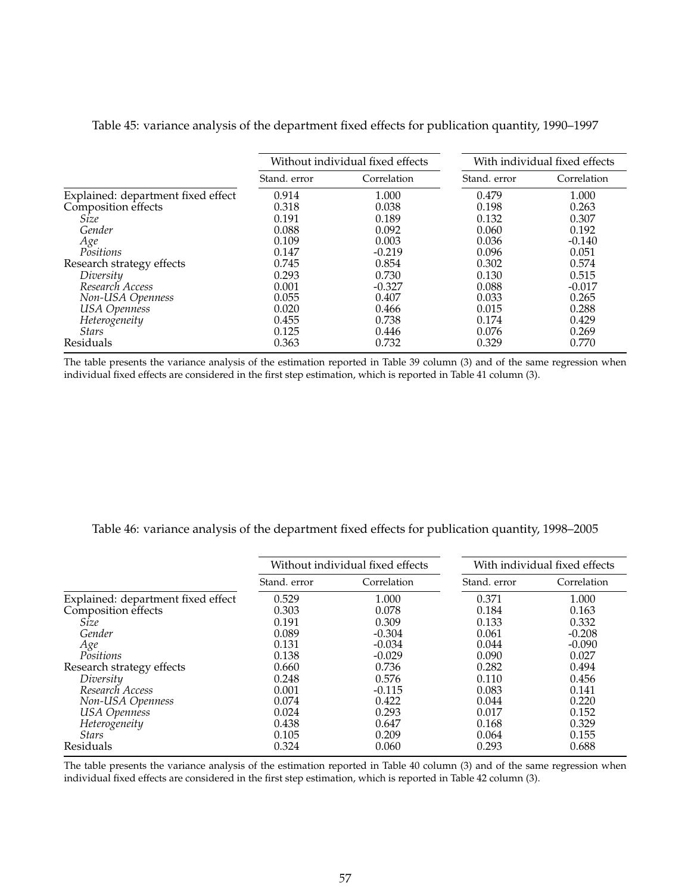|                                    |              | Without individual fixed effects | With individual fixed effects |             |  |
|------------------------------------|--------------|----------------------------------|-------------------------------|-------------|--|
|                                    | Stand. error | Correlation                      | Stand, error                  | Correlation |  |
| Explained: department fixed effect | 0.914        | 1.000                            | 0.479                         | 1.000       |  |
| Composition effects                | 0.318        | 0.038                            | 0.198                         | 0.263       |  |
| Size                               | 0.191        | 0.189                            | 0.132                         | 0.307       |  |
| Gender                             | 0.088        | 0.092                            | 0.060                         | 0.192       |  |
| Age                                | 0.109        | 0.003                            | 0.036                         | $-0.140$    |  |
| Positions                          | 0.147        | $-0.219$                         | 0.096                         | 0.051       |  |
| Research strategy effects          | 0.745        | 0.854                            | 0.302                         | 0.574       |  |
| Diversity                          | 0.293        | 0.730                            | 0.130                         | 0.515       |  |
| Research Access                    | 0.001        | $-0.327$                         | 0.088                         | $-0.017$    |  |
| Non-USA Openness                   | 0.055        | 0.407                            | 0.033                         | 0.265       |  |
| <b>USA</b> Openness                | 0.020        | 0.466                            | 0.015                         | 0.288       |  |
| Heterogeneity                      | 0.455        | 0.738                            | 0.174                         | 0.429       |  |
| <i>Stars</i>                       | 0.125        | 0.446                            | 0.076                         | 0.269       |  |
| Residuals                          | 0.363        | 0.732                            | 0.329                         | 0.770       |  |

#### Table 45: variance analysis of the department fixed effects for publication quantity, 1990–1997

The table presents the variance analysis of the estimation reported in Table 39 column (3) and of the same regression when individual fixed effects are considered in the first step estimation, which is reported in Table 41 column (3).

Table 46: variance analysis of the department fixed effects for publication quantity, 1998–2005

|                                    |              | Without individual fixed effects | With individual fixed effects |             |  |
|------------------------------------|--------------|----------------------------------|-------------------------------|-------------|--|
|                                    | Stand, error | Correlation                      | Stand, error                  | Correlation |  |
| Explained: department fixed effect | 0.529        | 1.000                            | 0.371                         | 1.000       |  |
| Composition effects                | 0.303        | 0.078                            | 0.184                         | 0.163       |  |
| Size                               | 0.191        | 0.309                            | 0.133                         | 0.332       |  |
| Gender                             | 0.089        | $-0.304$                         | 0.061                         | $-0.208$    |  |
| Age                                | 0.131        | $-0.034$                         | 0.044                         | $-0.090$    |  |
| Positions                          | 0.138        | $-0.029$                         | 0.090                         | 0.027       |  |
| Research strategy effects          | 0.660        | 0.736                            | 0.282                         | 0.494       |  |
| Diversity                          | 0.248        | 0.576                            | 0.110                         | 0.456       |  |
| Research Access                    | 0.001        | $-0.115$                         | 0.083                         | 0.141       |  |
| Non-USA Openness                   | 0.074        | 0.422                            | 0.044                         | 0.220       |  |
| <b>USA</b> Openness                | 0.024        | 0.293                            | 0.017                         | 0.152       |  |
| Heterogeneity                      | 0.438        | 0.647                            | 0.168                         | 0.329       |  |
| <b>Stars</b>                       | 0.105        | 0.209                            | 0.064                         | 0.155       |  |
| Residuals                          | 0.324        | 0.060                            | 0.293                         | 0.688       |  |

The table presents the variance analysis of the estimation reported in Table 40 column (3) and of the same regression when individual fixed effects are considered in the first step estimation, which is reported in Table 42 column (3).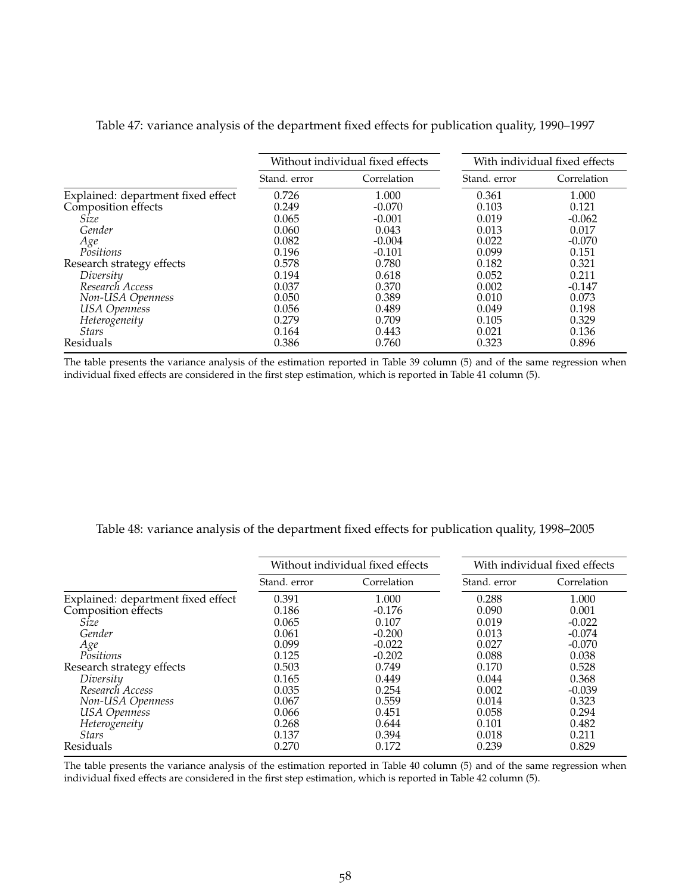|                                    |              | Without individual fixed effects | With individual fixed effects |             |  |
|------------------------------------|--------------|----------------------------------|-------------------------------|-------------|--|
|                                    | Stand, error | Correlation                      | Stand, error                  | Correlation |  |
| Explained: department fixed effect | 0.726        | 1.000                            | 0.361                         | 1.000       |  |
| Composition effects                | 0.249        | $-0.070$                         | 0.103                         | 0.121       |  |
| Size                               | 0.065        | $-0.001$                         | 0.019                         | $-0.062$    |  |
| Gender                             | 0.060        | 0.043                            | 0.013                         | 0.017       |  |
| Age                                | 0.082        | $-0.004$                         | 0.022                         | $-0.070$    |  |
| Positions                          | 0.196        | $-0.101$                         | 0.099                         | 0.151       |  |
| Research strategy effects          | 0.578        | 0.780                            | 0.182                         | 0.321       |  |
| Diversity                          | 0.194        | 0.618                            | 0.052                         | 0.211       |  |
| Research Access                    | 0.037        | 0.370                            | 0.002                         | $-0.147$    |  |
| Non-USA Openness                   | 0.050        | 0.389                            | 0.010                         | 0.073       |  |
| <b>USA</b> Openness                | 0.056        | 0.489                            | 0.049                         | 0.198       |  |
| Heterogeneity                      | 0.279        | 0.709                            | 0.105                         | 0.329       |  |
| <b>Stars</b>                       | 0.164        | 0.443                            | 0.021                         | 0.136       |  |
| Residuals                          | 0.386        | 0.760                            | 0.323                         | 0.896       |  |

#### Table 47: variance analysis of the department fixed effects for publication quality, 1990–1997

The table presents the variance analysis of the estimation reported in Table 39 column (5) and of the same regression when individual fixed effects are considered in the first step estimation, which is reported in Table 41 column (5).

Table 48: variance analysis of the department fixed effects for publication quality, 1998–2005

|                                    |              | Without individual fixed effects | With individual fixed effects |             |  |
|------------------------------------|--------------|----------------------------------|-------------------------------|-------------|--|
|                                    | Stand, error | Correlation                      | Stand, error                  | Correlation |  |
| Explained: department fixed effect | 0.391        | 1.000                            | 0.288                         | 1.000       |  |
| Composition effects                | 0.186        | $-0.176$                         | 0.090                         | 0.001       |  |
| Size                               | 0.065        | 0.107                            | 0.019                         | $-0.022$    |  |
| Gender                             | 0.061        | $-0.200$                         | 0.013                         | $-0.074$    |  |
| Age                                | 0.099        | $-0.022$                         | 0.027                         | $-0.070$    |  |
| Positions                          | 0.125        | $-0.202$                         | 0.088                         | 0.038       |  |
| Research strategy effects          | 0.503        | 0.749                            | 0.170                         | 0.528       |  |
| Diversity                          | 0.165        | 0.449                            | 0.044                         | 0.368       |  |
| Research Access                    | 0.035        | 0.254                            | 0.002                         | $-0.039$    |  |
| Non-USA Openness                   | 0.067        | 0.559                            | 0.014                         | 0.323       |  |
| <b>USA</b> Openness                | 0.066        | 0.451                            | 0.058                         | 0.294       |  |
| Heterogeneity                      | 0.268        | 0.644                            | 0.101                         | 0.482       |  |
| <b>Stars</b>                       | 0.137        | 0.394                            | 0.018                         | 0.211       |  |
| Residuals                          | 0.270        | 0.172                            | 0.239                         | 0.829       |  |

The table presents the variance analysis of the estimation reported in Table 40 column (5) and of the same regression when individual fixed effects are considered in the first step estimation, which is reported in Table 42 column (5).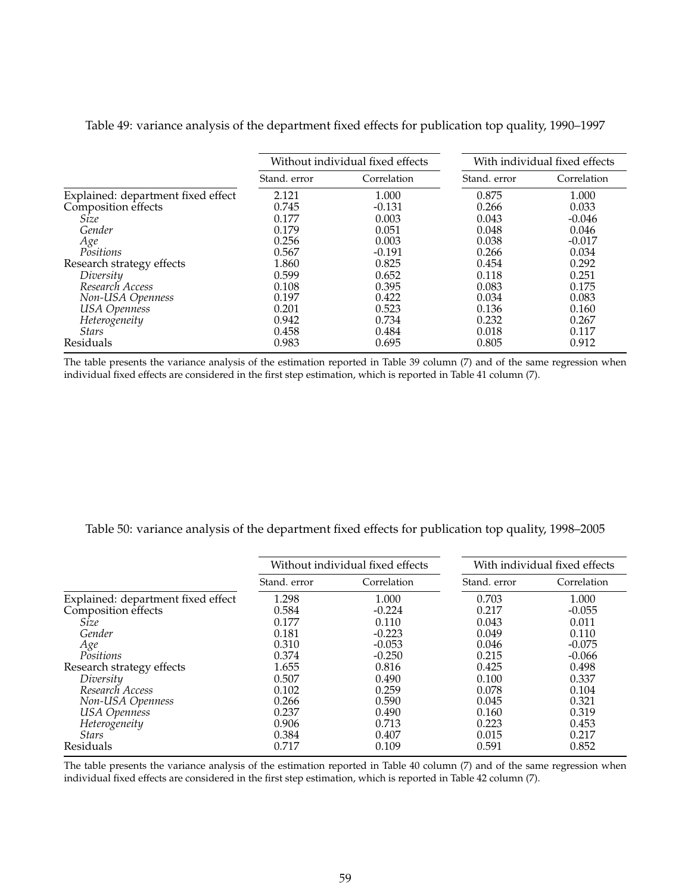|                                    |              | Without individual fixed effects | With individual fixed effects |             |  |
|------------------------------------|--------------|----------------------------------|-------------------------------|-------------|--|
|                                    | Stand, error | Correlation                      | Stand, error                  | Correlation |  |
| Explained: department fixed effect | 2.121        | 1.000                            | 0.875                         | 1.000       |  |
| Composition effects                | 0.745        | $-0.131$                         | 0.266                         | 0.033       |  |
| Size                               | 0.177        | 0.003                            | 0.043                         | $-0.046$    |  |
| Gender                             | 0.179        | 0.051                            | 0.048                         | 0.046       |  |
| Age                                | 0.256        | 0.003                            | 0.038                         | $-0.017$    |  |
| Positions                          | 0.567        | $-0.191$                         | 0.266                         | 0.034       |  |
| Research strategy effects          | 1.860        | 0.825                            | 0.454                         | 0.292       |  |
| Diversity                          | 0.599        | 0.652                            | 0.118                         | 0.251       |  |
| Research Access                    | 0.108        | 0.395                            | 0.083                         | 0.175       |  |
| Non-USA Openness                   | 0.197        | 0.422                            | 0.034                         | 0.083       |  |
| <b>USA</b> Openness                | 0.201        | 0.523                            | 0.136                         | 0.160       |  |
| Heterogeneity                      | 0.942        | 0.734                            | 0.232                         | 0.267       |  |
| <i>Stars</i>                       | 0.458        | 0.484                            | 0.018                         | 0.117       |  |
| Residuals                          | 0.983        | 0.695                            | 0.805                         | 0.912       |  |

Table 49: variance analysis of the department fixed effects for publication top quality, 1990–1997

The table presents the variance analysis of the estimation reported in Table 39 column (7) and of the same regression when individual fixed effects are considered in the first step estimation, which is reported in Table 41 column (7).

Table 50: variance analysis of the department fixed effects for publication top quality, 1998–2005

|                                                           |              | Without individual fixed effects | With individual fixed effects |             |  |
|-----------------------------------------------------------|--------------|----------------------------------|-------------------------------|-------------|--|
|                                                           | Stand, error | Correlation                      | Stand, error                  | Correlation |  |
| Explained: department fixed effect<br>Composition effects | 1.298        | 1.000                            | 0.703                         | 1.000       |  |
|                                                           | 0.584        | $-0.224$                         | 0.217                         | $-0.055$    |  |
| Size                                                      | 0.177        | 0.110                            | 0.043                         | 0.011       |  |
| Gender                                                    | 0.181        | $-0.223$                         | 0.049                         | 0.110       |  |
| Age                                                       | 0.310        | $-0.053$                         | 0.046                         | $-0.075$    |  |
| Positions                                                 | 0.374        | $-0.250$                         | 0.215                         | $-0.066$    |  |
| Research strategy effects                                 | 1.655        | 0.816                            | 0.425                         | 0.498       |  |
| Diversity                                                 | 0.507        | 0.490                            | 0.100                         | 0.337       |  |
| Research Access                                           | 0.102        | 0.259                            | 0.078                         | 0.104       |  |
| Non-USA Openness                                          | 0.266        | 0.590                            | 0.045                         | 0.321       |  |
| <b>USA</b> Openness                                       | 0.237        | 0.490                            | 0.160                         | 0.319       |  |
| Heterogeneity                                             | 0.906        | 0.713                            | 0.223                         | 0.453       |  |
| <b>Stars</b>                                              | 0.384        | 0.407                            | 0.015                         | 0.217       |  |
| Residuals                                                 | 0.717        | 0.109                            | 0.591                         | 0.852       |  |

The table presents the variance analysis of the estimation reported in Table 40 column (7) and of the same regression when individual fixed effects are considered in the first step estimation, which is reported in Table 42 column (7).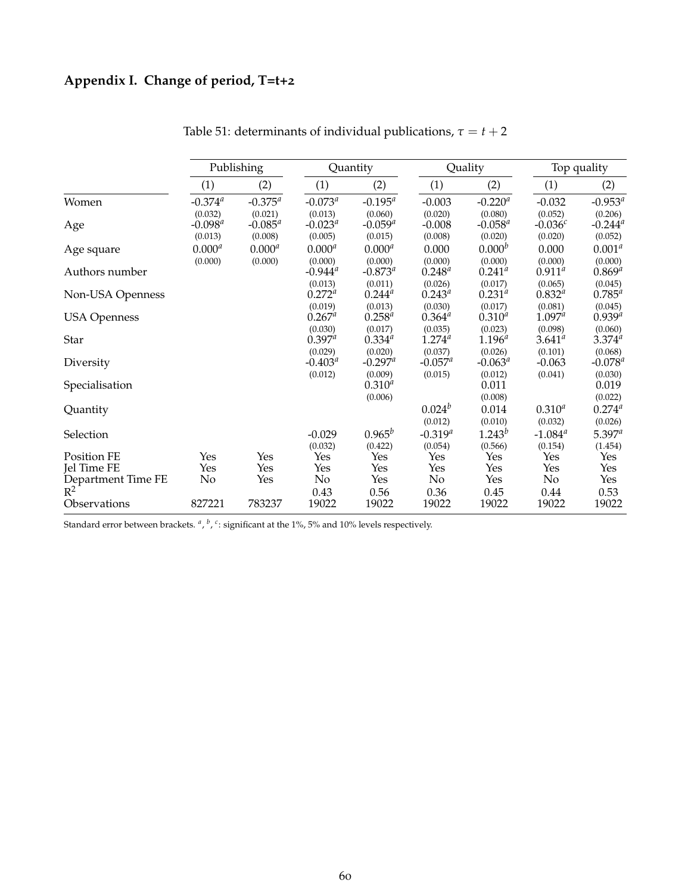## **Appendix I. Change of period, T=t+2**

|                             | Publishing                       |                                  |                                  | Quantity                           |                                | Quality                          |                                 | Top quality                            |  |
|-----------------------------|----------------------------------|----------------------------------|----------------------------------|------------------------------------|--------------------------------|----------------------------------|---------------------------------|----------------------------------------|--|
|                             | (1)                              | (2)                              | (1)                              | (2)                                | (1)                            | (2)                              | (1)                             | (2)                                    |  |
| Women                       | $-0.374$ <sup>a</sup>            | $-0.375^{a}$                     | $-0.073^a$                       | $-0.195^a$                         | $-0.003$                       | $-0.220$ <sup>a</sup>            | $-0.032$                        | $-0.953^a$                             |  |
| Age                         | (0.032)<br>$-0.098^a$<br>(0.013) | (0.021)<br>$-0.085^a$<br>(0.008) | (0.013)<br>$-0.023^a$<br>(0.005) | (0.060)<br>$-0.059^{a}$<br>(0.015) | (0.020)<br>$-0.008$<br>(0.008) | (0.080)<br>$-0.058^a$<br>(0.020) | (0.052)<br>$-0.036c$<br>(0.020) | (0.206)<br>$-0.244^{\circ}$<br>(0.052) |  |
| Age square                  | $0.000^{a}$<br>(0.000)           | $0.000^{a}$<br>(0.000)           | $0.000^{a}$<br>(0.000)           | $0.000^{a}$<br>(0.000)             | 0.000<br>(0.000)               | 0.000 <sup>b</sup><br>(0.000)    | 0.000<br>(0.000)                | $0.001^{a}$<br>(0.000)                 |  |
| Authors number              |                                  |                                  | $-0.944$ <sup>a</sup>            | $-0.873^{a}$                       | $0.248^{a}$                    | $0.241^{a}$                      | $0.911^a$                       | $0.869^{a}$                            |  |
| Non-USA Openness            |                                  |                                  | (0.013)<br>$0.272^{a}$           | (0.011)<br>$0.244^{a}$             | (0.026)<br>$0.243^{a}$         | (0.017)<br>$0.231^{a}$           | (0.065)<br>$0.832^{a}$          | (0.045)<br>$0.785^{a}$                 |  |
| <b>USA Openness</b>         |                                  |                                  | (0.019)<br>$0.267^a$             | (0.013)<br>$0.258^{a}$             | (0.030)<br>$0.364^{a}$         | (0.017)<br>$0.310^{a}$           | (0.081)<br>$1.097^a$            | (0.045)<br>$0.939^{a}$                 |  |
| Star                        |                                  |                                  | (0.030)<br>$0.397^a$             | (0.017)<br>$0.334^{a}$             | (0.035)<br>$1.274^{a}$         | (0.023)<br>$1.196^{a}$           | (0.098)<br>$3.641^{a}$          | (0.060)<br>$3.374^{a}$                 |  |
| Diversity                   |                                  |                                  | (0.029)<br>$-0.403^a$            | (0.020)<br>$-0.297^a$              | (0.037)<br>$-0.057^a$          | (0.026)<br>$-0.063^{\circ}$      | (0.101)<br>$-0.063$             | (0.068)<br>$-0.078^{\circ}$            |  |
| Specialisation              |                                  |                                  | (0.012)                          | (0.009)<br>$0.310^{a}$             | (0.015)                        | (0.012)<br>0.011                 | (0.041)                         | (0.030)<br>0.019                       |  |
| Quantity                    |                                  |                                  |                                  | (0.006)                            | $0.024^b$<br>(0.012)           | (0.008)<br>0.014<br>(0.010)      | $0.310^{a}$<br>(0.032)          | (0.022)<br>$0.274^{a}$<br>(0.026)      |  |
| Selection                   |                                  |                                  | $-0.029$                         | $0.965^b$                          | $-0.319^{a}$                   | $1.243^{b}$                      | $-1.084$ <sup>a</sup>           | $5.397^{a}$                            |  |
| Position FE<br>Jel Time FE  | Yes<br>Yes                       | Yes<br>Yes                       | (0.032)<br>Yes<br>Yes            | (0.422)<br>Yes<br>Yes              | (0.054)<br>Yes<br>Yes          | (0.566)<br>Yes<br>Yes            | (0.154)<br>Yes<br>Yes           | (1.454)<br>Yes<br>Yes                  |  |
| Department Time FE<br>$R^2$ | No                               | Yes                              | No<br>0.43                       | Yes<br>0.56                        | $\rm No$<br>0.36               | Yes<br>0.45                      | No<br>0.44                      | Yes<br>0.53                            |  |
| Observations                | 827221                           | 783237                           | 19022                            | 19022                              | 19022                          | 19022                            | 19022                           | 19022                                  |  |

Table 51: determinants of individual publications,  $\tau = t + 2$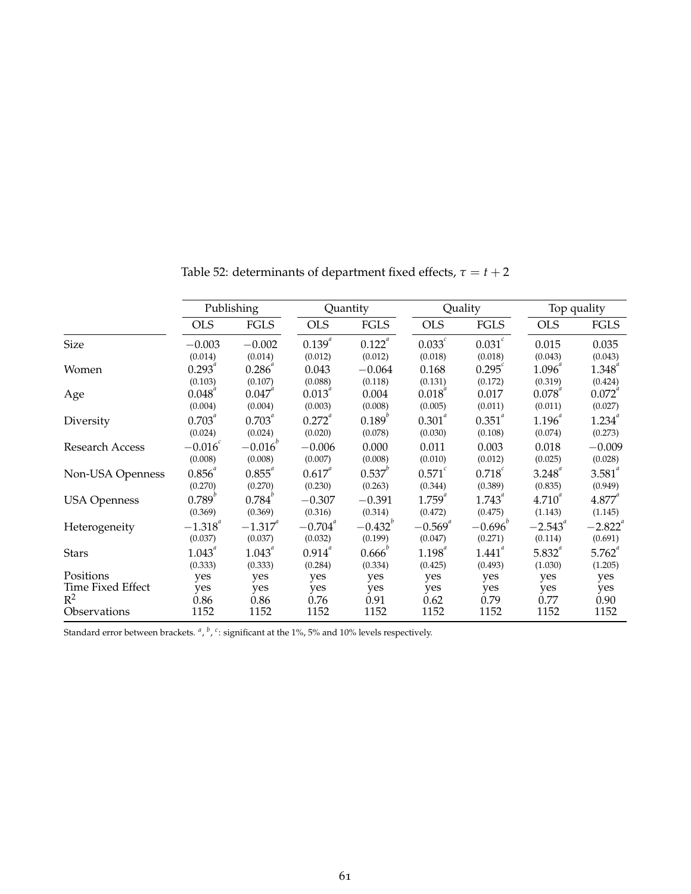|                     | Publishing     |                           |                       | Quantity        |                | Quality              |                | Top quality    |  |
|---------------------|----------------|---------------------------|-----------------------|-----------------|----------------|----------------------|----------------|----------------|--|
|                     | <b>OLS</b>     | <b>FGLS</b>               | <b>OLS</b>            | <b>FGLS</b>     | <b>OLS</b>     | <b>FGLS</b>          | <b>OLS</b>     | <b>FGLS</b>    |  |
| <b>Size</b>         | $-0.003$       | $-0.002$                  | $0.139^{a}$           | $0.122^{a}$     | $0.033^c$      | $0.031$ <sup>c</sup> | 0.015          | 0.035          |  |
|                     | (0.014)        | (0.014)                   | (0.012)               | (0.012)         | (0.018)        | (0.018)              | (0.043)        | (0.043)        |  |
| Women               | $0.293^{^{a}}$ | 0.286                     | 0.043                 | $-0.064$        | 0.168          | $0.295^{\circ}$      | $1.096^{^{a}}$ | $1.348^{^{a}}$ |  |
|                     | (0.103)        | (0.107)                   | (0.088)               | (0.118)         | (0.131)        | (0.172)              | (0.319)        | (0.424)        |  |
| Age                 | $0.048^{^{a}}$ | $0.047^{4}$               | $0.013^{^{a}}$        | 0.004           | $0.018^{^{a}}$ | 0.017                | $0.078^{4}$    | $0.072^{4}$    |  |
|                     | (0.004)        | (0.004)                   | (0.003)               | (0.008)         | (0.005)        | (0.011)              | (0.011)        | (0.027)        |  |
| Diversity           | $0.703^{a}$    | $0.703^{^{a}}$            | $0.272^{a}$           | $0.189^{b}$     | $0.301^{a}$    | $0.351^{a}$          | $1.196^{a}$    | $1.234^{^{a}}$ |  |
|                     | (0.024)        | (0.024)                   | (0.020)               | (0.078)         | (0.030)        | (0.108)              | (0.074)        | (0.273)        |  |
| Research Access     | $-0.016$       | $-0.016^{b}$              | $-0.006$              | 0.000           | 0.011          | 0.003                | 0.018          | $-0.009$       |  |
|                     | (0.008)        | (0.008)                   | (0.007)               | (0.008)         | (0.010)        | (0.012)              | (0.025)        | (0.028)        |  |
| Non-USA Openness    | $0.856^{a}$    | $0.855^{\circ}$           | $0.617^{a}$           | $0.537^{^{0}}$  | $0.571^{c}$    | $0.718^{c}$          | $3.248^{^{a}}$ | $3.581^{4}$    |  |
|                     | (0.270)        | (0.270)                   | (0.230)               | (0.263)         | (0.344)        | (0.389)              | (0.835)        | (0.949)        |  |
| <b>USA Openness</b> | $0.789^{b}$    | $0.784^{^{\prime\prime}}$ | $-0.307$              | $-0.391$        | $1.759^{^{a}}$ | $1.743^{^{a}}$       | $4.710^{4}$    | $4.877^{4}$    |  |
|                     | (0.369)        | (0.369)                   | (0.316)               | (0.314)         | (0.472)        | (0.475)              | (1.143)        | (1.145)        |  |
| Heterogeneity       | $-1.318^{a}$   | $-1.317^{a}$              | $-0.704$ <sup>a</sup> | $-0.432^{b}$    | $-0.569^{a}$   | $-0.696^{b}$         | $-2.543^{a}$   | $-2.822^{a}$   |  |
|                     | (0.037)        | (0.037)                   | (0.032)               | (0.199)         | (0.047)        | (0.271)              | (0.114)        | (0.691)        |  |
| Stars               | $1.043^{^{a}}$ | $1.043^{^{a}}$            | $0.914^{a}$           | $0.666^{\circ}$ | $1.198^{^{a}}$ | $1.441^{^{a}}$       | $5.832^{a}$    | $5.762^{a}$    |  |
|                     | (0.333)        | (0.333)                   | (0.284)               | (0.334)         | (0.425)        | (0.493)              | (1.030)        | (1.205)        |  |
| Positions           | yes            | yes                       | yes                   | yes             | yes            | yes                  | yes            | yes            |  |
| Time Fixed Effect   | yes            | yes                       | yes                   | yes             | yes            | yes                  | yes            | yes            |  |
| $R^2$               | 0.86           | 0.86                      | 0.76                  | 0.91            | 0.62           | 0.79                 | 0.77           | 0.90           |  |
| Observations        | 1152           | 1152                      | 1152                  | 1152            | 1152           | 1152                 | 1152           | 1152           |  |

Table 52: determinants of department fixed effects,  $\tau = t + 2$